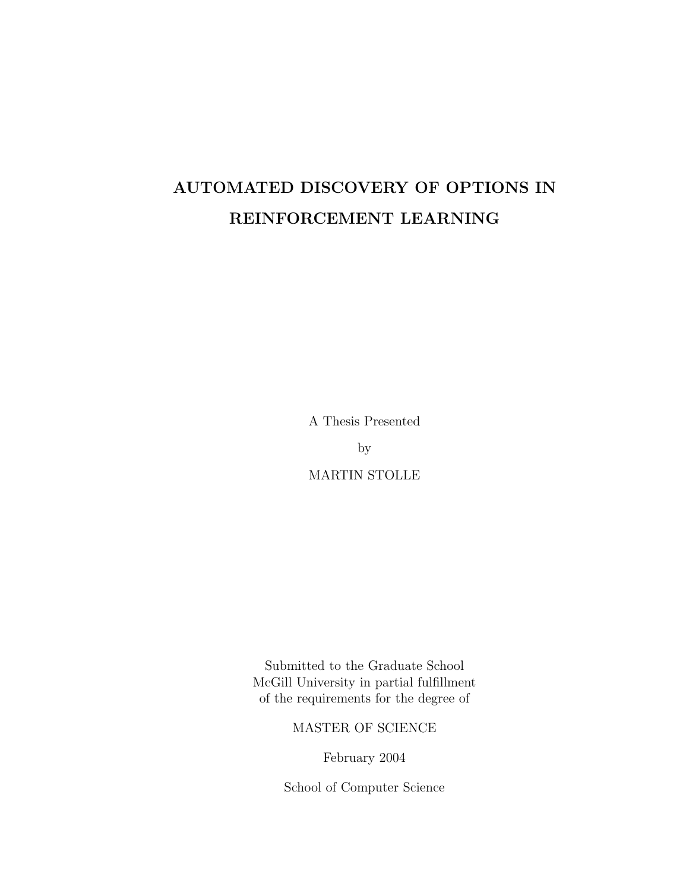# AUTOMATED DISCOVERY OF OPTIONS IN REINFORCEMENT LEARNING

A Thesis Presented

by

MARTIN STOLLE

Submitted to the Graduate School McGill University in partial fulfillment of the requirements for the degree of

MASTER OF SCIENCE

February 2004

School of Computer Science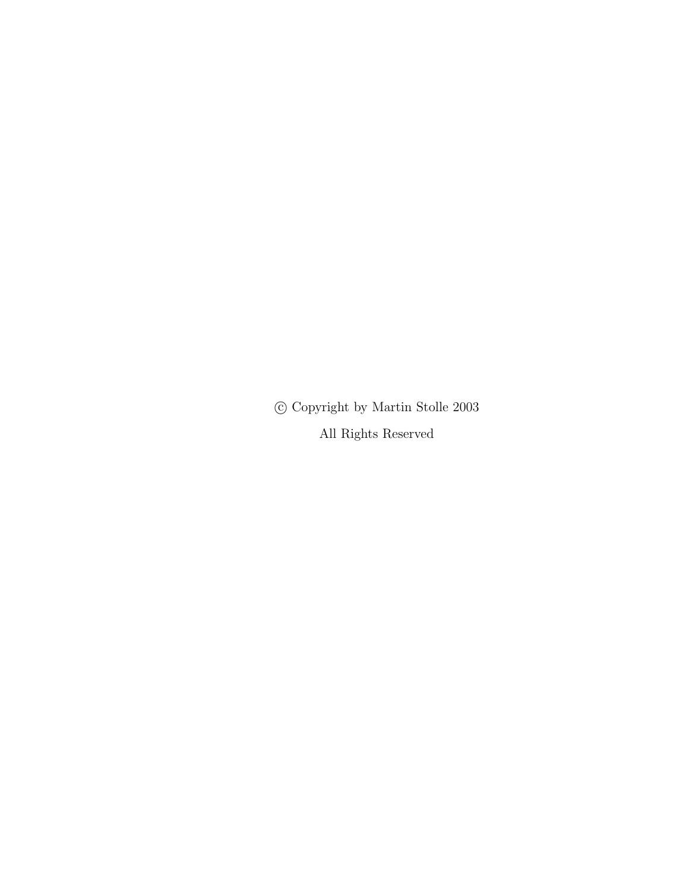$\copyright$  Copyright by Martin Stolle 2003

All Rights Reserved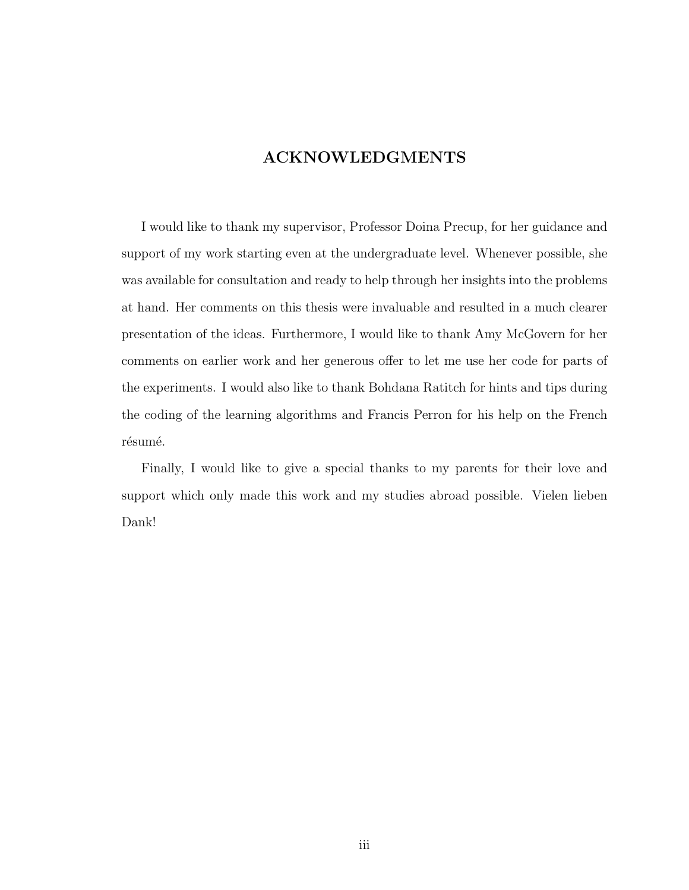# ACKNOWLEDGMENTS

I would like to thank my supervisor, Professor Doina Precup, for her guidance and support of my work starting even at the undergraduate level. Whenever possible, she was available for consultation and ready to help through her insights into the problems at hand. Her comments on this thesis were invaluable and resulted in a much clearer presentation of the ideas. Furthermore, I would like to thank Amy McGovern for her comments on earlier work and her generous offer to let me use her code for parts of the experiments. I would also like to thank Bohdana Ratitch for hints and tips during the coding of the learning algorithms and Francis Perron for his help on the French résumé.

Finally, I would like to give a special thanks to my parents for their love and support which only made this work and my studies abroad possible. Vielen lieben Dank!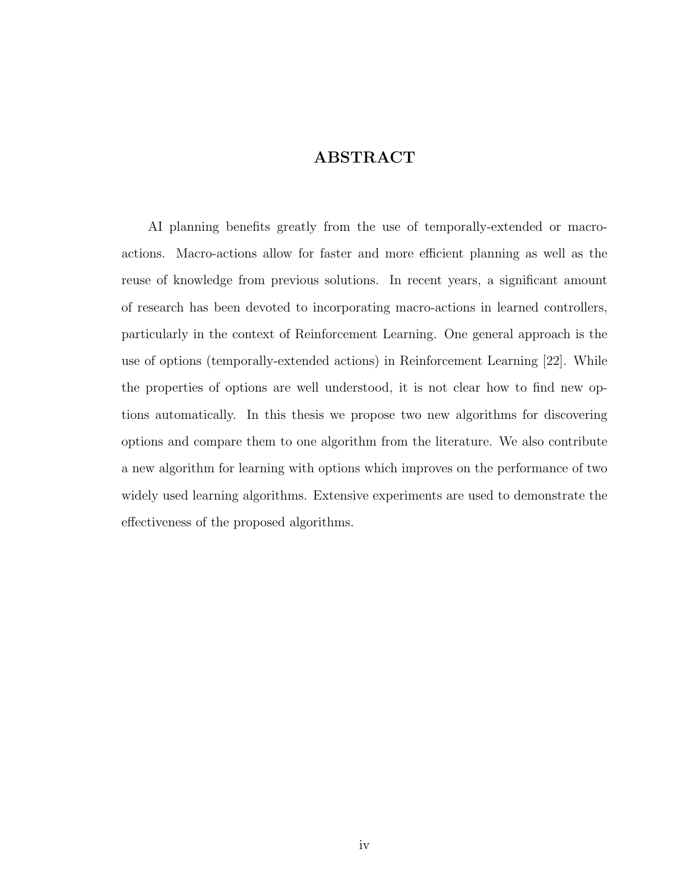# ABSTRACT

AI planning benefits greatly from the use of temporally-extended or macroactions. Macro-actions allow for faster and more efficient planning as well as the reuse of knowledge from previous solutions. In recent years, a significant amount of research has been devoted to incorporating macro-actions in learned controllers, particularly in the context of Reinforcement Learning. One general approach is the use of options (temporally-extended actions) in Reinforcement Learning [22]. While the properties of options are well understood, it is not clear how to find new options automatically. In this thesis we propose two new algorithms for discovering options and compare them to one algorithm from the literature. We also contribute a new algorithm for learning with options which improves on the performance of two widely used learning algorithms. Extensive experiments are used to demonstrate the effectiveness of the proposed algorithms.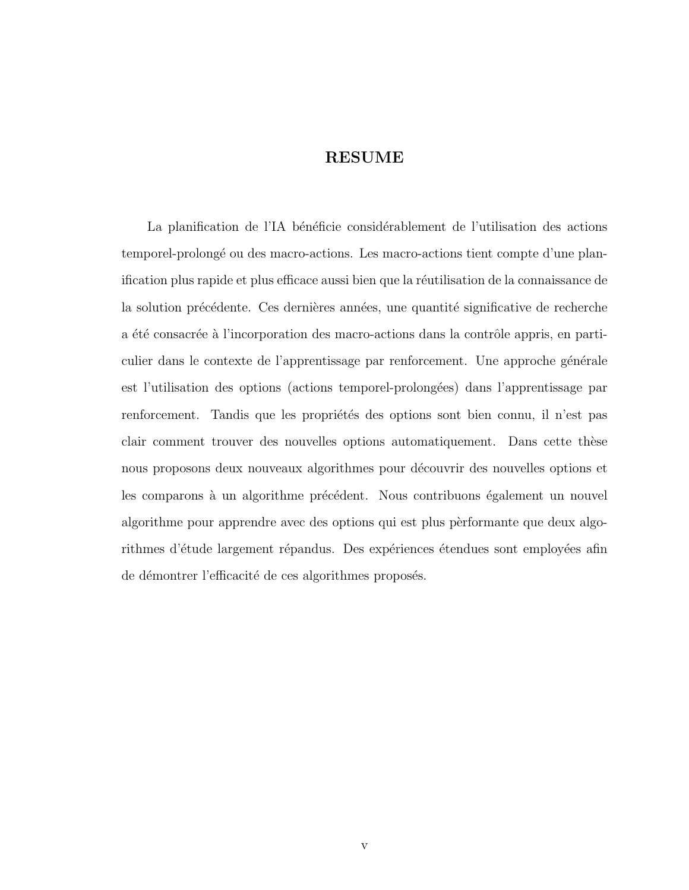## RESUME

La planification de l'IA bénéficie considérablement de l'utilisation des actions temporel-prolong´e ou des macro-actions. Les macro-actions tient compte d'une planification plus rapide et plus efficace aussi bien que la réutilisation de la connaissance de la solution précédente. Ces dernières années, une quantité significative de recherche a été consacrée à l'incorporation des macro-actions dans la contrôle appris, en particulier dans le contexte de l'apprentissage par renforcement. Une approche générale est l'utilisation des options (actions temporel-prolong´ees) dans l'apprentissage par renforcement. Tandis que les propriétés des options sont bien connu, il n'est pas clair comment trouver des nouvelles options automatiquement. Dans cette thèse nous proposons deux nouveaux algorithmes pour découvrir des nouvelles options et les comparons à un algorithme précédent. Nous contribuons également un nouvel algorithme pour apprendre avec des options qui est plus pèrformante que deux algorithmes d'étude largement répandus. Des expériences étendues sont employées afin de démontrer l'efficacité de ces algorithmes proposés.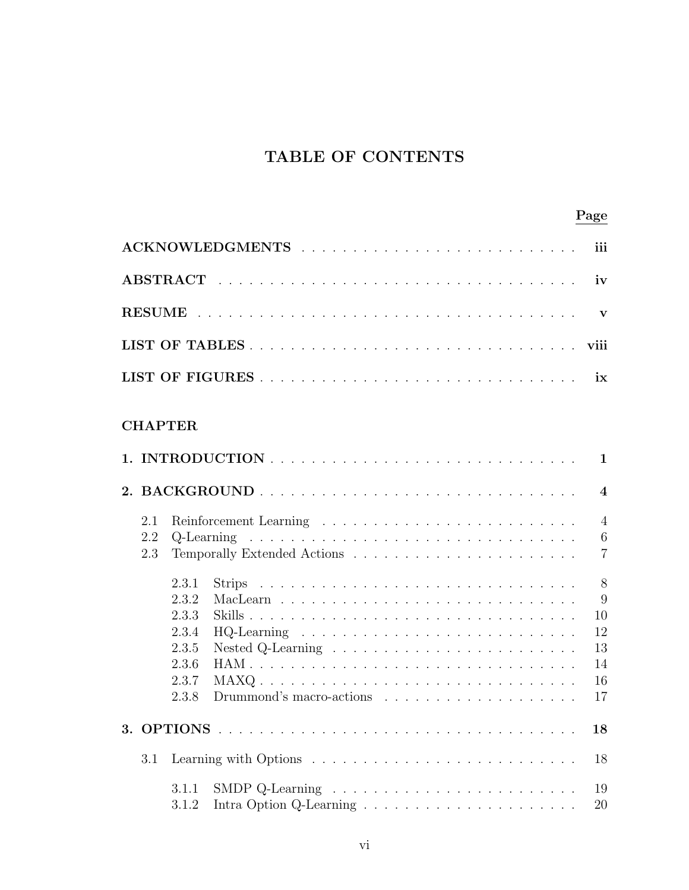# TABLE OF CONTENTS

|--|

|      |                   |                                                             |      | iii                                                 |  |  |  |  |
|------|-------------------|-------------------------------------------------------------|------|-----------------------------------------------------|--|--|--|--|
|      |                   |                                                             |      | iv                                                  |  |  |  |  |
|      | $\mathbf{V}$      |                                                             |      |                                                     |  |  |  |  |
| viii |                   |                                                             |      |                                                     |  |  |  |  |
|      |                   |                                                             |      | ix                                                  |  |  |  |  |
|      |                   | <b>CHAPTER</b>                                              |      | $\mathbf{1}$                                        |  |  |  |  |
|      |                   |                                                             |      | $\overline{\mathbf{4}}$                             |  |  |  |  |
|      | 2.1<br>2.2<br>2.3 |                                                             |      | $\overline{4}$<br>$6\phantom{.}6$<br>$\overline{7}$ |  |  |  |  |
|      |                   | 2.3.1<br>2.3.2<br>2.3.3<br>2.3.4<br>2.3.5<br>2.3.6<br>2.3.7 | MAXQ | 8<br>9<br>10<br>12<br>13<br>14<br>16                |  |  |  |  |
|      |                   | 2.3.8                                                       |      | 17<br>18                                            |  |  |  |  |
| 3.1  |                   |                                                             |      |                                                     |  |  |  |  |
|      |                   | 3.1.1<br>3.1.2                                              |      | 19<br>20                                            |  |  |  |  |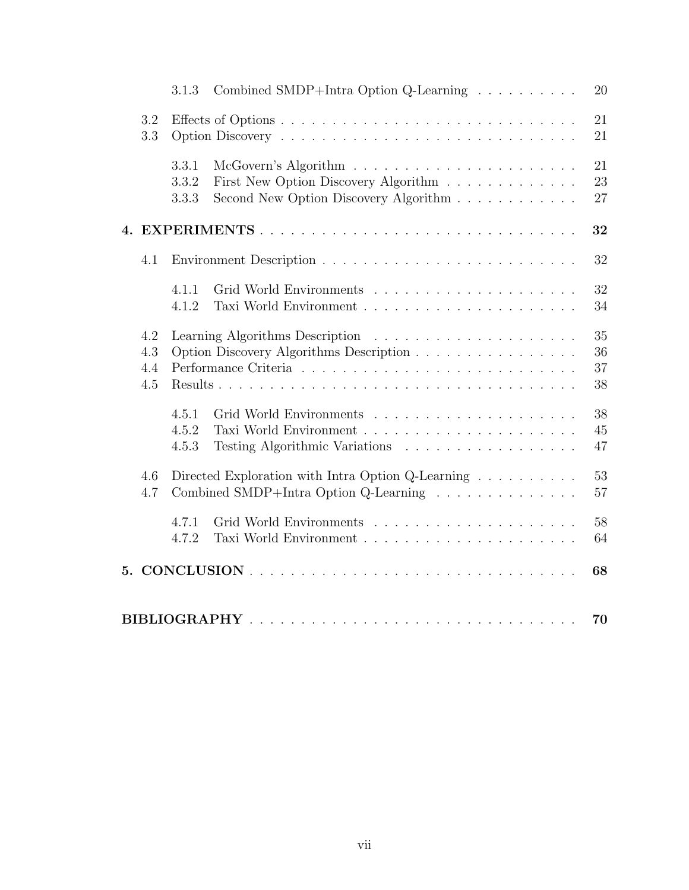|            |                          | 3.1.3                   | Combined SMDP+Intra Option Q-Learning                                                                             | 20                   |
|------------|--------------------------|-------------------------|-------------------------------------------------------------------------------------------------------------------|----------------------|
| 3.2<br>3.3 |                          |                         |                                                                                                                   | 21<br>21             |
|            |                          | 3.3.1<br>3.3.2<br>3.3.3 | First New Option Discovery Algorithm<br>Second New Option Discovery Algorithm                                     | 21<br>23<br>27       |
|            |                          |                         |                                                                                                                   | 32                   |
|            | 4.1                      |                         |                                                                                                                   | 32                   |
|            |                          | 4.1.1<br>4.1.2          |                                                                                                                   | 32<br>34             |
|            | 4.2<br>4.3<br>4.4<br>4.5 |                         | Option Discovery Algorithms Description                                                                           | 35<br>36<br>37<br>38 |
|            |                          | 4.5.1<br>4.5.2<br>4.5.3 | Testing Algorithmic Variations                                                                                    | 38<br>45<br>47       |
|            | 4.6<br>4.7               |                         | Directed Exploration with Intra Option Q-Learning $\ldots \ldots \ldots$<br>Combined SMDP+Intra Option Q-Learning | 53<br>57             |
|            |                          | 4.7.1<br>4.7.2          |                                                                                                                   | 58<br>64             |
|            |                          |                         |                                                                                                                   | 68                   |
|            |                          |                         |                                                                                                                   | 70                   |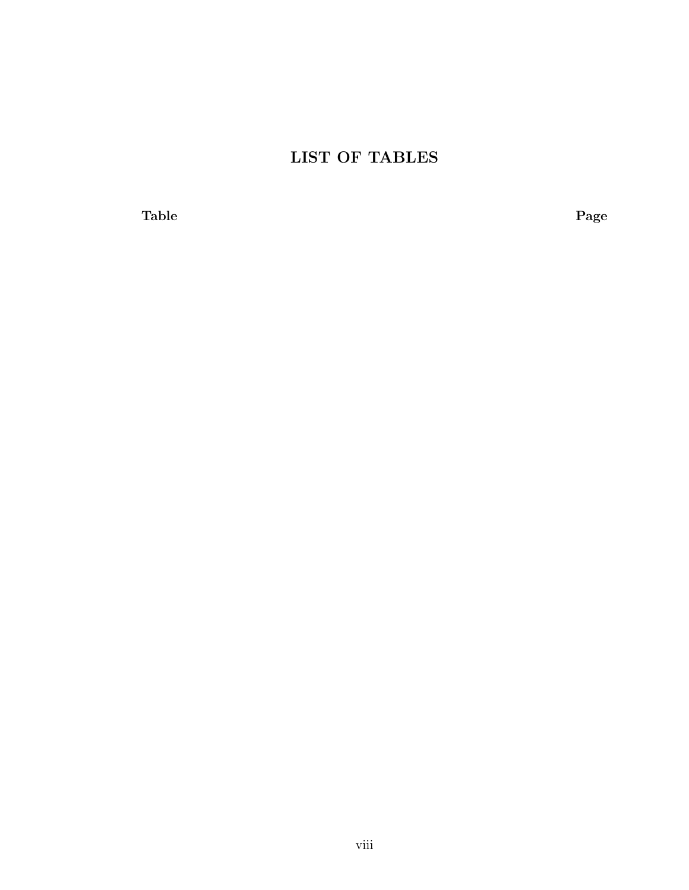# LIST OF TABLES

Table Page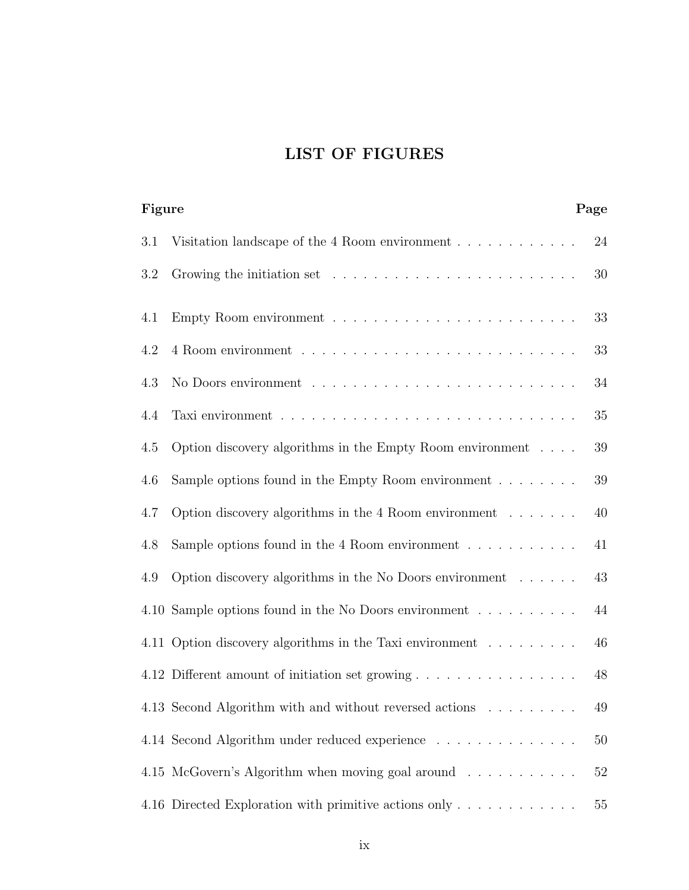# LIST OF FIGURES

| Figure<br>Page |     |                                                                              |        |
|----------------|-----|------------------------------------------------------------------------------|--------|
|                | 3.1 | Visitation landscape of the 4 Room environment $\ldots \ldots \ldots \ldots$ | 24     |
|                | 3.2 |                                                                              | 30     |
|                | 4.1 |                                                                              | 33     |
|                | 4.2 |                                                                              | 33     |
|                | 4.3 |                                                                              | 34     |
|                | 4.4 |                                                                              | 35     |
|                | 4.5 | Option discovery algorithms in the Empty Room environment $\ldots$ .         | 39     |
|                | 4.6 | Sample options found in the Empty Room environment $\dots \dots$             | 39     |
|                | 4.7 | Option discovery algorithms in the 4 Room environment $\dots \dots$          | $40\,$ |
|                | 4.8 | Sample options found in the 4 Room environment $\dots \dots \dots$           | 41     |
|                | 4.9 | Option discovery algorithms in the No Doors environment                      | 43     |
|                |     | 4.10 Sample options found in the No Doors environment                        | $44\,$ |
|                |     | 4.11 Option discovery algorithms in the Taxi environment                     | 46     |
|                |     |                                                                              | $48\,$ |
|                |     | 4.13 Second Algorithm with and without reversed actions                      | $49\,$ |
|                |     | 4.14 Second Algorithm under reduced experience                               | 50     |
|                |     | 4.15 McGovern's Algorithm when moving goal around                            | $52\,$ |
|                |     | 4.16 Directed Exploration with primitive actions only                        | $55\,$ |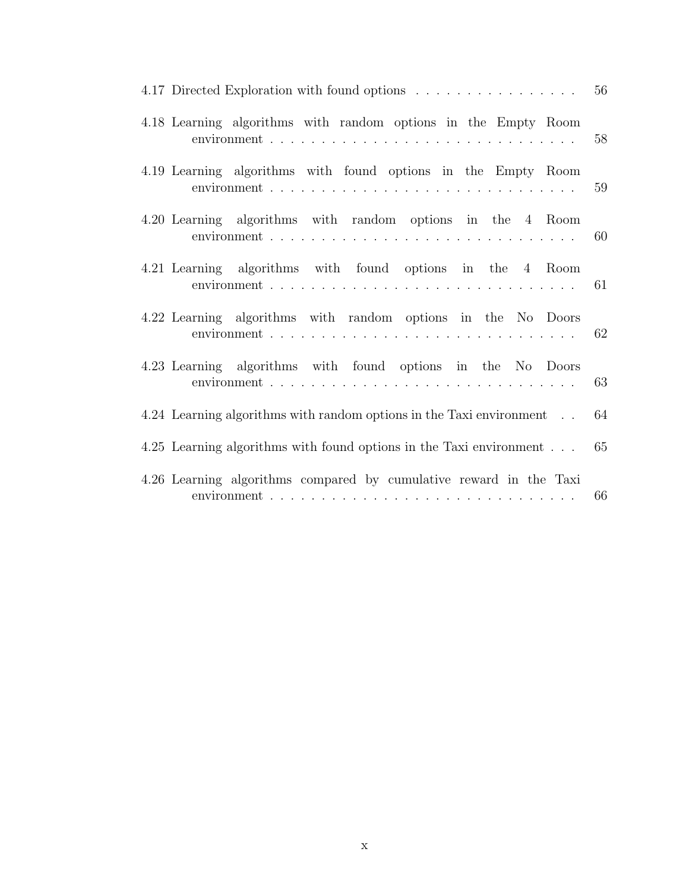| 4.17 Directed Exploration with found options 56                      |    |
|----------------------------------------------------------------------|----|
| 4.18 Learning algorithms with random options in the Empty Room       | 58 |
| 4.19 Learning algorithms with found options in the Empty Room        | 59 |
| 4.20 Learning algorithms with random options in the 4 Room           |    |
| 4.21 Learning algorithms with found options in the 4 Room            |    |
| 4.22 Learning algorithms with random options in the No Doors         |    |
| 4.23 Learning algorithms with found options in the No Doors          |    |
| 4.24 Learning algorithms with random options in the Taxi environment | 64 |
| 4.25 Learning algorithms with found options in the Taxi environment  | 65 |
| 4.26 Learning algorithms compared by cumulative reward in the Taxi   | 66 |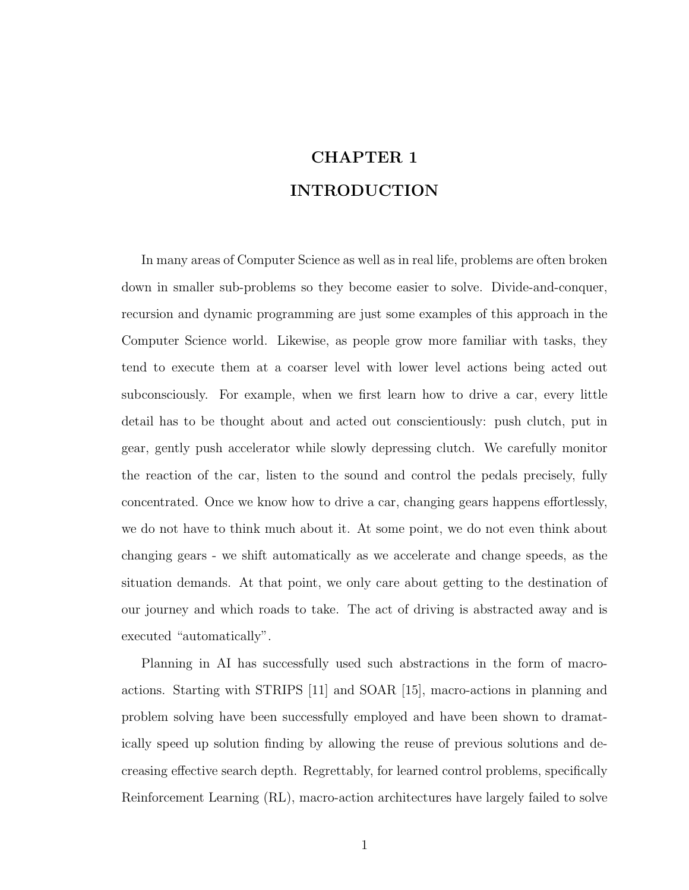# CHAPTER 1 INTRODUCTION

In many areas of Computer Science as well as in real life, problems are often broken down in smaller sub-problems so they become easier to solve. Divide-and-conquer, recursion and dynamic programming are just some examples of this approach in the Computer Science world. Likewise, as people grow more familiar with tasks, they tend to execute them at a coarser level with lower level actions being acted out subconsciously. For example, when we first learn how to drive a car, every little detail has to be thought about and acted out conscientiously: push clutch, put in gear, gently push accelerator while slowly depressing clutch. We carefully monitor the reaction of the car, listen to the sound and control the pedals precisely, fully concentrated. Once we know how to drive a car, changing gears happens effortlessly, we do not have to think much about it. At some point, we do not even think about changing gears - we shift automatically as we accelerate and change speeds, as the situation demands. At that point, we only care about getting to the destination of our journey and which roads to take. The act of driving is abstracted away and is executed "automatically".

Planning in AI has successfully used such abstractions in the form of macroactions. Starting with STRIPS [11] and SOAR [15], macro-actions in planning and problem solving have been successfully employed and have been shown to dramatically speed up solution finding by allowing the reuse of previous solutions and decreasing effective search depth. Regrettably, for learned control problems, specifically Reinforcement Learning (RL), macro-action architectures have largely failed to solve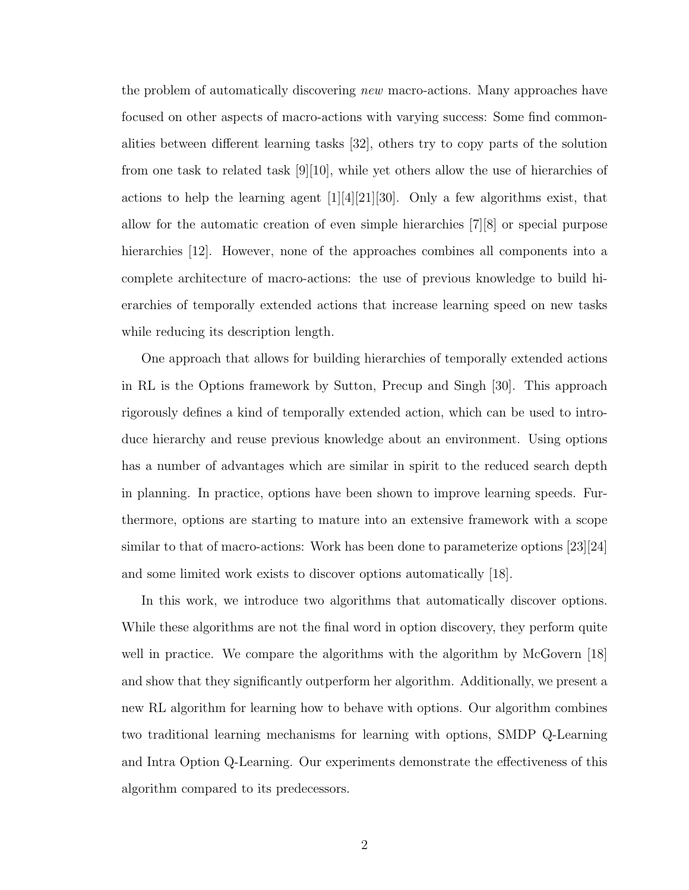the problem of automatically discovering new macro-actions. Many approaches have focused on other aspects of macro-actions with varying success: Some find commonalities between different learning tasks [32], others try to copy parts of the solution from one task to related task [9][10], while yet others allow the use of hierarchies of actions to help the learning agent [1][4][21][30]. Only a few algorithms exist, that allow for the automatic creation of even simple hierarchies [7][8] or special purpose hierarchies [12]. However, none of the approaches combines all components into a complete architecture of macro-actions: the use of previous knowledge to build hierarchies of temporally extended actions that increase learning speed on new tasks while reducing its description length.

One approach that allows for building hierarchies of temporally extended actions in RL is the Options framework by Sutton, Precup and Singh [30]. This approach rigorously defines a kind of temporally extended action, which can be used to introduce hierarchy and reuse previous knowledge about an environment. Using options has a number of advantages which are similar in spirit to the reduced search depth in planning. In practice, options have been shown to improve learning speeds. Furthermore, options are starting to mature into an extensive framework with a scope similar to that of macro-actions: Work has been done to parameterize options [23][24] and some limited work exists to discover options automatically [18].

In this work, we introduce two algorithms that automatically discover options. While these algorithms are not the final word in option discovery, they perform quite well in practice. We compare the algorithms with the algorithm by McGovern [18] and show that they significantly outperform her algorithm. Additionally, we present a new RL algorithm for learning how to behave with options. Our algorithm combines two traditional learning mechanisms for learning with options, SMDP Q-Learning and Intra Option Q-Learning. Our experiments demonstrate the effectiveness of this algorithm compared to its predecessors.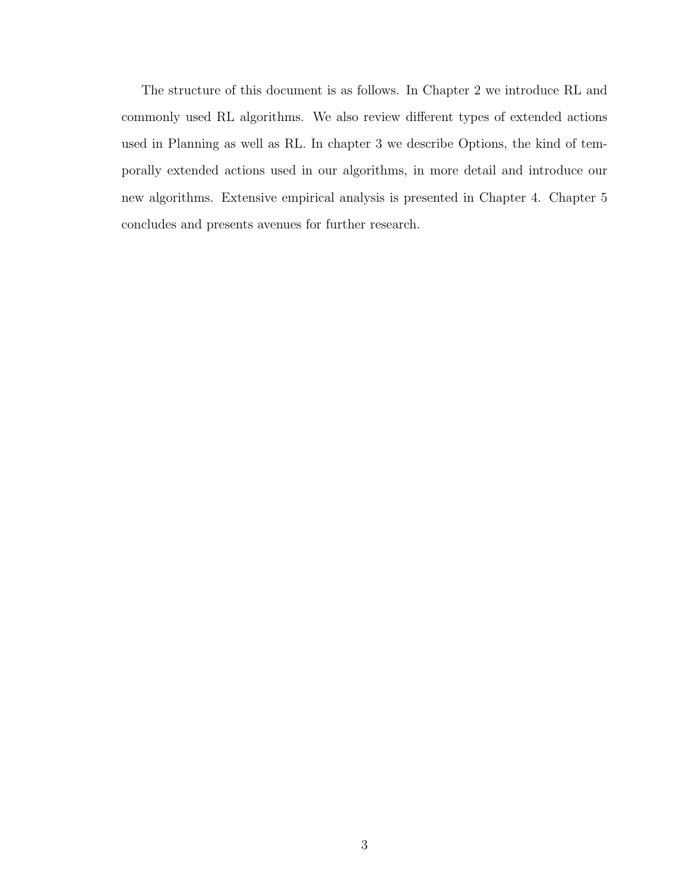The structure of this document is as follows. In Chapter 2 we introduce RL and commonly used RL algorithms. We also review different types of extended actions used in Planning as well as RL. In chapter 3 we describe Options, the kind of temporally extended actions used in our algorithms, in more detail and introduce our new algorithms. Extensive empirical analysis is presented in Chapter 4. Chapter 5 concludes and presents avenues for further research.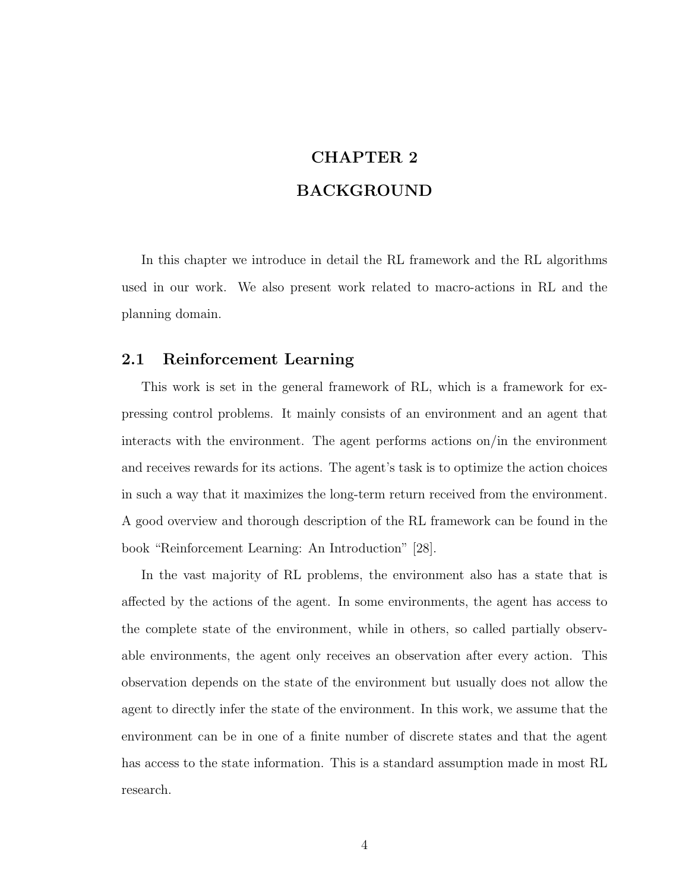# CHAPTER 2 BACKGROUND

In this chapter we introduce in detail the RL framework and the RL algorithms used in our work. We also present work related to macro-actions in RL and the planning domain.

### 2.1 Reinforcement Learning

This work is set in the general framework of RL, which is a framework for expressing control problems. It mainly consists of an environment and an agent that interacts with the environment. The agent performs actions on/in the environment and receives rewards for its actions. The agent's task is to optimize the action choices in such a way that it maximizes the long-term return received from the environment. A good overview and thorough description of the RL framework can be found in the book "Reinforcement Learning: An Introduction" [28].

In the vast majority of RL problems, the environment also has a state that is affected by the actions of the agent. In some environments, the agent has access to the complete state of the environment, while in others, so called partially observable environments, the agent only receives an observation after every action. This observation depends on the state of the environment but usually does not allow the agent to directly infer the state of the environment. In this work, we assume that the environment can be in one of a finite number of discrete states and that the agent has access to the state information. This is a standard assumption made in most RL research.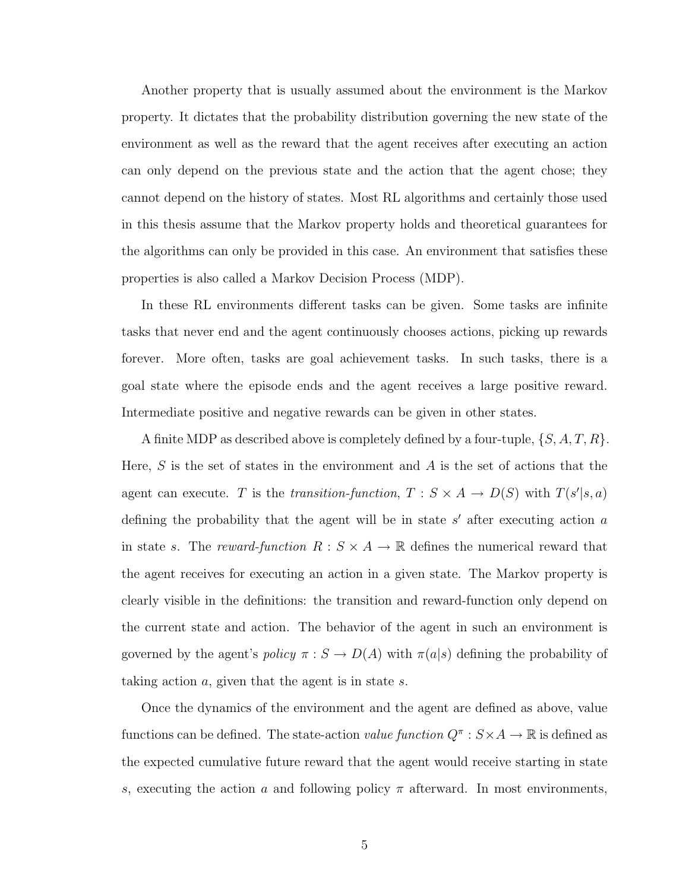Another property that is usually assumed about the environment is the Markov property. It dictates that the probability distribution governing the new state of the environment as well as the reward that the agent receives after executing an action can only depend on the previous state and the action that the agent chose; they cannot depend on the history of states. Most RL algorithms and certainly those used in this thesis assume that the Markov property holds and theoretical guarantees for the algorithms can only be provided in this case. An environment that satisfies these properties is also called a Markov Decision Process (MDP).

In these RL environments different tasks can be given. Some tasks are infinite tasks that never end and the agent continuously chooses actions, picking up rewards forever. More often, tasks are goal achievement tasks. In such tasks, there is a goal state where the episode ends and the agent receives a large positive reward. Intermediate positive and negative rewards can be given in other states.

A finite MDP as described above is completely defined by a four-tuple,  $\{S, A, T, R\}$ . Here,  $S$  is the set of states in the environment and  $A$  is the set of actions that the agent can execute. T is the transition-function,  $T : S \times A \rightarrow D(S)$  with  $T(s'|s,a)$ defining the probability that the agent will be in state  $s'$  after executing action  $a$ in state s. The reward-function  $R : S \times A \rightarrow \mathbb{R}$  defines the numerical reward that the agent receives for executing an action in a given state. The Markov property is clearly visible in the definitions: the transition and reward-function only depend on the current state and action. The behavior of the agent in such an environment is governed by the agent's policy  $\pi : S \to D(A)$  with  $\pi(a|s)$  defining the probability of taking action  $a$ , given that the agent is in state  $s$ .

Once the dynamics of the environment and the agent are defined as above, value functions can be defined. The state-action *value function*  $Q^{\pi}: S \times A \to \mathbb{R}$  is defined as the expected cumulative future reward that the agent would receive starting in state s, executing the action a and following policy  $\pi$  afterward. In most environments,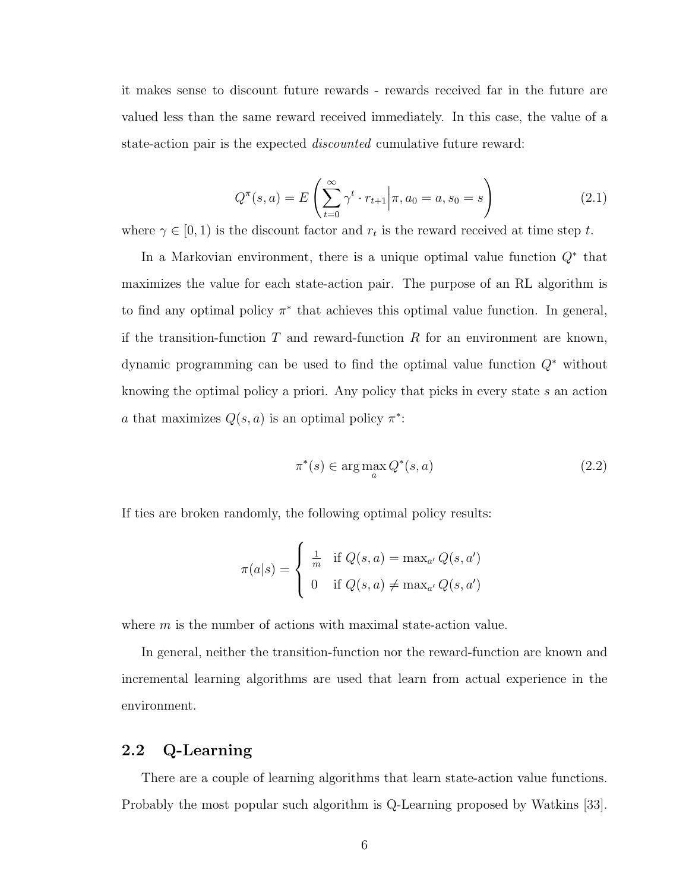it makes sense to discount future rewards - rewards received far in the future are valued less than the same reward received immediately. In this case, the value of a state-action pair is the expected discounted cumulative future reward:

$$
Q^{\pi}(s, a) = E\left(\sum_{t=0}^{\infty} \gamma^t \cdot r_{t+1} \middle| \pi, a_0 = a, s_0 = s\right)
$$
 (2.1)

where  $\gamma \in [0, 1)$  is the discount factor and  $r_t$  is the reward received at time step t.

In a Markovian environment, there is a unique optimal value function  $Q^*$  that maximizes the value for each state-action pair. The purpose of an RL algorithm is to find any optimal policy  $\pi^*$  that achieves this optimal value function. In general, if the transition-function T and reward-function R for an environment are known, dynamic programming can be used to find the optimal value function Q<sup>∗</sup> without knowing the optimal policy a priori. Any policy that picks in every state s an action a that maximizes  $Q(s, a)$  is an optimal policy  $\pi^*$ :

$$
\pi^*(s) \in \arg\max_a Q^*(s, a) \tag{2.2}
$$

If ties are broken randomly, the following optimal policy results:

$$
\pi(a|s) = \begin{cases} \frac{1}{m} & \text{if } Q(s,a) = \max_{a'} Q(s,a')\\ 0 & \text{if } Q(s,a) \neq \max_{a'} Q(s,a') \end{cases}
$$

where  $m$  is the number of actions with maximal state-action value.

In general, neither the transition-function nor the reward-function are known and incremental learning algorithms are used that learn from actual experience in the environment.

# 2.2 Q-Learning

There are a couple of learning algorithms that learn state-action value functions. Probably the most popular such algorithm is Q-Learning proposed by Watkins [33].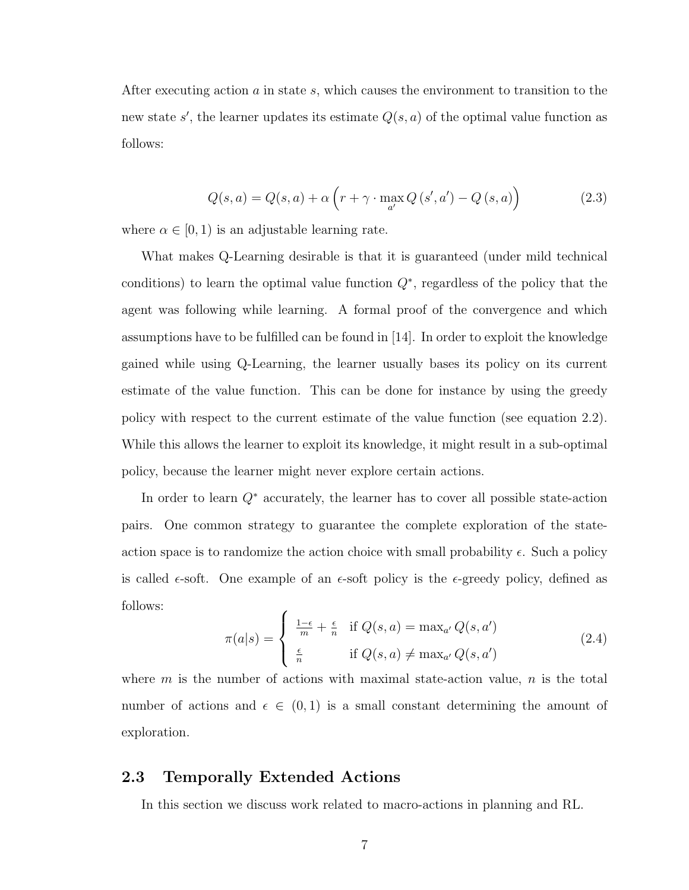After executing action a in state s, which causes the environment to transition to the new state s', the learner updates its estimate  $Q(s, a)$  of the optimal value function as follows:

$$
Q(s, a) = Q(s, a) + \alpha \left( r + \gamma \cdot \max_{a'} Q\left(s', a'\right) - Q\left(s, a\right) \right) \tag{2.3}
$$

where  $\alpha \in [0, 1)$  is an adjustable learning rate.

What makes Q-Learning desirable is that it is guaranteed (under mild technical conditions) to learn the optimal value function  $Q^*$ , regardless of the policy that the agent was following while learning. A formal proof of the convergence and which assumptions have to be fulfilled can be found in  $|14|$ . In order to exploit the knowledge gained while using Q-Learning, the learner usually bases its policy on its current estimate of the value function. This can be done for instance by using the greedy policy with respect to the current estimate of the value function (see equation 2.2). While this allows the learner to exploit its knowledge, it might result in a sub-optimal policy, because the learner might never explore certain actions.

In order to learn Q<sup>∗</sup> accurately, the learner has to cover all possible state-action pairs. One common strategy to guarantee the complete exploration of the stateaction space is to randomize the action choice with small probability  $\epsilon$ . Such a policy is called  $\epsilon$ -soft. One example of an  $\epsilon$ -soft policy is the  $\epsilon$ -greedy policy, defined as follows:

$$
\pi(a|s) = \begin{cases}\n\frac{1-\epsilon}{m} + \frac{\epsilon}{n} & \text{if } Q(s, a) = \max_{a'} Q(s, a') \\
\frac{\epsilon}{n} & \text{if } Q(s, a) \neq \max_{a'} Q(s, a')\n\end{cases}
$$
\n(2.4)

where  $m$  is the number of actions with maximal state-action value,  $n$  is the total number of actions and  $\epsilon \in (0,1)$  is a small constant determining the amount of exploration.

## 2.3 Temporally Extended Actions

In this section we discuss work related to macro-actions in planning and RL.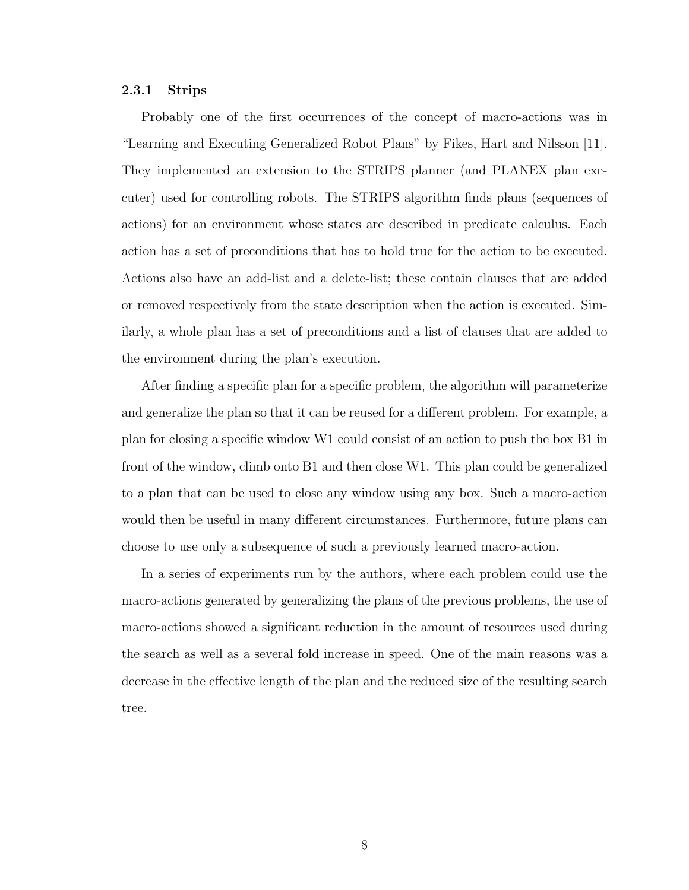#### 2.3.1 Strips

Probably one of the first occurrences of the concept of macro-actions was in "Learning and Executing Generalized Robot Plans" by Fikes, Hart and Nilsson [11]. They implemented an extension to the STRIPS planner (and PLANEX plan executer) used for controlling robots. The STRIPS algorithm finds plans (sequences of actions) for an environment whose states are described in predicate calculus. Each action has a set of preconditions that has to hold true for the action to be executed. Actions also have an add-list and a delete-list; these contain clauses that are added or removed respectively from the state description when the action is executed. Similarly, a whole plan has a set of preconditions and a list of clauses that are added to the environment during the plan's execution.

After finding a specific plan for a specific problem, the algorithm will parameterize and generalize the plan so that it can be reused for a different problem. For example, a plan for closing a specific window W1 could consist of an action to push the box B1 in front of the window, climb onto B1 and then close W1. This plan could be generalized to a plan that can be used to close any window using any box. Such a macro-action would then be useful in many different circumstances. Furthermore, future plans can choose to use only a subsequence of such a previously learned macro-action.

In a series of experiments run by the authors, where each problem could use the macro-actions generated by generalizing the plans of the previous problems, the use of macro-actions showed a significant reduction in the amount of resources used during the search as well as a several fold increase in speed. One of the main reasons was a decrease in the effective length of the plan and the reduced size of the resulting search tree.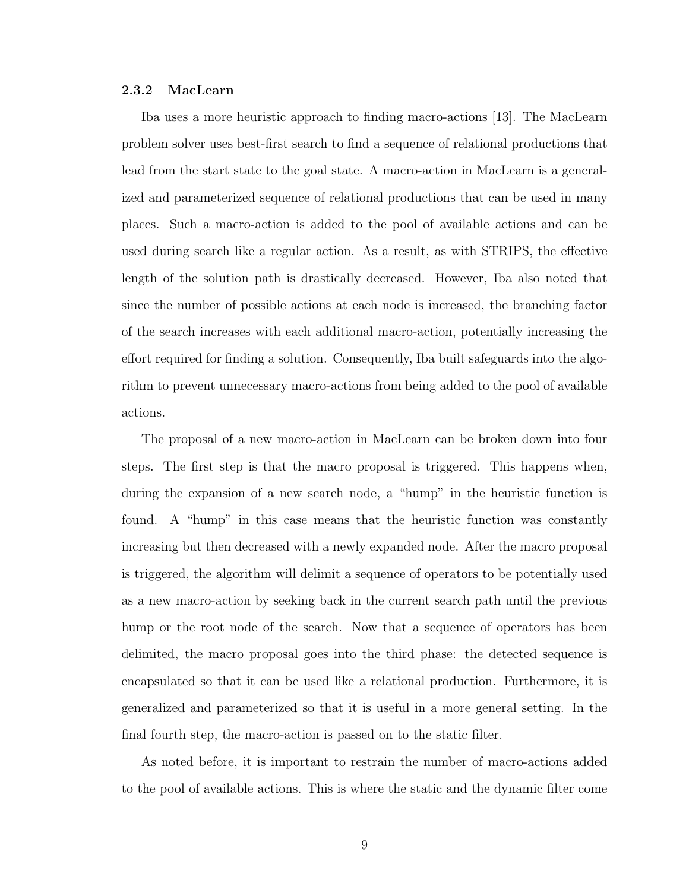#### 2.3.2 MacLearn

Iba uses a more heuristic approach to finding macro-actions [13]. The MacLearn problem solver uses best-first search to find a sequence of relational productions that lead from the start state to the goal state. A macro-action in MacLearn is a generalized and parameterized sequence of relational productions that can be used in many places. Such a macro-action is added to the pool of available actions and can be used during search like a regular action. As a result, as with STRIPS, the effective length of the solution path is drastically decreased. However, Iba also noted that since the number of possible actions at each node is increased, the branching factor of the search increases with each additional macro-action, potentially increasing the effort required for finding a solution. Consequently, Iba built safeguards into the algorithm to prevent unnecessary macro-actions from being added to the pool of available actions.

The proposal of a new macro-action in MacLearn can be broken down into four steps. The first step is that the macro proposal is triggered. This happens when, during the expansion of a new search node, a "hump" in the heuristic function is found. A "hump" in this case means that the heuristic function was constantly increasing but then decreased with a newly expanded node. After the macro proposal is triggered, the algorithm will delimit a sequence of operators to be potentially used as a new macro-action by seeking back in the current search path until the previous hump or the root node of the search. Now that a sequence of operators has been delimited, the macro proposal goes into the third phase: the detected sequence is encapsulated so that it can be used like a relational production. Furthermore, it is generalized and parameterized so that it is useful in a more general setting. In the final fourth step, the macro-action is passed on to the static filter.

As noted before, it is important to restrain the number of macro-actions added to the pool of available actions. This is where the static and the dynamic filter come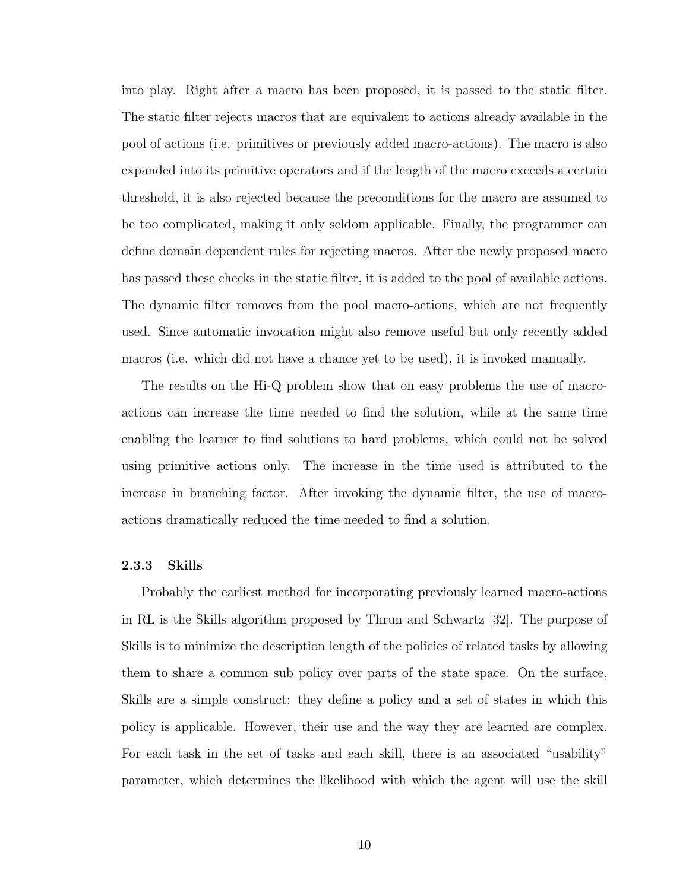into play. Right after a macro has been proposed, it is passed to the static filter. The static filter rejects macros that are equivalent to actions already available in the pool of actions (i.e. primitives or previously added macro-actions). The macro is also expanded into its primitive operators and if the length of the macro exceeds a certain threshold, it is also rejected because the preconditions for the macro are assumed to be too complicated, making it only seldom applicable. Finally, the programmer can define domain dependent rules for rejecting macros. After the newly proposed macro has passed these checks in the static filter, it is added to the pool of available actions. The dynamic filter removes from the pool macro-actions, which are not frequently used. Since automatic invocation might also remove useful but only recently added macros (i.e. which did not have a chance yet to be used), it is invoked manually.

The results on the Hi-Q problem show that on easy problems the use of macroactions can increase the time needed to find the solution, while at the same time enabling the learner to find solutions to hard problems, which could not be solved using primitive actions only. The increase in the time used is attributed to the increase in branching factor. After invoking the dynamic filter, the use of macroactions dramatically reduced the time needed to find a solution.

#### 2.3.3 Skills

Probably the earliest method for incorporating previously learned macro-actions in RL is the Skills algorithm proposed by Thrun and Schwartz [32]. The purpose of Skills is to minimize the description length of the policies of related tasks by allowing them to share a common sub policy over parts of the state space. On the surface, Skills are a simple construct: they define a policy and a set of states in which this policy is applicable. However, their use and the way they are learned are complex. For each task in the set of tasks and each skill, there is an associated "usability" parameter, which determines the likelihood with which the agent will use the skill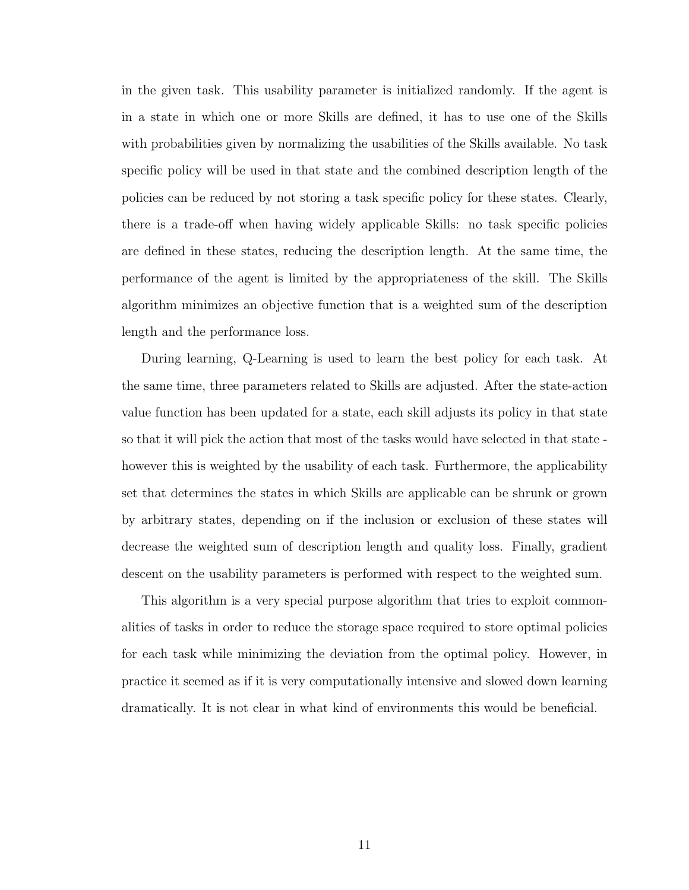in the given task. This usability parameter is initialized randomly. If the agent is in a state in which one or more Skills are defined, it has to use one of the Skills with probabilities given by normalizing the usabilities of the Skills available. No task specific policy will be used in that state and the combined description length of the policies can be reduced by not storing a task specific policy for these states. Clearly, there is a trade-off when having widely applicable Skills: no task specific policies are defined in these states, reducing the description length. At the same time, the performance of the agent is limited by the appropriateness of the skill. The Skills algorithm minimizes an objective function that is a weighted sum of the description length and the performance loss.

During learning, Q-Learning is used to learn the best policy for each task. At the same time, three parameters related to Skills are adjusted. After the state-action value function has been updated for a state, each skill adjusts its policy in that state so that it will pick the action that most of the tasks would have selected in that state however this is weighted by the usability of each task. Furthermore, the applicability set that determines the states in which Skills are applicable can be shrunk or grown by arbitrary states, depending on if the inclusion or exclusion of these states will decrease the weighted sum of description length and quality loss. Finally, gradient descent on the usability parameters is performed with respect to the weighted sum.

This algorithm is a very special purpose algorithm that tries to exploit commonalities of tasks in order to reduce the storage space required to store optimal policies for each task while minimizing the deviation from the optimal policy. However, in practice it seemed as if it is very computationally intensive and slowed down learning dramatically. It is not clear in what kind of environments this would be beneficial.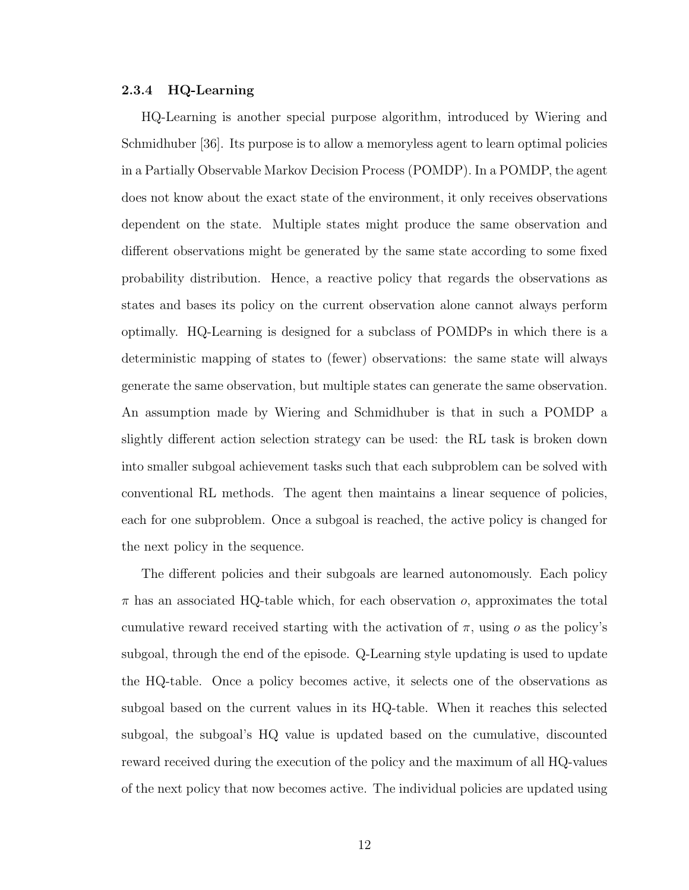#### 2.3.4 HQ-Learning

HQ-Learning is another special purpose algorithm, introduced by Wiering and Schmidhuber [36]. Its purpose is to allow a memoryless agent to learn optimal policies in a Partially Observable Markov Decision Process (POMDP). In a POMDP, the agent does not know about the exact state of the environment, it only receives observations dependent on the state. Multiple states might produce the same observation and different observations might be generated by the same state according to some fixed probability distribution. Hence, a reactive policy that regards the observations as states and bases its policy on the current observation alone cannot always perform optimally. HQ-Learning is designed for a subclass of POMDPs in which there is a deterministic mapping of states to (fewer) observations: the same state will always generate the same observation, but multiple states can generate the same observation. An assumption made by Wiering and Schmidhuber is that in such a POMDP a slightly different action selection strategy can be used: the RL task is broken down into smaller subgoal achievement tasks such that each subproblem can be solved with conventional RL methods. The agent then maintains a linear sequence of policies, each for one subproblem. Once a subgoal is reached, the active policy is changed for the next policy in the sequence.

The different policies and their subgoals are learned autonomously. Each policy  $\pi$  has an associated HQ-table which, for each observation  $o$ , approximates the total cumulative reward received starting with the activation of  $\pi$ , using o as the policy's subgoal, through the end of the episode. Q-Learning style updating is used to update the HQ-table. Once a policy becomes active, it selects one of the observations as subgoal based on the current values in its HQ-table. When it reaches this selected subgoal, the subgoal's HQ value is updated based on the cumulative, discounted reward received during the execution of the policy and the maximum of all HQ-values of the next policy that now becomes active. The individual policies are updated using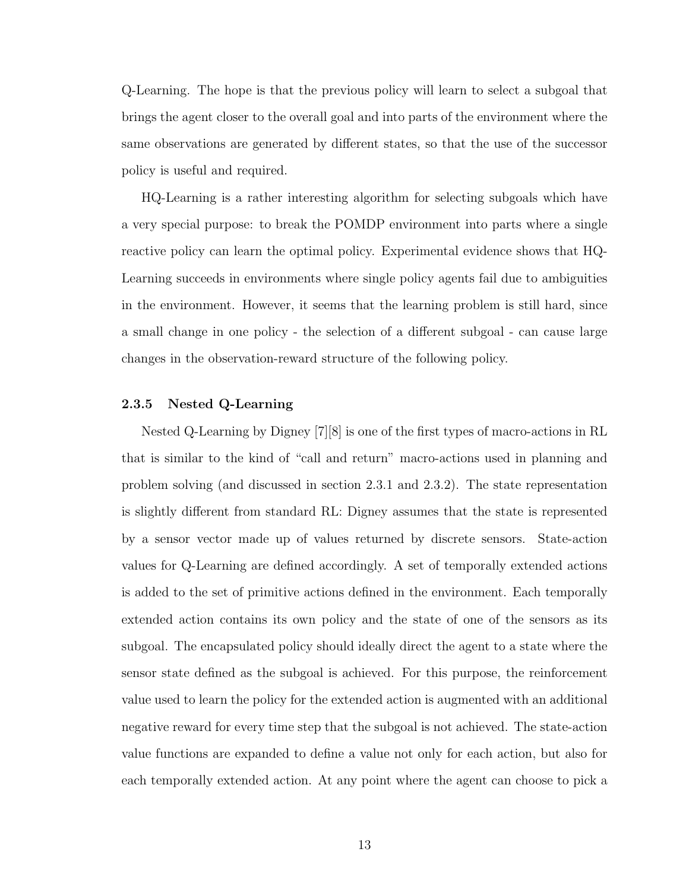Q-Learning. The hope is that the previous policy will learn to select a subgoal that brings the agent closer to the overall goal and into parts of the environment where the same observations are generated by different states, so that the use of the successor policy is useful and required.

HQ-Learning is a rather interesting algorithm for selecting subgoals which have a very special purpose: to break the POMDP environment into parts where a single reactive policy can learn the optimal policy. Experimental evidence shows that HQ-Learning succeeds in environments where single policy agents fail due to ambiguities in the environment. However, it seems that the learning problem is still hard, since a small change in one policy - the selection of a different subgoal - can cause large changes in the observation-reward structure of the following policy.

#### 2.3.5 Nested Q-Learning

Nested Q-Learning by Digney [7][8] is one of the first types of macro-actions in RL that is similar to the kind of "call and return" macro-actions used in planning and problem solving (and discussed in section 2.3.1 and 2.3.2). The state representation is slightly different from standard RL: Digney assumes that the state is represented by a sensor vector made up of values returned by discrete sensors. State-action values for Q-Learning are defined accordingly. A set of temporally extended actions is added to the set of primitive actions defined in the environment. Each temporally extended action contains its own policy and the state of one of the sensors as its subgoal. The encapsulated policy should ideally direct the agent to a state where the sensor state defined as the subgoal is achieved. For this purpose, the reinforcement value used to learn the policy for the extended action is augmented with an additional negative reward for every time step that the subgoal is not achieved. The state-action value functions are expanded to define a value not only for each action, but also for each temporally extended action. At any point where the agent can choose to pick a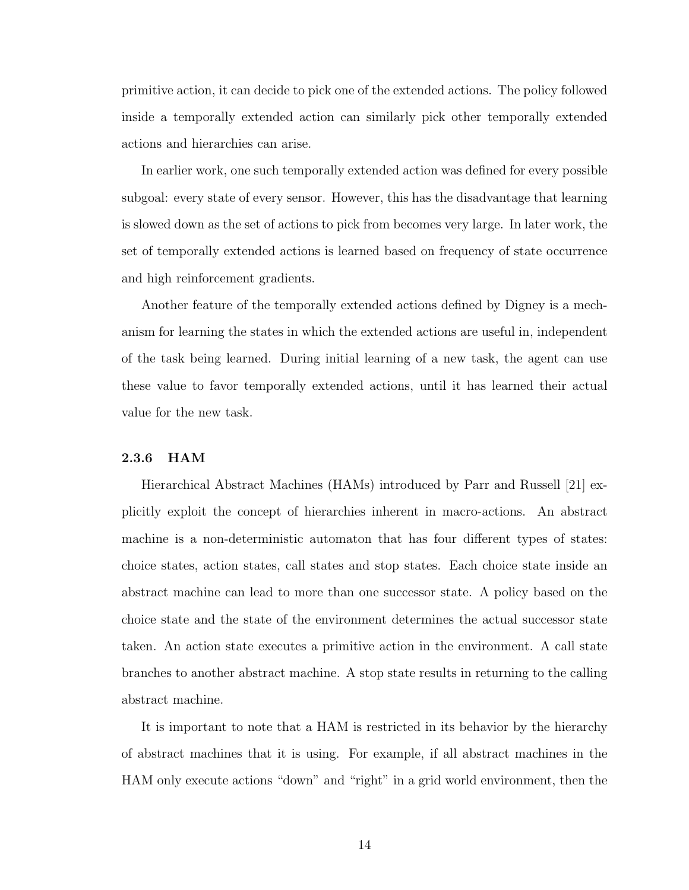primitive action, it can decide to pick one of the extended actions. The policy followed inside a temporally extended action can similarly pick other temporally extended actions and hierarchies can arise.

In earlier work, one such temporally extended action was defined for every possible subgoal: every state of every sensor. However, this has the disadvantage that learning is slowed down as the set of actions to pick from becomes very large. In later work, the set of temporally extended actions is learned based on frequency of state occurrence and high reinforcement gradients.

Another feature of the temporally extended actions defined by Digney is a mechanism for learning the states in which the extended actions are useful in, independent of the task being learned. During initial learning of a new task, the agent can use these value to favor temporally extended actions, until it has learned their actual value for the new task.

#### 2.3.6 HAM

Hierarchical Abstract Machines (HAMs) introduced by Parr and Russell [21] explicitly exploit the concept of hierarchies inherent in macro-actions. An abstract machine is a non-deterministic automaton that has four different types of states: choice states, action states, call states and stop states. Each choice state inside an abstract machine can lead to more than one successor state. A policy based on the choice state and the state of the environment determines the actual successor state taken. An action state executes a primitive action in the environment. A call state branches to another abstract machine. A stop state results in returning to the calling abstract machine.

It is important to note that a HAM is restricted in its behavior by the hierarchy of abstract machines that it is using. For example, if all abstract machines in the HAM only execute actions "down" and "right" in a grid world environment, then the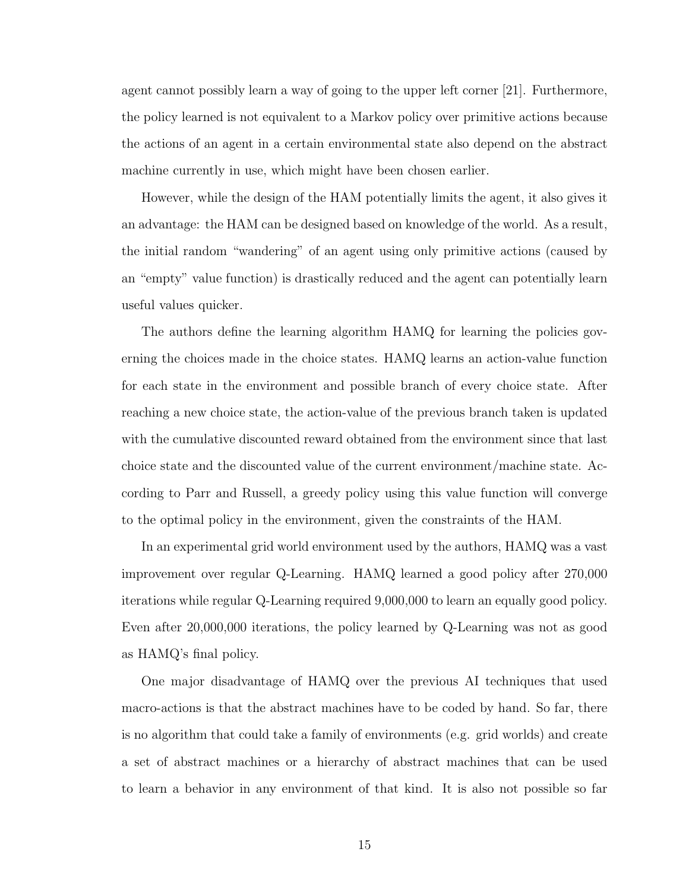agent cannot possibly learn a way of going to the upper left corner [21]. Furthermore, the policy learned is not equivalent to a Markov policy over primitive actions because the actions of an agent in a certain environmental state also depend on the abstract machine currently in use, which might have been chosen earlier.

However, while the design of the HAM potentially limits the agent, it also gives it an advantage: the HAM can be designed based on knowledge of the world. As a result, the initial random "wandering" of an agent using only primitive actions (caused by an "empty" value function) is drastically reduced and the agent can potentially learn useful values quicker.

The authors define the learning algorithm HAMQ for learning the policies governing the choices made in the choice states. HAMQ learns an action-value function for each state in the environment and possible branch of every choice state. After reaching a new choice state, the action-value of the previous branch taken is updated with the cumulative discounted reward obtained from the environment since that last choice state and the discounted value of the current environment/machine state. According to Parr and Russell, a greedy policy using this value function will converge to the optimal policy in the environment, given the constraints of the HAM.

In an experimental grid world environment used by the authors, HAMQ was a vast improvement over regular Q-Learning. HAMQ learned a good policy after 270,000 iterations while regular Q-Learning required 9,000,000 to learn an equally good policy. Even after 20,000,000 iterations, the policy learned by Q-Learning was not as good as HAMQ's final policy.

One major disadvantage of HAMQ over the previous AI techniques that used macro-actions is that the abstract machines have to be coded by hand. So far, there is no algorithm that could take a family of environments (e.g. grid worlds) and create a set of abstract machines or a hierarchy of abstract machines that can be used to learn a behavior in any environment of that kind. It is also not possible so far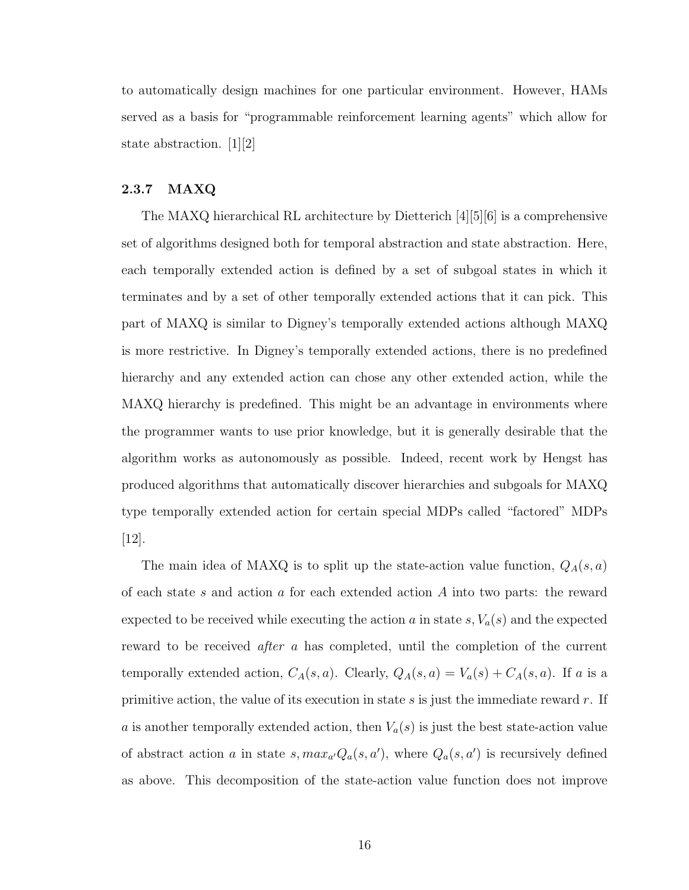to automatically design machines for one particular environment. However, HAMs served as a basis for "programmable reinforcement learning agents" which allow for state abstraction. [1][2]

### 2.3.7 MAXQ

The MAXQ hierarchical RL architecture by Dietterich [4][5][6] is a comprehensive set of algorithms designed both for temporal abstraction and state abstraction. Here, each temporally extended action is defined by a set of subgoal states in which it terminates and by a set of other temporally extended actions that it can pick. This part of MAXQ is similar to Digney's temporally extended actions although MAXQ is more restrictive. In Digney's temporally extended actions, there is no predefined hierarchy and any extended action can chose any other extended action, while the MAXQ hierarchy is predefined. This might be an advantage in environments where the programmer wants to use prior knowledge, but it is generally desirable that the algorithm works as autonomously as possible. Indeed, recent work by Hengst has produced algorithms that automatically discover hierarchies and subgoals for MAXQ type temporally extended action for certain special MDPs called "factored" MDPs [12].

The main idea of MAXQ is to split up the state-action value function,  $Q_A(s, a)$ of each state s and action a for each extended action  $A$  into two parts: the reward expected to be received while executing the action a in state  $s, V_a(s)$  and the expected reward to be received after a has completed, until the completion of the current temporally extended action,  $C_A(s, a)$ . Clearly,  $Q_A(s, a) = V_a(s) + C_A(s, a)$ . If a is a primitive action, the value of its execution in state  $s$  is just the immediate reward  $r$ . If a is another temporally extended action, then  $V_a(s)$  is just the best state-action value of abstract action a in state  $s, max_{a'}Q_a(s, a')$ , where  $Q_a(s, a')$  is recursively defined as above. This decomposition of the state-action value function does not improve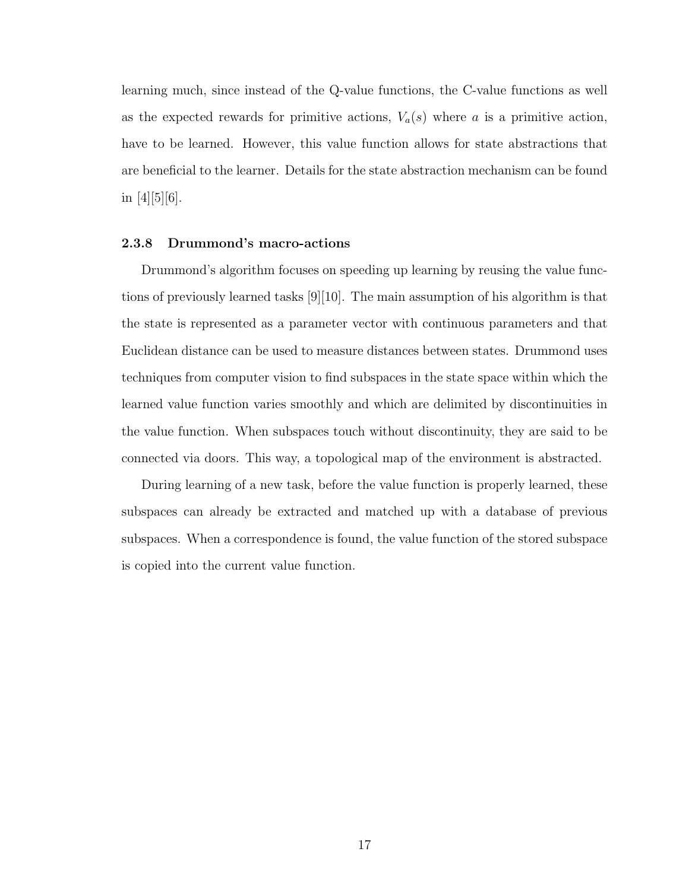learning much, since instead of the Q-value functions, the C-value functions as well as the expected rewards for primitive actions,  $V_a(s)$  where a is a primitive action, have to be learned. However, this value function allows for state abstractions that are beneficial to the learner. Details for the state abstraction mechanism can be found in  $[4][5][6]$ .

#### 2.3.8 Drummond's macro-actions

Drummond's algorithm focuses on speeding up learning by reusing the value functions of previously learned tasks [9][10]. The main assumption of his algorithm is that the state is represented as a parameter vector with continuous parameters and that Euclidean distance can be used to measure distances between states. Drummond uses techniques from computer vision to find subspaces in the state space within which the learned value function varies smoothly and which are delimited by discontinuities in the value function. When subspaces touch without discontinuity, they are said to be connected via doors. This way, a topological map of the environment is abstracted.

During learning of a new task, before the value function is properly learned, these subspaces can already be extracted and matched up with a database of previous subspaces. When a correspondence is found, the value function of the stored subspace is copied into the current value function.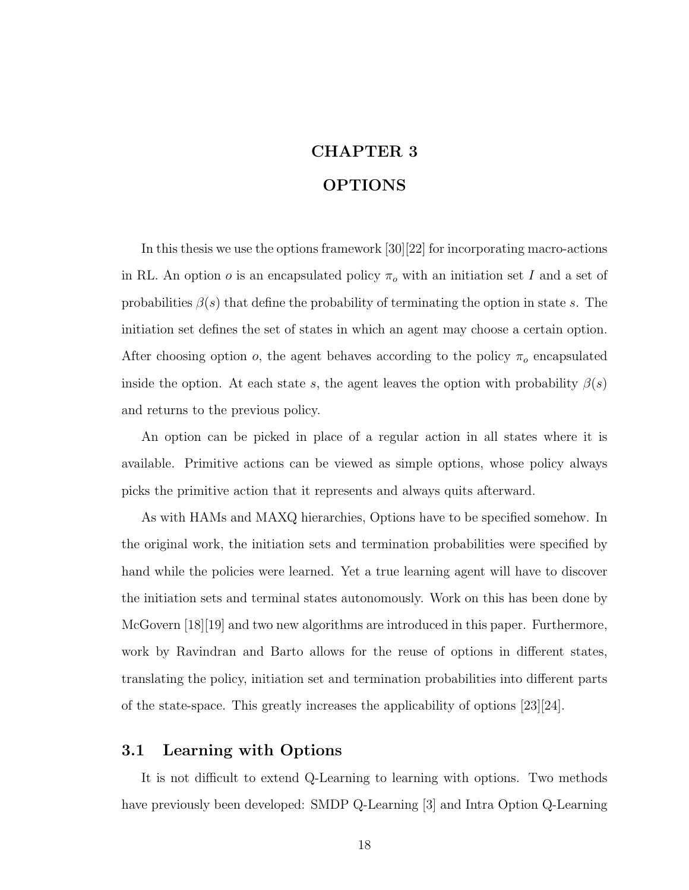# CHAPTER 3 OPTIONS

In this thesis we use the options framework [30][22] for incorporating macro-actions in RL. An option  $o$  is an encapsulated policy  $\pi_o$  with an initiation set I and a set of probabilities  $\beta(s)$  that define the probability of terminating the option in state s. The initiation set defines the set of states in which an agent may choose a certain option. After choosing option o, the agent behaves according to the policy  $\pi_o$  encapsulated inside the option. At each state s, the agent leaves the option with probability  $\beta(s)$ and returns to the previous policy.

An option can be picked in place of a regular action in all states where it is available. Primitive actions can be viewed as simple options, whose policy always picks the primitive action that it represents and always quits afterward.

As with HAMs and MAXQ hierarchies, Options have to be specified somehow. In the original work, the initiation sets and termination probabilities were specified by hand while the policies were learned. Yet a true learning agent will have to discover the initiation sets and terminal states autonomously. Work on this has been done by McGovern [18][19] and two new algorithms are introduced in this paper. Furthermore, work by Ravindran and Barto allows for the reuse of options in different states, translating the policy, initiation set and termination probabilities into different parts of the state-space. This greatly increases the applicability of options [23][24].

### 3.1 Learning with Options

It is not difficult to extend Q-Learning to learning with options. Two methods have previously been developed: SMDP Q-Learning [3] and Intra Option Q-Learning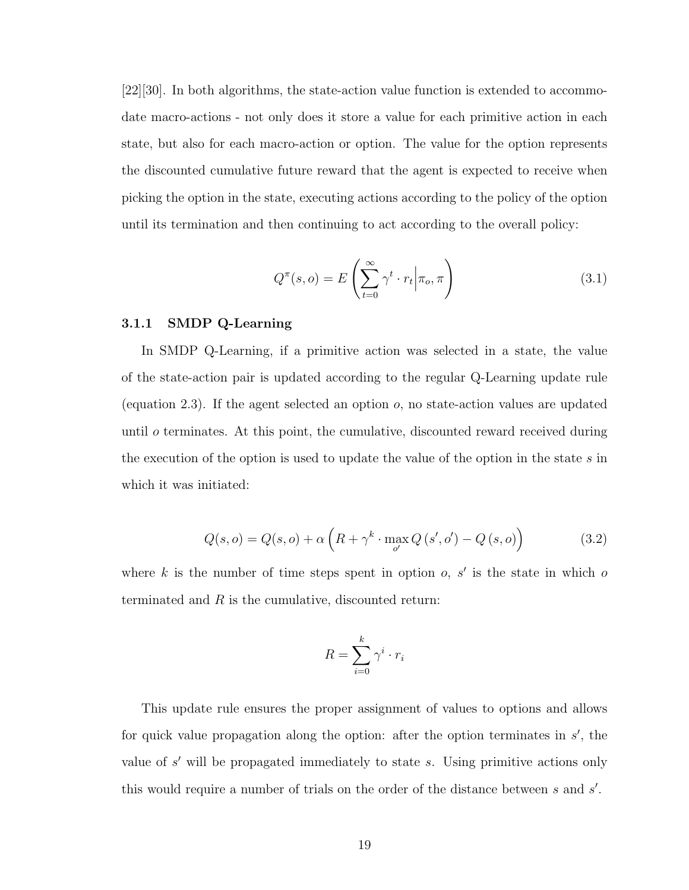[22][30]. In both algorithms, the state-action value function is extended to accommodate macro-actions - not only does it store a value for each primitive action in each state, but also for each macro-action or option. The value for the option represents the discounted cumulative future reward that the agent is expected to receive when picking the option in the state, executing actions according to the policy of the option until its termination and then continuing to act according to the overall policy:

$$
Q^{\pi}(s, o) = E\left(\sum_{t=0}^{\infty} \gamma^t \cdot r_t \middle| \pi_o, \pi\right)
$$
\n(3.1)

#### 3.1.1 SMDP Q-Learning

In SMDP Q-Learning, if a primitive action was selected in a state, the value of the state-action pair is updated according to the regular Q-Learning update rule (equation 2.3). If the agent selected an option  $o$ , no state-action values are updated until o terminates. At this point, the cumulative, discounted reward received during the execution of the option is used to update the value of the option in the state s in which it was initiated:

$$
Q(s, o) = Q(s, o) + \alpha \left( R + \gamma^k \cdot \max_{o'} Q\left(s', o'\right) - Q\left(s, o\right) \right) \tag{3.2}
$$

where k is the number of time steps spent in option  $o, s'$  is the state in which of terminated and  $R$  is the cumulative, discounted return:

$$
R = \sum_{i=0}^{k} \gamma^i \cdot r_i
$$

This update rule ensures the proper assignment of values to options and allows for quick value propagation along the option: after the option terminates in  $s'$ , the value of  $s'$  will be propagated immediately to state  $s$ . Using primitive actions only this would require a number of trials on the order of the distance between  $s$  and  $s'$ .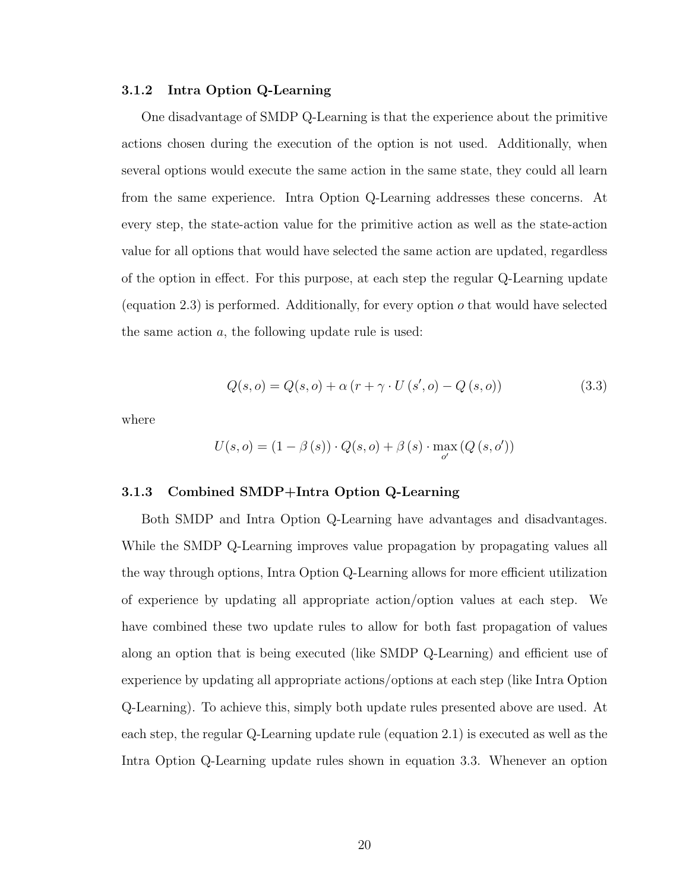#### 3.1.2 Intra Option Q-Learning

One disadvantage of SMDP Q-Learning is that the experience about the primitive actions chosen during the execution of the option is not used. Additionally, when several options would execute the same action in the same state, they could all learn from the same experience. Intra Option Q-Learning addresses these concerns. At every step, the state-action value for the primitive action as well as the state-action value for all options that would have selected the same action are updated, regardless of the option in effect. For this purpose, at each step the regular Q-Learning update (equation 2.3) is performed. Additionally, for every option  $o$  that would have selected the same action  $a$ , the following update rule is used:

$$
Q(s, o) = Q(s, o) + \alpha (r + \gamma \cdot U(s', o) - Q(s, o))
$$
\n(3.3)

where

$$
U(s, o) = (1 - \beta(s)) \cdot Q(s, o) + \beta(s) \cdot \max_{o'} (Q(s, o'))
$$

#### 3.1.3 Combined SMDP+Intra Option Q-Learning

Both SMDP and Intra Option Q-Learning have advantages and disadvantages. While the SMDP Q-Learning improves value propagation by propagating values all the way through options, Intra Option Q-Learning allows for more efficient utilization of experience by updating all appropriate action/option values at each step. We have combined these two update rules to allow for both fast propagation of values along an option that is being executed (like SMDP Q-Learning) and efficient use of experience by updating all appropriate actions/options at each step (like Intra Option Q-Learning). To achieve this, simply both update rules presented above are used. At each step, the regular Q-Learning update rule (equation 2.1) is executed as well as the Intra Option Q-Learning update rules shown in equation 3.3. Whenever an option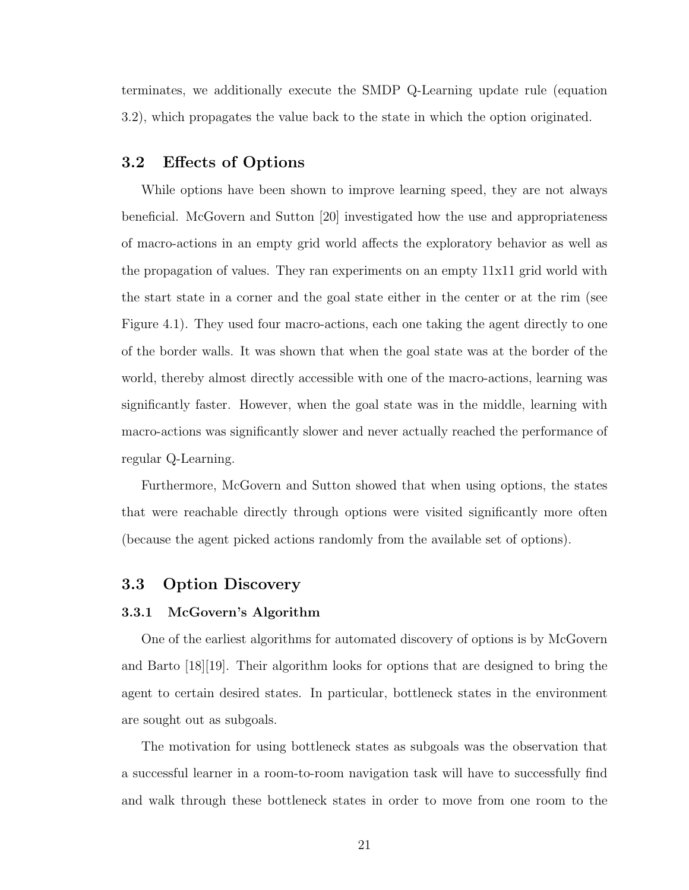terminates, we additionally execute the SMDP Q-Learning update rule (equation 3.2), which propagates the value back to the state in which the option originated.

## 3.2 Effects of Options

While options have been shown to improve learning speed, they are not always beneficial. McGovern and Sutton [20] investigated how the use and appropriateness of macro-actions in an empty grid world affects the exploratory behavior as well as the propagation of values. They ran experiments on an empty 11x11 grid world with the start state in a corner and the goal state either in the center or at the rim (see Figure 4.1). They used four macro-actions, each one taking the agent directly to one of the border walls. It was shown that when the goal state was at the border of the world, thereby almost directly accessible with one of the macro-actions, learning was significantly faster. However, when the goal state was in the middle, learning with macro-actions was significantly slower and never actually reached the performance of regular Q-Learning.

Furthermore, McGovern and Sutton showed that when using options, the states that were reachable directly through options were visited significantly more often (because the agent picked actions randomly from the available set of options).

### 3.3 Option Discovery

#### 3.3.1 McGovern's Algorithm

One of the earliest algorithms for automated discovery of options is by McGovern and Barto [18][19]. Their algorithm looks for options that are designed to bring the agent to certain desired states. In particular, bottleneck states in the environment are sought out as subgoals.

The motivation for using bottleneck states as subgoals was the observation that a successful learner in a room-to-room navigation task will have to successfully find and walk through these bottleneck states in order to move from one room to the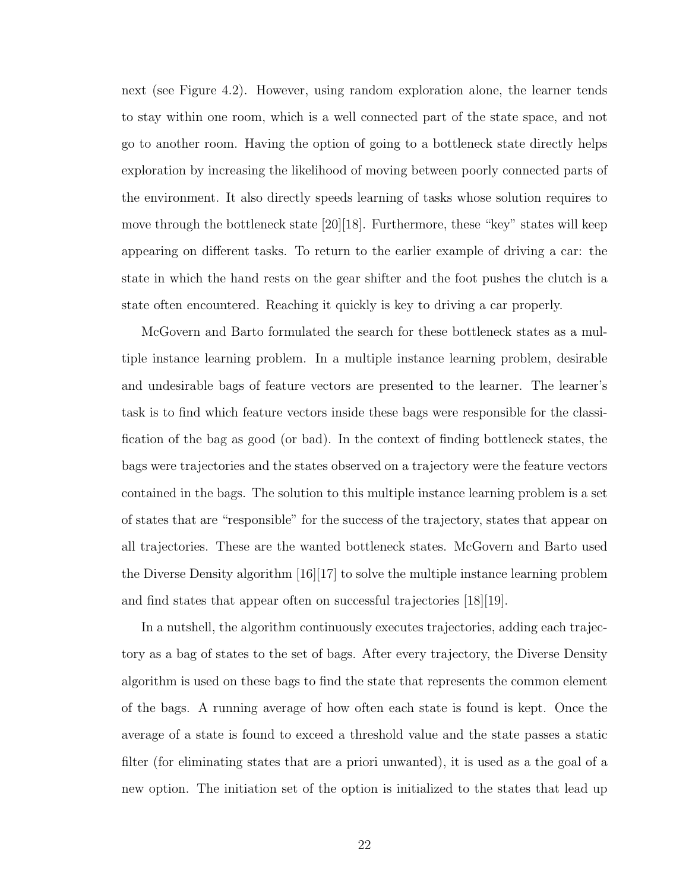next (see Figure 4.2). However, using random exploration alone, the learner tends to stay within one room, which is a well connected part of the state space, and not go to another room. Having the option of going to a bottleneck state directly helps exploration by increasing the likelihood of moving between poorly connected parts of the environment. It also directly speeds learning of tasks whose solution requires to move through the bottleneck state  $[20][18]$ . Furthermore, these "key" states will keep appearing on different tasks. To return to the earlier example of driving a car: the state in which the hand rests on the gear shifter and the foot pushes the clutch is a state often encountered. Reaching it quickly is key to driving a car properly.

McGovern and Barto formulated the search for these bottleneck states as a multiple instance learning problem. In a multiple instance learning problem, desirable and undesirable bags of feature vectors are presented to the learner. The learner's task is to find which feature vectors inside these bags were responsible for the classification of the bag as good (or bad). In the context of finding bottleneck states, the bags were trajectories and the states observed on a trajectory were the feature vectors contained in the bags. The solution to this multiple instance learning problem is a set of states that are "responsible" for the success of the trajectory, states that appear on all trajectories. These are the wanted bottleneck states. McGovern and Barto used the Diverse Density algorithm [16][17] to solve the multiple instance learning problem and find states that appear often on successful trajectories [18][19].

In a nutshell, the algorithm continuously executes trajectories, adding each trajectory as a bag of states to the set of bags. After every trajectory, the Diverse Density algorithm is used on these bags to find the state that represents the common element of the bags. A running average of how often each state is found is kept. Once the average of a state is found to exceed a threshold value and the state passes a static filter (for eliminating states that are a priori unwanted), it is used as a the goal of a new option. The initiation set of the option is initialized to the states that lead up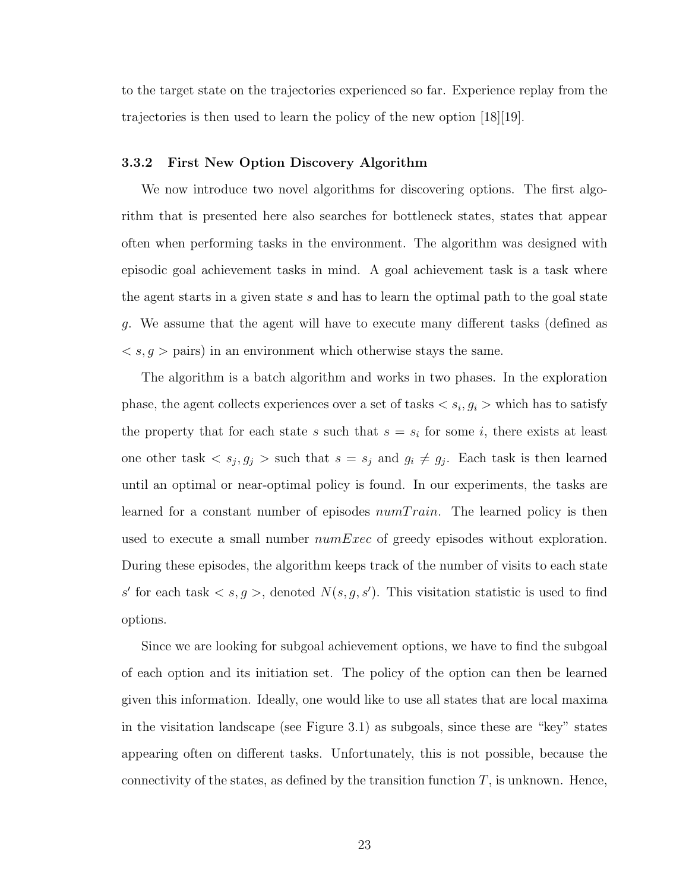to the target state on the trajectories experienced so far. Experience replay from the trajectories is then used to learn the policy of the new option [18][19].

#### 3.3.2 First New Option Discovery Algorithm

We now introduce two novel algorithms for discovering options. The first algorithm that is presented here also searches for bottleneck states, states that appear often when performing tasks in the environment. The algorithm was designed with episodic goal achievement tasks in mind. A goal achievement task is a task where the agent starts in a given state  $s$  and has to learn the optimal path to the goal state g. We assume that the agent will have to execute many different tasks (defined as  $\langle s, g \rangle$  pairs) in an environment which otherwise stays the same.

The algorithm is a batch algorithm and works in two phases. In the exploration phase, the agent collects experiences over a set of tasks  $\langle s_i, g_i \rangle$  which has to satisfy the property that for each state s such that  $s = s_i$  for some i, there exists at least one other task  $\langle s_j, g_j \rangle$  such that  $s = s_j$  and  $g_i \neq g_j$ . Each task is then learned until an optimal or near-optimal policy is found. In our experiments, the tasks are learned for a constant number of episodes  $numTrain$ . The learned policy is then used to execute a small number  $numExec$  of greedy episodes without exploration. During these episodes, the algorithm keeps track of the number of visits to each state s' for each task  $\langle s, g \rangle$ , denoted  $N(s, g, s')$ . This visitation statistic is used to find options.

Since we are looking for subgoal achievement options, we have to find the subgoal of each option and its initiation set. The policy of the option can then be learned given this information. Ideally, one would like to use all states that are local maxima in the visitation landscape (see Figure 3.1) as subgoals, since these are "key" states appearing often on different tasks. Unfortunately, this is not possible, because the connectivity of the states, as defined by the transition function  $T$ , is unknown. Hence,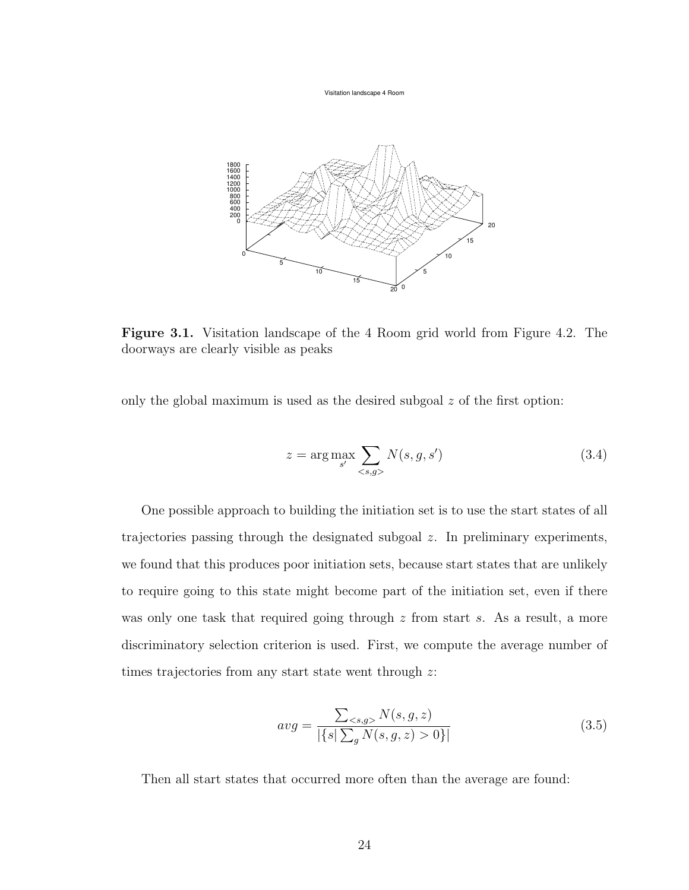Visitation landscape 4 Room



Figure 3.1. Visitation landscape of the 4 Room grid world from Figure 4.2. The doorways are clearly visible as peaks

only the global maximum is used as the desired subgoal  $z$  of the first option:

$$
z = \arg\max_{s'} \sum_{\langle s,g \rangle} N(s,g,s') \tag{3.4}
$$

One possible approach to building the initiation set is to use the start states of all trajectories passing through the designated subgoal z. In preliminary experiments, we found that this produces poor initiation sets, because start states that are unlikely to require going to this state might become part of the initiation set, even if there was only one task that required going through  $z$  from start  $s$ . As a result, a more discriminatory selection criterion is used. First, we compute the average number of times trajectories from any start state went through z:

$$
avg = \frac{\sum_{} N(s,g,z)}{|\{s|\sum_{g} N(s,g,z) > 0\}|}
$$
\n(3.5)

Then all start states that occurred more often than the average are found: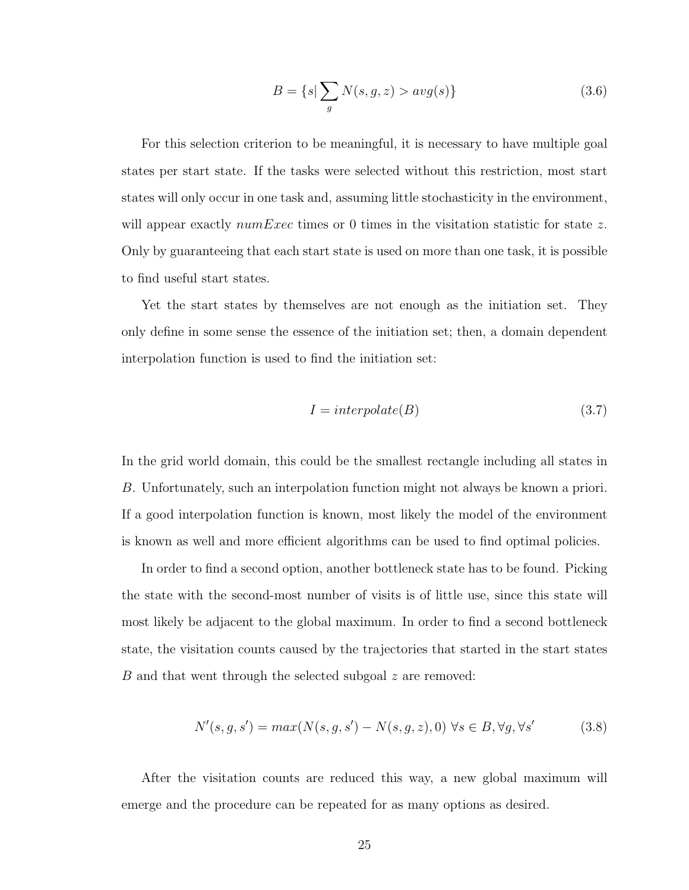$$
B = \{s | \sum_{g} N(s, g, z) > avg(s)\}\tag{3.6}
$$

For this selection criterion to be meaningful, it is necessary to have multiple goal states per start state. If the tasks were selected without this restriction, most start states will only occur in one task and, assuming little stochasticity in the environment, will appear exactly  $numExec$  times or 0 times in the visitation statistic for state z. Only by guaranteeing that each start state is used on more than one task, it is possible to find useful start states.

Yet the start states by themselves are not enough as the initiation set. They only define in some sense the essence of the initiation set; then, a domain dependent interpolation function is used to find the initiation set:

$$
I = interpolate(B)
$$
\n
$$
(3.7)
$$

In the grid world domain, this could be the smallest rectangle including all states in B. Unfortunately, such an interpolation function might not always be known a priori. If a good interpolation function is known, most likely the model of the environment is known as well and more efficient algorithms can be used to find optimal policies.

In order to find a second option, another bottleneck state has to be found. Picking the state with the second-most number of visits is of little use, since this state will most likely be adjacent to the global maximum. In order to find a second bottleneck state, the visitation counts caused by the trajectories that started in the start states B and that went through the selected subgoal z are removed:

$$
N'(s, g, s') = max(N(s, g, s') - N(s, g, z), 0) \forall s \in B, \forall g, \forall s'
$$
 (3.8)

After the visitation counts are reduced this way, a new global maximum will emerge and the procedure can be repeated for as many options as desired.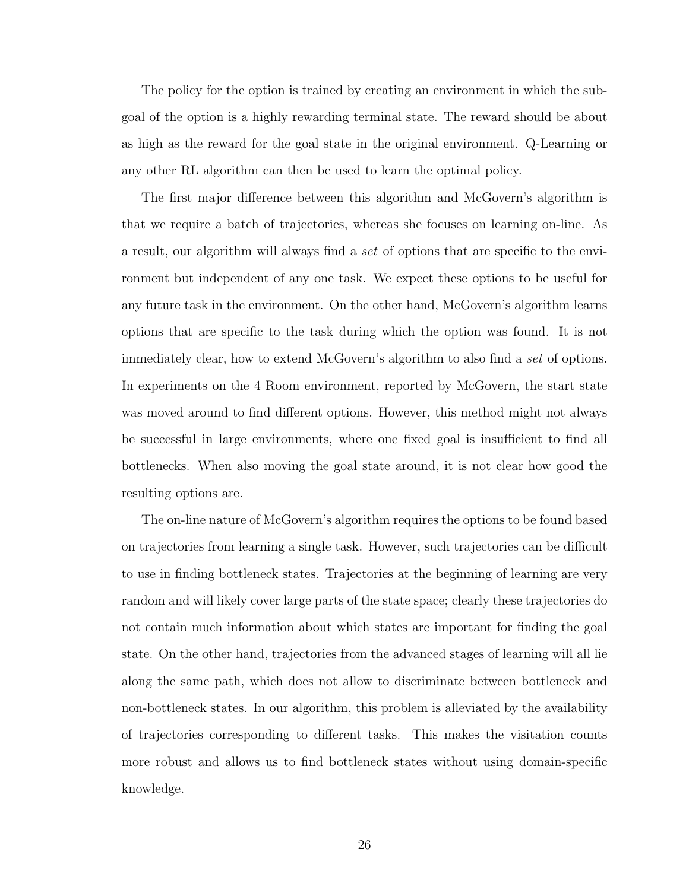The policy for the option is trained by creating an environment in which the subgoal of the option is a highly rewarding terminal state. The reward should be about as high as the reward for the goal state in the original environment. Q-Learning or any other RL algorithm can then be used to learn the optimal policy.

The first major difference between this algorithm and McGovern's algorithm is that we require a batch of trajectories, whereas she focuses on learning on-line. As a result, our algorithm will always find a set of options that are specific to the environment but independent of any one task. We expect these options to be useful for any future task in the environment. On the other hand, McGovern's algorithm learns options that are specific to the task during which the option was found. It is not immediately clear, how to extend McGovern's algorithm to also find a set of options. In experiments on the 4 Room environment, reported by McGovern, the start state was moved around to find different options. However, this method might not always be successful in large environments, where one fixed goal is insufficient to find all bottlenecks. When also moving the goal state around, it is not clear how good the resulting options are.

The on-line nature of McGovern's algorithm requires the options to be found based on trajectories from learning a single task. However, such trajectories can be difficult to use in finding bottleneck states. Trajectories at the beginning of learning are very random and will likely cover large parts of the state space; clearly these trajectories do not contain much information about which states are important for finding the goal state. On the other hand, trajectories from the advanced stages of learning will all lie along the same path, which does not allow to discriminate between bottleneck and non-bottleneck states. In our algorithm, this problem is alleviated by the availability of trajectories corresponding to different tasks. This makes the visitation counts more robust and allows us to find bottleneck states without using domain-specific knowledge.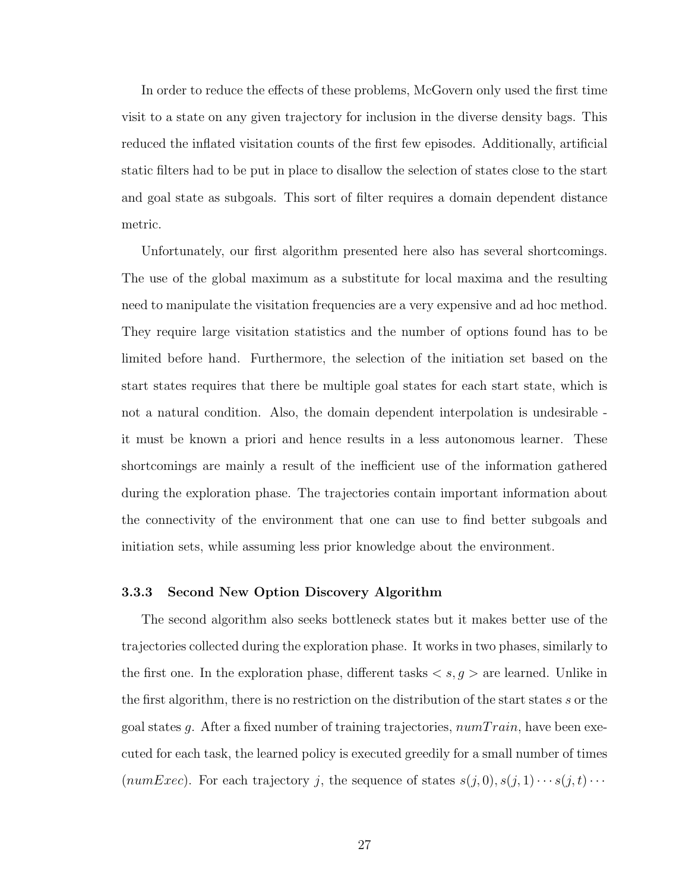In order to reduce the effects of these problems, McGovern only used the first time visit to a state on any given trajectory for inclusion in the diverse density bags. This reduced the inflated visitation counts of the first few episodes. Additionally, artificial static filters had to be put in place to disallow the selection of states close to the start and goal state as subgoals. This sort of filter requires a domain dependent distance metric.

Unfortunately, our first algorithm presented here also has several shortcomings. The use of the global maximum as a substitute for local maxima and the resulting need to manipulate the visitation frequencies are a very expensive and ad hoc method. They require large visitation statistics and the number of options found has to be limited before hand. Furthermore, the selection of the initiation set based on the start states requires that there be multiple goal states for each start state, which is not a natural condition. Also, the domain dependent interpolation is undesirable it must be known a priori and hence results in a less autonomous learner. These shortcomings are mainly a result of the inefficient use of the information gathered during the exploration phase. The trajectories contain important information about the connectivity of the environment that one can use to find better subgoals and initiation sets, while assuming less prior knowledge about the environment.

### 3.3.3 Second New Option Discovery Algorithm

The second algorithm also seeks bottleneck states but it makes better use of the trajectories collected during the exploration phase. It works in two phases, similarly to the first one. In the exploration phase, different tasks  $\langle s, g \rangle$  are learned. Unlike in the first algorithm, there is no restriction on the distribution of the start states s or the goal states g. After a fixed number of training trajectories,  $numTrain$ , have been executed for each task, the learned policy is executed greedily for a small number of times ( $numExec$ ). For each trajectory j, the sequence of states  $s(j, 0), s(j, 1) \cdots s(j, t) \cdots$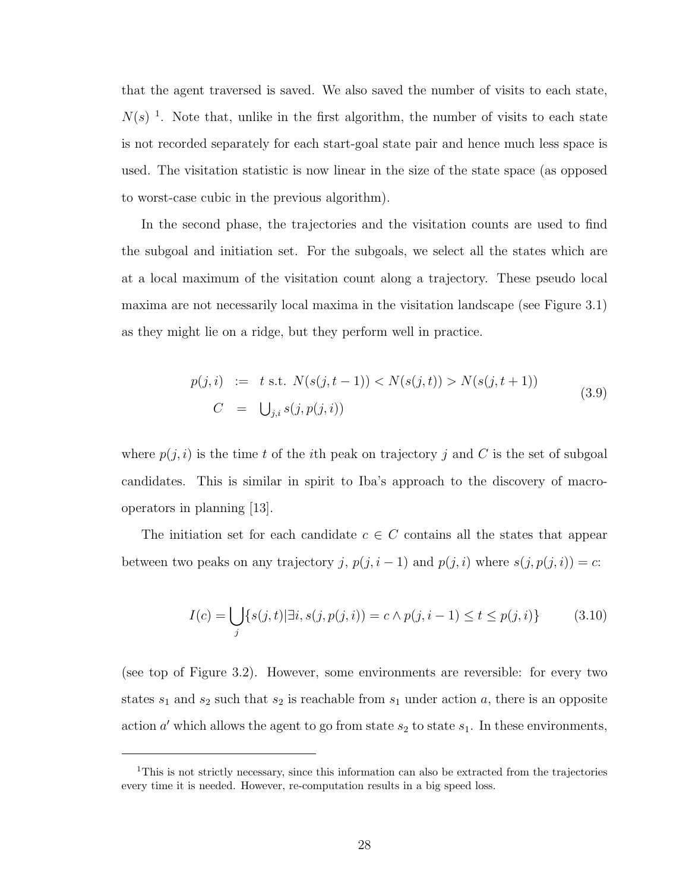that the agent traversed is saved. We also saved the number of visits to each state,  $N(s)$ <sup>1</sup>. Note that, unlike in the first algorithm, the number of visits to each state is not recorded separately for each start-goal state pair and hence much less space is used. The visitation statistic is now linear in the size of the state space (as opposed to worst-case cubic in the previous algorithm).

In the second phase, the trajectories and the visitation counts are used to find the subgoal and initiation set. For the subgoals, we select all the states which are at a local maximum of the visitation count along a trajectory. These pseudo local maxima are not necessarily local maxima in the visitation landscape (see Figure 3.1) as they might lie on a ridge, but they perform well in practice.

$$
p(j, i) := t \text{ s.t. } N(s(j, t - 1)) < N(s(j, t)) > N(s(j, t + 1))
$$
\n
$$
C = \bigcup_{j, i} s(j, p(j, i)) \tag{3.9}
$$

where  $p(j, i)$  is the time t of the ith peak on trajectory j and C is the set of subgoal candidates. This is similar in spirit to Iba's approach to the discovery of macrooperators in planning [13].

The initiation set for each candidate  $c \in C$  contains all the states that appear between two peaks on any trajectory j,  $p(j, i - 1)$  and  $p(j, i)$  where  $s(j, p(j, i)) = c$ :

$$
I(c) = \bigcup_{j} \{ s(j, t) | \exists i, s(j, p(j, i)) = c \land p(j, i - 1) \le t \le p(j, i) \}
$$
(3.10)

(see top of Figure 3.2). However, some environments are reversible: for every two states  $s_1$  and  $s_2$  such that  $s_2$  is reachable from  $s_1$  under action a, there is an opposite action  $a'$  which allows the agent to go from state  $s_2$  to state  $s_1$ . In these environments,

<sup>&</sup>lt;sup>1</sup>This is not strictly necessary, since this information can also be extracted from the trajectories every time it is needed. However, re-computation results in a big speed loss.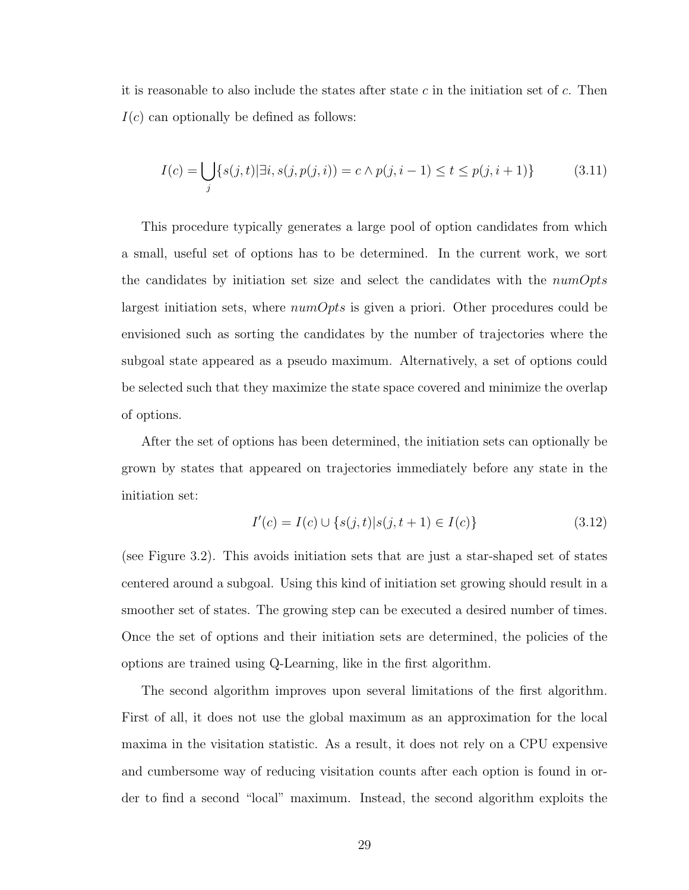it is reasonable to also include the states after state c in the initiation set of  $c$ . Then  $I(c)$  can optionally be defined as follows:

$$
I(c) = \bigcup_{j} \{s(j, t) | \exists i, s(j, p(j, i)) = c \land p(j, i - 1) \le t \le p(j, i + 1)\}\
$$
\n(3.11)

This procedure typically generates a large pool of option candidates from which a small, useful set of options has to be determined. In the current work, we sort the candidates by initiation set size and select the candidates with the  $numOrts$ largest initiation sets, where  $numOpts$  is given a priori. Other procedures could be envisioned such as sorting the candidates by the number of trajectories where the subgoal state appeared as a pseudo maximum. Alternatively, a set of options could be selected such that they maximize the state space covered and minimize the overlap of options.

After the set of options has been determined, the initiation sets can optionally be grown by states that appeared on trajectories immediately before any state in the initiation set:

$$
I'(c) = I(c) \cup \{s(j, t) | s(j, t+1) \in I(c)\}\tag{3.12}
$$

(see Figure 3.2). This avoids initiation sets that are just a star-shaped set of states centered around a subgoal. Using this kind of initiation set growing should result in a smoother set of states. The growing step can be executed a desired number of times. Once the set of options and their initiation sets are determined, the policies of the options are trained using Q-Learning, like in the first algorithm.

The second algorithm improves upon several limitations of the first algorithm. First of all, it does not use the global maximum as an approximation for the local maxima in the visitation statistic. As a result, it does not rely on a CPU expensive and cumbersome way of reducing visitation counts after each option is found in order to find a second "local" maximum. Instead, the second algorithm exploits the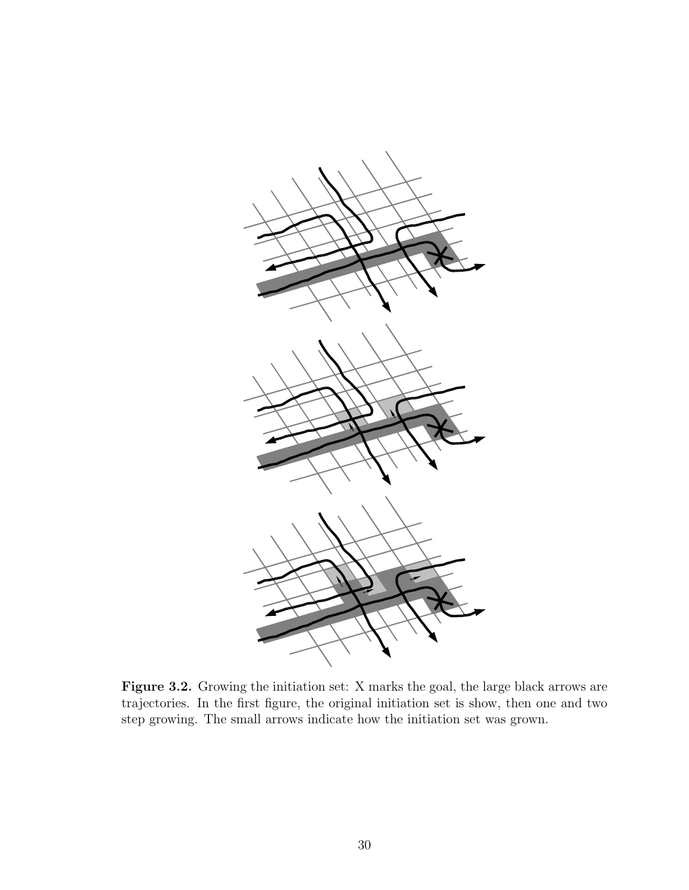

Figure 3.2. Growing the initiation set: X marks the goal, the large black arrows are trajectories. In the first figure, the original initiation set is show, then one and two step growing. The small arrows indicate how the initiation set was grown.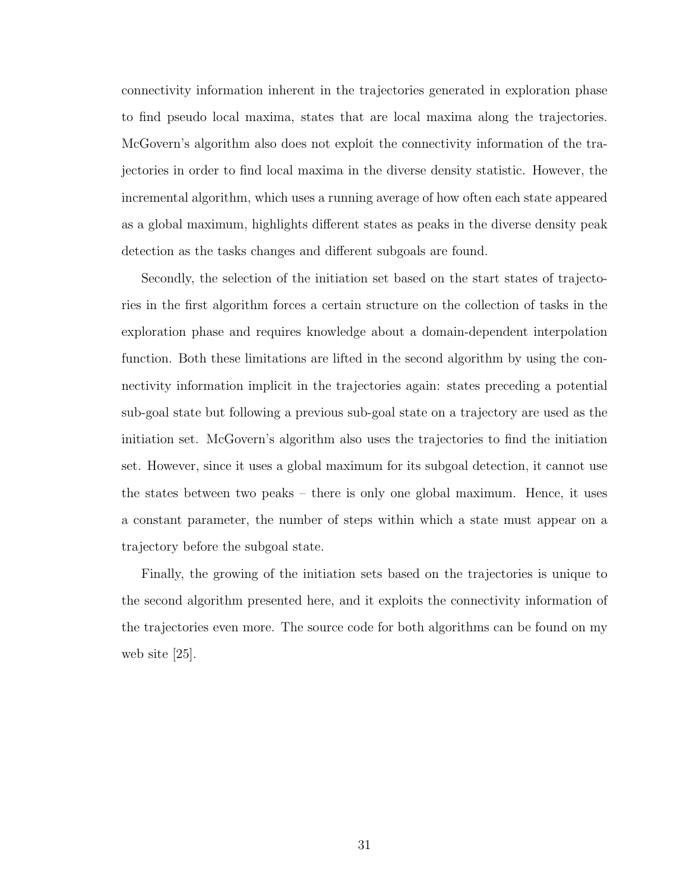connectivity information inherent in the trajectories generated in exploration phase to find pseudo local maxima, states that are local maxima along the trajectories. McGovern's algorithm also does not exploit the connectivity information of the trajectories in order to find local maxima in the diverse density statistic. However, the incremental algorithm, which uses a running average of how often each state appeared as a global maximum, highlights different states as peaks in the diverse density peak detection as the tasks changes and different subgoals are found.

Secondly, the selection of the initiation set based on the start states of trajectories in the first algorithm forces a certain structure on the collection of tasks in the exploration phase and requires knowledge about a domain-dependent interpolation function. Both these limitations are lifted in the second algorithm by using the connectivity information implicit in the trajectories again: states preceding a potential sub-goal state but following a previous sub-goal state on a trajectory are used as the initiation set. McGovern's algorithm also uses the trajectories to find the initiation set. However, since it uses a global maximum for its subgoal detection, it cannot use the states between two peaks – there is only one global maximum. Hence, it uses a constant parameter, the number of steps within which a state must appear on a trajectory before the subgoal state.

Finally, the growing of the initiation sets based on the trajectories is unique to the second algorithm presented here, and it exploits the connectivity information of the trajectories even more. The source code for both algorithms can be found on my web site [25].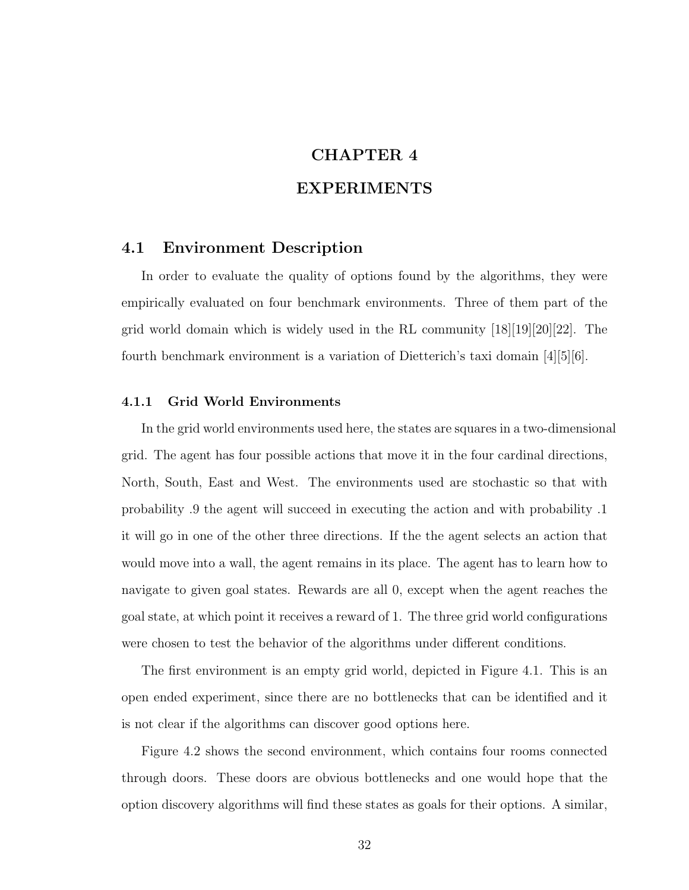# CHAPTER 4

# EXPERIMENTS

### 4.1 Environment Description

In order to evaluate the quality of options found by the algorithms, they were empirically evaluated on four benchmark environments. Three of them part of the grid world domain which is widely used in the RL community [18][19][20][22]. The fourth benchmark environment is a variation of Dietterich's taxi domain [4][5][6].

### 4.1.1 Grid World Environments

In the grid world environments used here, the states are squares in a two-dimensional grid. The agent has four possible actions that move it in the four cardinal directions, North, South, East and West. The environments used are stochastic so that with probability .9 the agent will succeed in executing the action and with probability .1 it will go in one of the other three directions. If the the agent selects an action that would move into a wall, the agent remains in its place. The agent has to learn how to navigate to given goal states. Rewards are all 0, except when the agent reaches the goal state, at which point it receives a reward of 1. The three grid world configurations were chosen to test the behavior of the algorithms under different conditions.

The first environment is an empty grid world, depicted in Figure 4.1. This is an open ended experiment, since there are no bottlenecks that can be identified and it is not clear if the algorithms can discover good options here.

Figure 4.2 shows the second environment, which contains four rooms connected through doors. These doors are obvious bottlenecks and one would hope that the option discovery algorithms will find these states as goals for their options. A similar,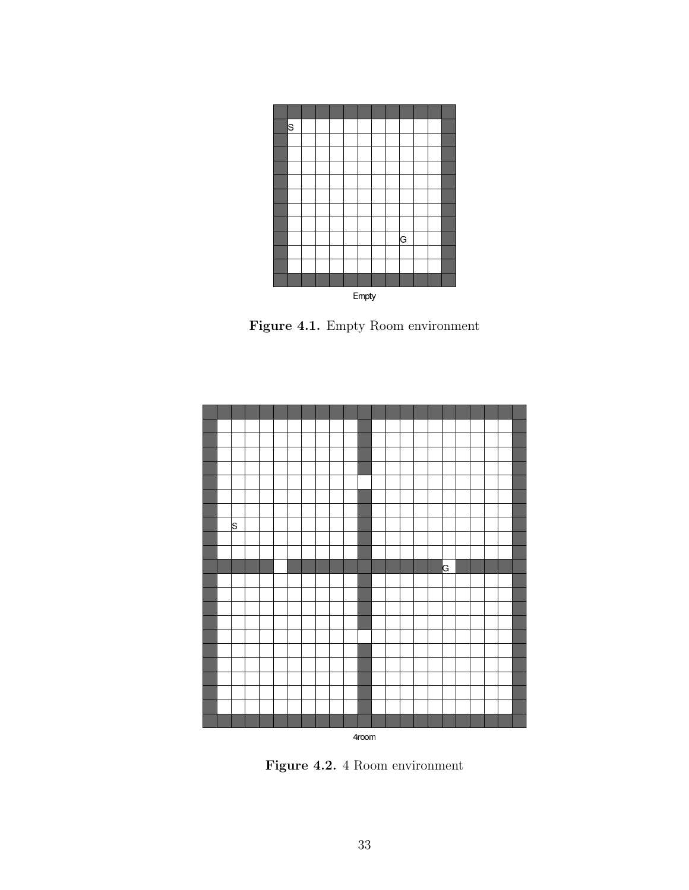

Figure 4.1. Empty Room environment



Figure 4.2. 4 Room environment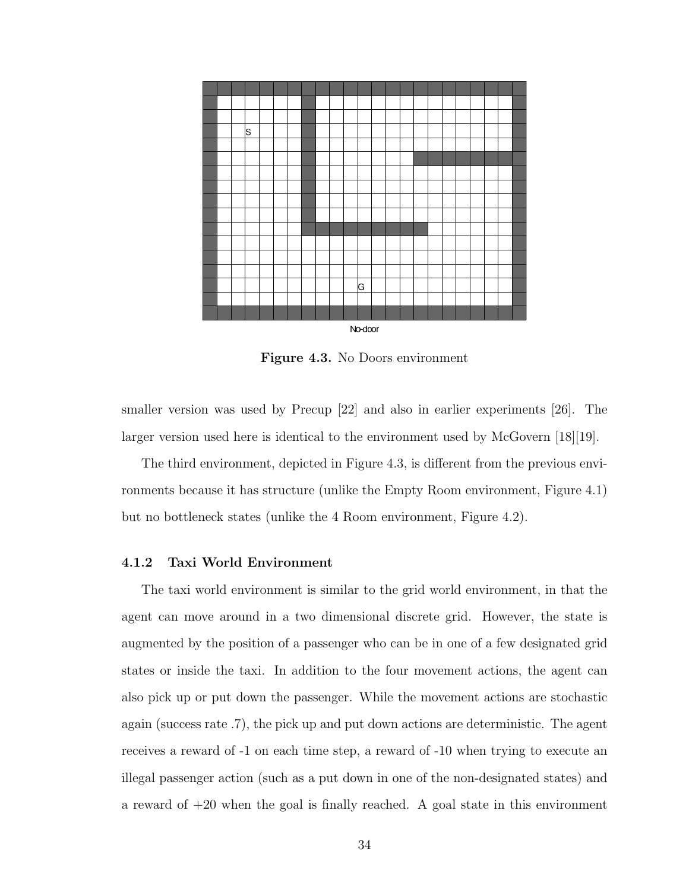

Figure 4.3. No Doors environment

smaller version was used by Precup [22] and also in earlier experiments [26]. The larger version used here is identical to the environment used by McGovern [18][19].

The third environment, depicted in Figure 4.3, is different from the previous environments because it has structure (unlike the Empty Room environment, Figure 4.1) but no bottleneck states (unlike the 4 Room environment, Figure 4.2).

### 4.1.2 Taxi World Environment

The taxi world environment is similar to the grid world environment, in that the agent can move around in a two dimensional discrete grid. However, the state is augmented by the position of a passenger who can be in one of a few designated grid states or inside the taxi. In addition to the four movement actions, the agent can also pick up or put down the passenger. While the movement actions are stochastic again (success rate .7), the pick up and put down actions are deterministic. The agent receives a reward of -1 on each time step, a reward of -10 when trying to execute an illegal passenger action (such as a put down in one of the non-designated states) and a reward of  $+20$  when the goal is finally reached. A goal state in this environment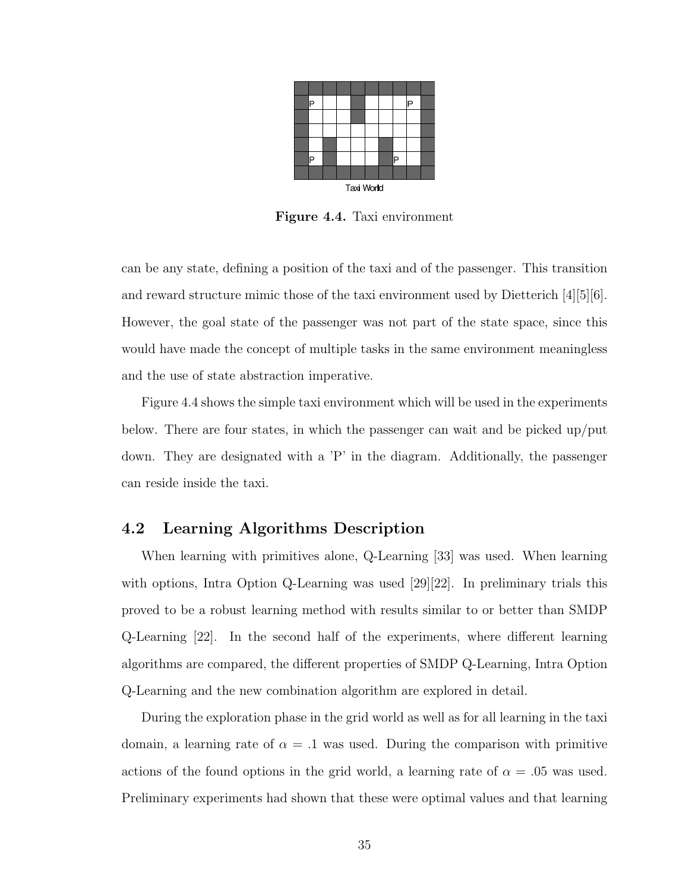

Figure 4.4. Taxi environment

can be any state, defining a position of the taxi and of the passenger. This transition and reward structure mimic those of the taxi environment used by Dietterich [4][5][6]. However, the goal state of the passenger was not part of the state space, since this would have made the concept of multiple tasks in the same environment meaningless and the use of state abstraction imperative.

Figure 4.4 shows the simple taxi environment which will be used in the experiments below. There are four states, in which the passenger can wait and be picked up/put down. They are designated with a 'P' in the diagram. Additionally, the passenger can reside inside the taxi.

# 4.2 Learning Algorithms Description

When learning with primitives alone, Q-Learning [33] was used. When learning with options, Intra Option Q-Learning was used [29][22]. In preliminary trials this proved to be a robust learning method with results similar to or better than SMDP Q-Learning [22]. In the second half of the experiments, where different learning algorithms are compared, the different properties of SMDP Q-Learning, Intra Option Q-Learning and the new combination algorithm are explored in detail.

During the exploration phase in the grid world as well as for all learning in the taxi domain, a learning rate of  $\alpha = 0.1$  was used. During the comparison with primitive actions of the found options in the grid world, a learning rate of  $\alpha = .05$  was used. Preliminary experiments had shown that these were optimal values and that learning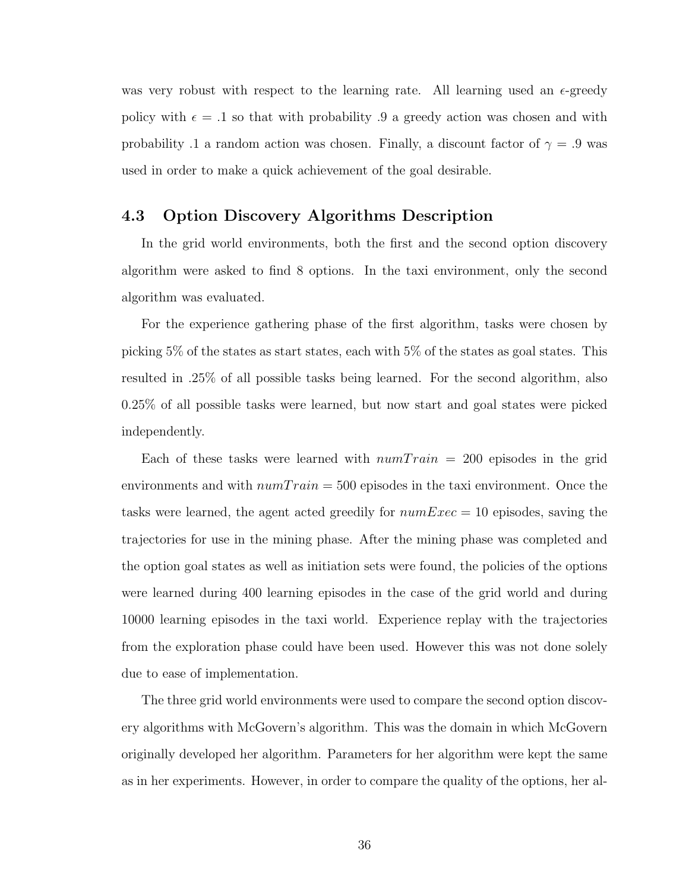was very robust with respect to the learning rate. All learning used an  $\epsilon$ -greedy policy with  $\epsilon = 0.1$  so that with probability 0.9 a greedy action was chosen and with probability .1 a random action was chosen. Finally, a discount factor of  $\gamma = .9$  was used in order to make a quick achievement of the goal desirable.

# 4.3 Option Discovery Algorithms Description

In the grid world environments, both the first and the second option discovery algorithm were asked to find 8 options. In the taxi environment, only the second algorithm was evaluated.

For the experience gathering phase of the first algorithm, tasks were chosen by picking 5% of the states as start states, each with 5% of the states as goal states. This resulted in .25% of all possible tasks being learned. For the second algorithm, also 0.25% of all possible tasks were learned, but now start and goal states were picked independently.

Each of these tasks were learned with  $numTrain = 200$  episodes in the grid environments and with  $numTrain = 500$  episodes in the taxi environment. Once the tasks were learned, the agent acted greedily for  $numExec = 10$  episodes, saving the trajectories for use in the mining phase. After the mining phase was completed and the option goal states as well as initiation sets were found, the policies of the options were learned during 400 learning episodes in the case of the grid world and during 10000 learning episodes in the taxi world. Experience replay with the trajectories from the exploration phase could have been used. However this was not done solely due to ease of implementation.

The three grid world environments were used to compare the second option discovery algorithms with McGovern's algorithm. This was the domain in which McGovern originally developed her algorithm. Parameters for her algorithm were kept the same as in her experiments. However, in order to compare the quality of the options, her al-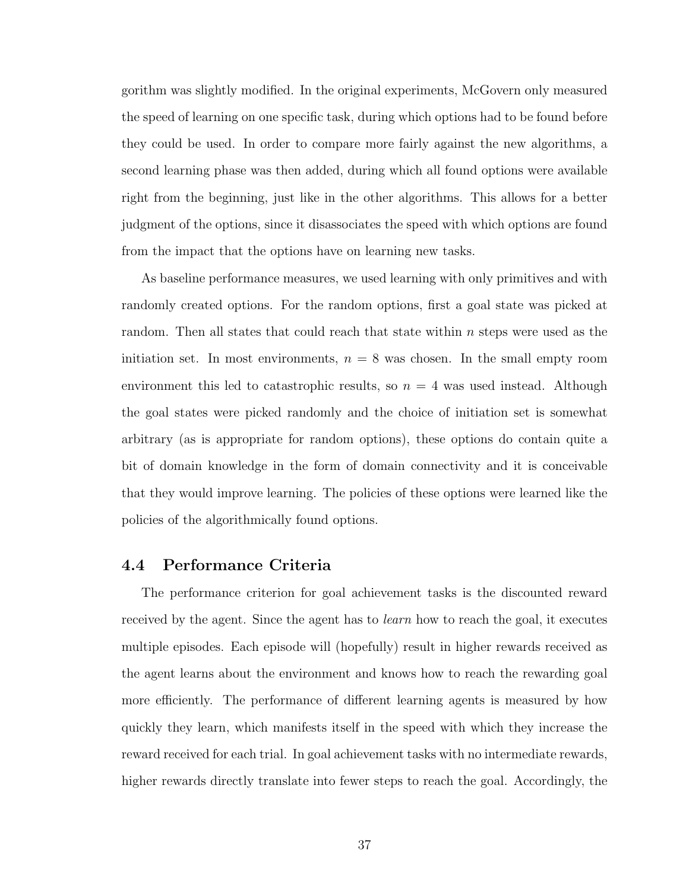gorithm was slightly modified. In the original experiments, McGovern only measured the speed of learning on one specific task, during which options had to be found before they could be used. In order to compare more fairly against the new algorithms, a second learning phase was then added, during which all found options were available right from the beginning, just like in the other algorithms. This allows for a better judgment of the options, since it disassociates the speed with which options are found from the impact that the options have on learning new tasks.

As baseline performance measures, we used learning with only primitives and with randomly created options. For the random options, first a goal state was picked at random. Then all states that could reach that state within n steps were used as the initiation set. In most environments,  $n = 8$  was chosen. In the small empty room environment this led to catastrophic results, so  $n = 4$  was used instead. Although the goal states were picked randomly and the choice of initiation set is somewhat arbitrary (as is appropriate for random options), these options do contain quite a bit of domain knowledge in the form of domain connectivity and it is conceivable that they would improve learning. The policies of these options were learned like the policies of the algorithmically found options.

### 4.4 Performance Criteria

The performance criterion for goal achievement tasks is the discounted reward received by the agent. Since the agent has to *learn* how to reach the goal, it executes multiple episodes. Each episode will (hopefully) result in higher rewards received as the agent learns about the environment and knows how to reach the rewarding goal more efficiently. The performance of different learning agents is measured by how quickly they learn, which manifests itself in the speed with which they increase the reward received for each trial. In goal achievement tasks with no intermediate rewards, higher rewards directly translate into fewer steps to reach the goal. Accordingly, the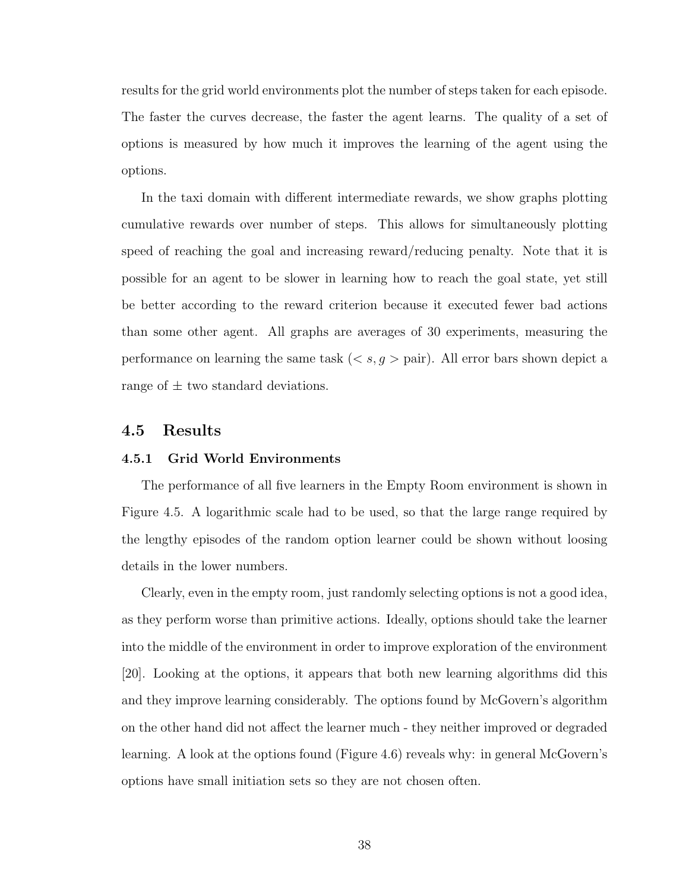results for the grid world environments plot the number of steps taken for each episode. The faster the curves decrease, the faster the agent learns. The quality of a set of options is measured by how much it improves the learning of the agent using the options.

In the taxi domain with different intermediate rewards, we show graphs plotting cumulative rewards over number of steps. This allows for simultaneously plotting speed of reaching the goal and increasing reward/reducing penalty. Note that it is possible for an agent to be slower in learning how to reach the goal state, yet still be better according to the reward criterion because it executed fewer bad actions than some other agent. All graphs are averages of 30 experiments, measuring the performance on learning the same task  $(< s, g >$  pair). All error bars shown depict a range of  $\pm$  two standard deviations.

### 4.5 Results

#### 4.5.1 Grid World Environments

The performance of all five learners in the Empty Room environment is shown in Figure 4.5. A logarithmic scale had to be used, so that the large range required by the lengthy episodes of the random option learner could be shown without loosing details in the lower numbers.

Clearly, even in the empty room, just randomly selecting options is not a good idea, as they perform worse than primitive actions. Ideally, options should take the learner into the middle of the environment in order to improve exploration of the environment [20]. Looking at the options, it appears that both new learning algorithms did this and they improve learning considerably. The options found by McGovern's algorithm on the other hand did not affect the learner much - they neither improved or degraded learning. A look at the options found (Figure 4.6) reveals why: in general McGovern's options have small initiation sets so they are not chosen often.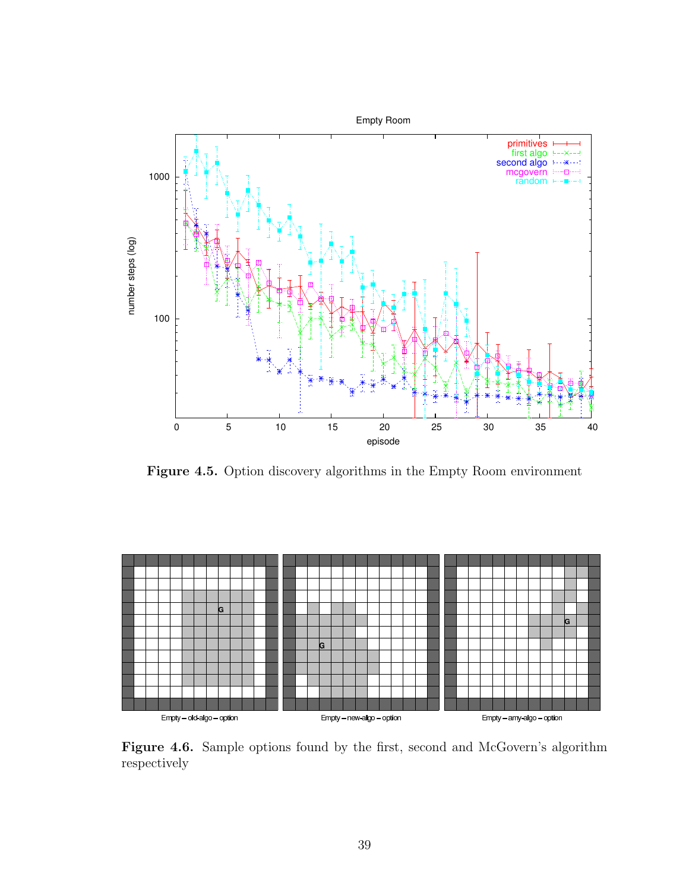

Figure 4.5. Option discovery algorithms in the Empty Room environment



Figure 4.6. Sample options found by the first, second and McGovern's algorithm respectively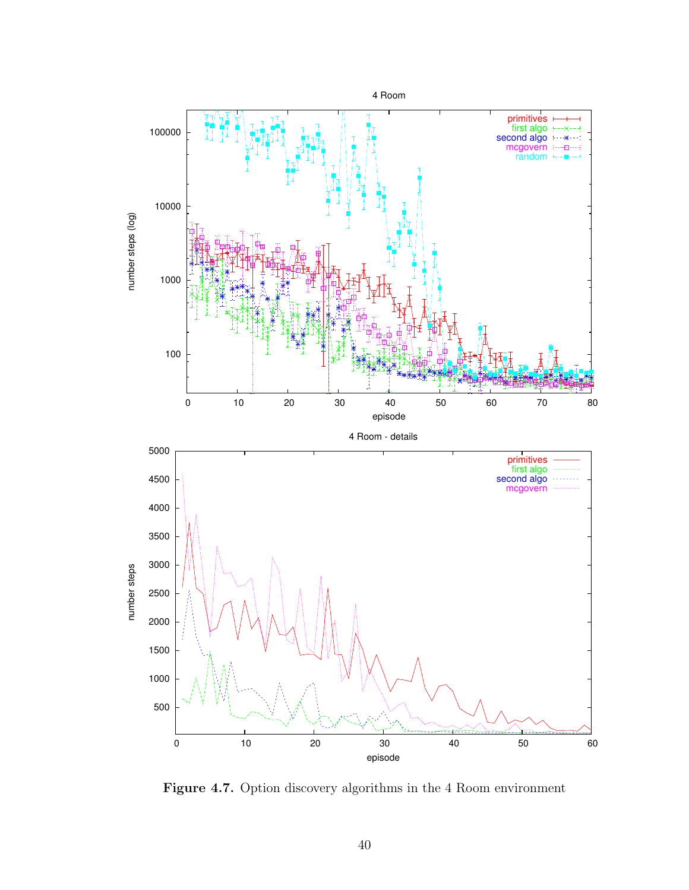

Figure 4.7. Option discovery algorithms in the 4 Room environment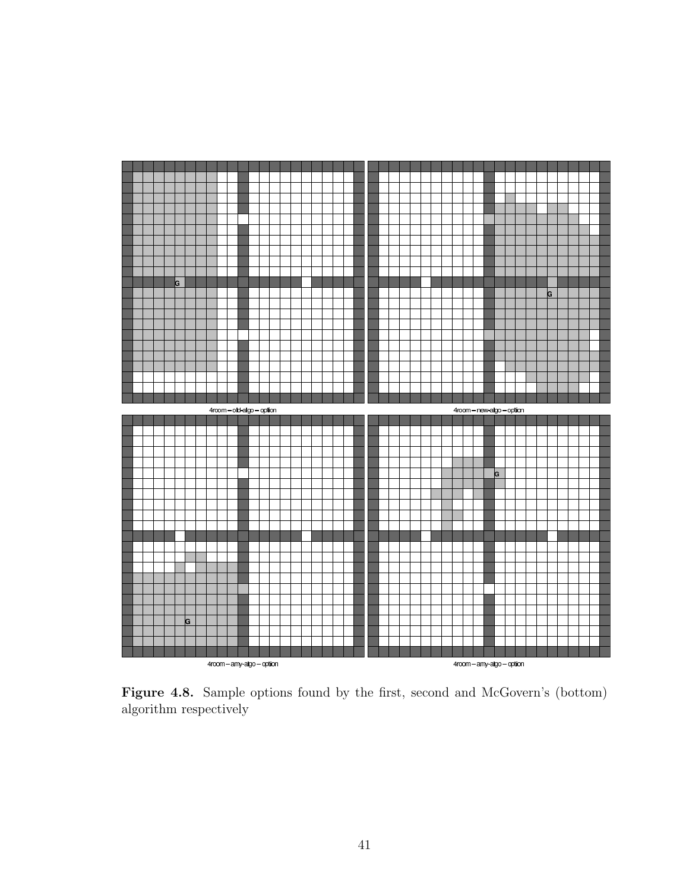

Figure 4.8. Sample options found by the first, second and McGovern's (bottom) algorithm respectively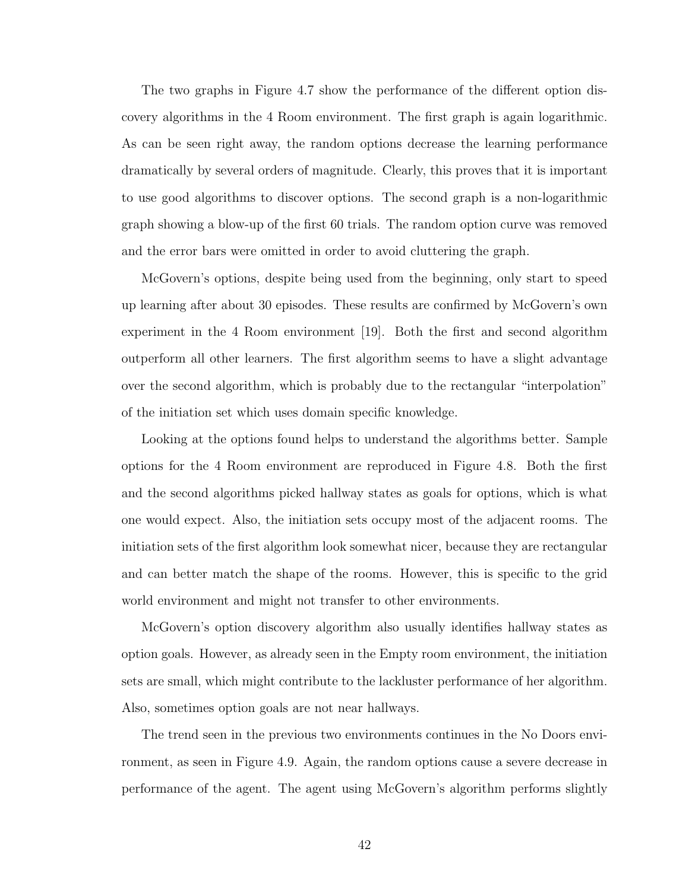The two graphs in Figure 4.7 show the performance of the different option discovery algorithms in the 4 Room environment. The first graph is again logarithmic. As can be seen right away, the random options decrease the learning performance dramatically by several orders of magnitude. Clearly, this proves that it is important to use good algorithms to discover options. The second graph is a non-logarithmic graph showing a blow-up of the first 60 trials. The random option curve was removed and the error bars were omitted in order to avoid cluttering the graph.

McGovern's options, despite being used from the beginning, only start to speed up learning after about 30 episodes. These results are confirmed by McGovern's own experiment in the 4 Room environment [19]. Both the first and second algorithm outperform all other learners. The first algorithm seems to have a slight advantage over the second algorithm, which is probably due to the rectangular "interpolation" of the initiation set which uses domain specific knowledge.

Looking at the options found helps to understand the algorithms better. Sample options for the 4 Room environment are reproduced in Figure 4.8. Both the first and the second algorithms picked hallway states as goals for options, which is what one would expect. Also, the initiation sets occupy most of the adjacent rooms. The initiation sets of the first algorithm look somewhat nicer, because they are rectangular and can better match the shape of the rooms. However, this is specific to the grid world environment and might not transfer to other environments.

McGovern's option discovery algorithm also usually identifies hallway states as option goals. However, as already seen in the Empty room environment, the initiation sets are small, which might contribute to the lackluster performance of her algorithm. Also, sometimes option goals are not near hallways.

The trend seen in the previous two environments continues in the No Doors environment, as seen in Figure 4.9. Again, the random options cause a severe decrease in performance of the agent. The agent using McGovern's algorithm performs slightly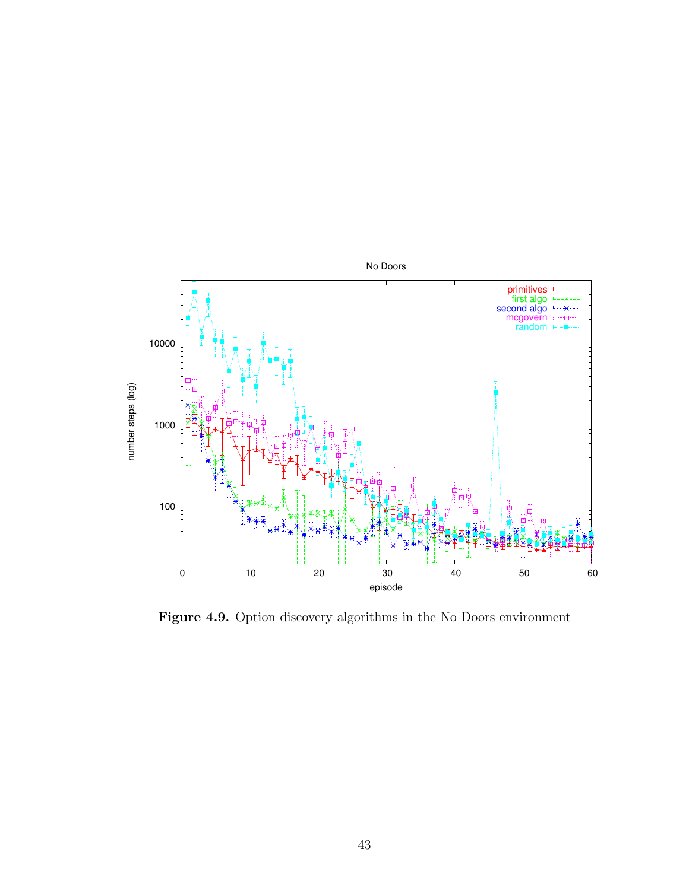

Figure 4.9. Option discovery algorithms in the No Doors environment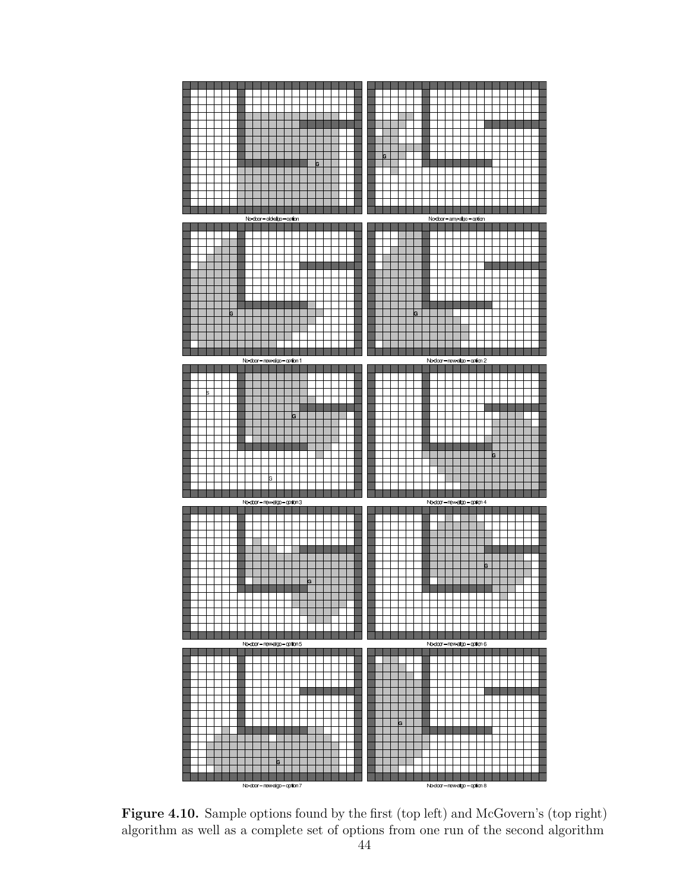

Figure 4.10. Sample options found by the first (top left) and McGovern's (top right) algorithm as well as a complete set of options from one run of the second algorithm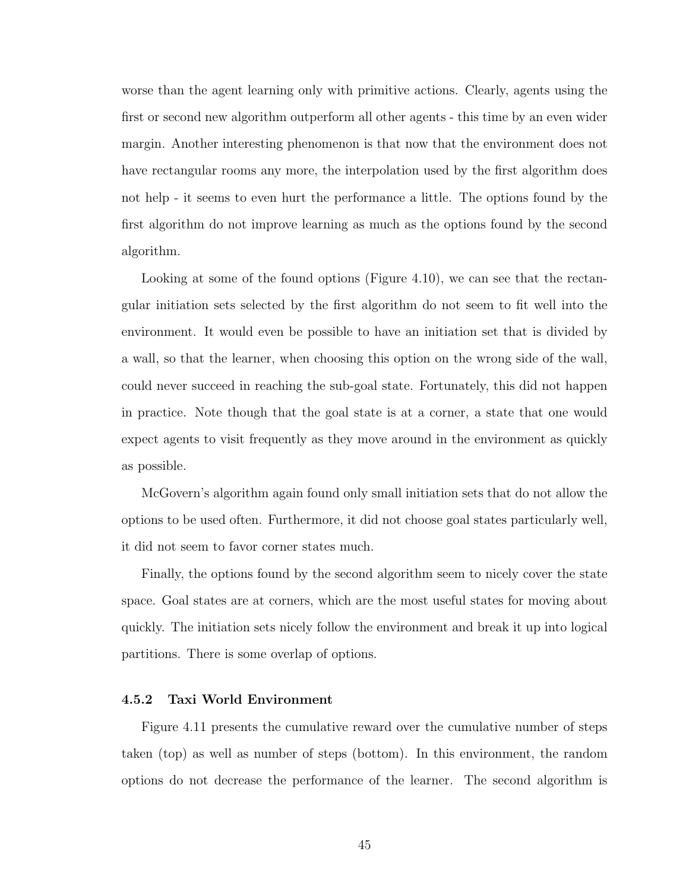worse than the agent learning only with primitive actions. Clearly, agents using the first or second new algorithm outperform all other agents - this time by an even wider margin. Another interesting phenomenon is that now that the environment does not have rectangular rooms any more, the interpolation used by the first algorithm does not help - it seems to even hurt the performance a little. The options found by the first algorithm do not improve learning as much as the options found by the second algorithm.

Looking at some of the found options (Figure 4.10), we can see that the rectangular initiation sets selected by the first algorithm do not seem to fit well into the environment. It would even be possible to have an initiation set that is divided by a wall, so that the learner, when choosing this option on the wrong side of the wall, could never succeed in reaching the sub-goal state. Fortunately, this did not happen in practice. Note though that the goal state is at a corner, a state that one would expect agents to visit frequently as they move around in the environment as quickly as possible.

McGovern's algorithm again found only small initiation sets that do not allow the options to be used often. Furthermore, it did not choose goal states particularly well, it did not seem to favor corner states much.

Finally, the options found by the second algorithm seem to nicely cover the state space. Goal states are at corners, which are the most useful states for moving about quickly. The initiation sets nicely follow the environment and break it up into logical partitions. There is some overlap of options.

### 4.5.2 Taxi World Environment

Figure 4.11 presents the cumulative reward over the cumulative number of steps taken (top) as well as number of steps (bottom). In this environment, the random options do not decrease the performance of the learner. The second algorithm is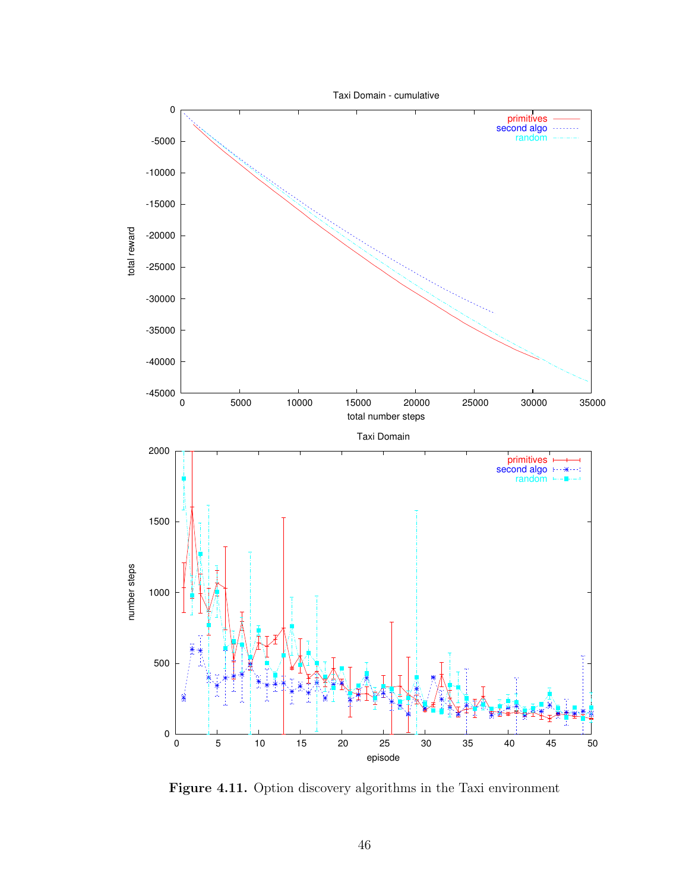

Figure 4.11. Option discovery algorithms in the Taxi environment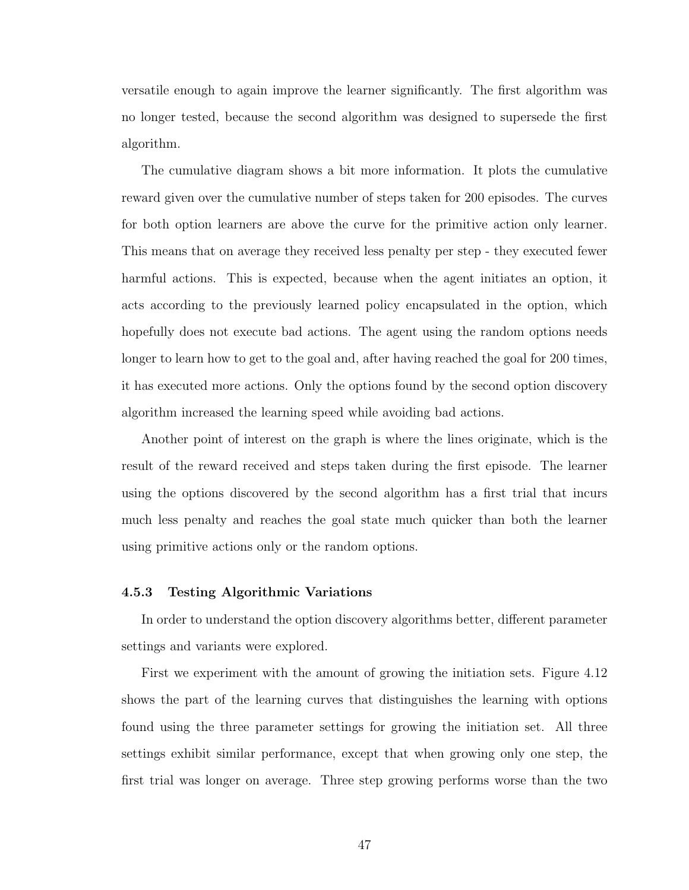versatile enough to again improve the learner significantly. The first algorithm was no longer tested, because the second algorithm was designed to supersede the first algorithm.

The cumulative diagram shows a bit more information. It plots the cumulative reward given over the cumulative number of steps taken for 200 episodes. The curves for both option learners are above the curve for the primitive action only learner. This means that on average they received less penalty per step - they executed fewer harmful actions. This is expected, because when the agent initiates an option, it acts according to the previously learned policy encapsulated in the option, which hopefully does not execute bad actions. The agent using the random options needs longer to learn how to get to the goal and, after having reached the goal for 200 times, it has executed more actions. Only the options found by the second option discovery algorithm increased the learning speed while avoiding bad actions.

Another point of interest on the graph is where the lines originate, which is the result of the reward received and steps taken during the first episode. The learner using the options discovered by the second algorithm has a first trial that incurs much less penalty and reaches the goal state much quicker than both the learner using primitive actions only or the random options.

### 4.5.3 Testing Algorithmic Variations

In order to understand the option discovery algorithms better, different parameter settings and variants were explored.

First we experiment with the amount of growing the initiation sets. Figure 4.12 shows the part of the learning curves that distinguishes the learning with options found using the three parameter settings for growing the initiation set. All three settings exhibit similar performance, except that when growing only one step, the first trial was longer on average. Three step growing performs worse than the two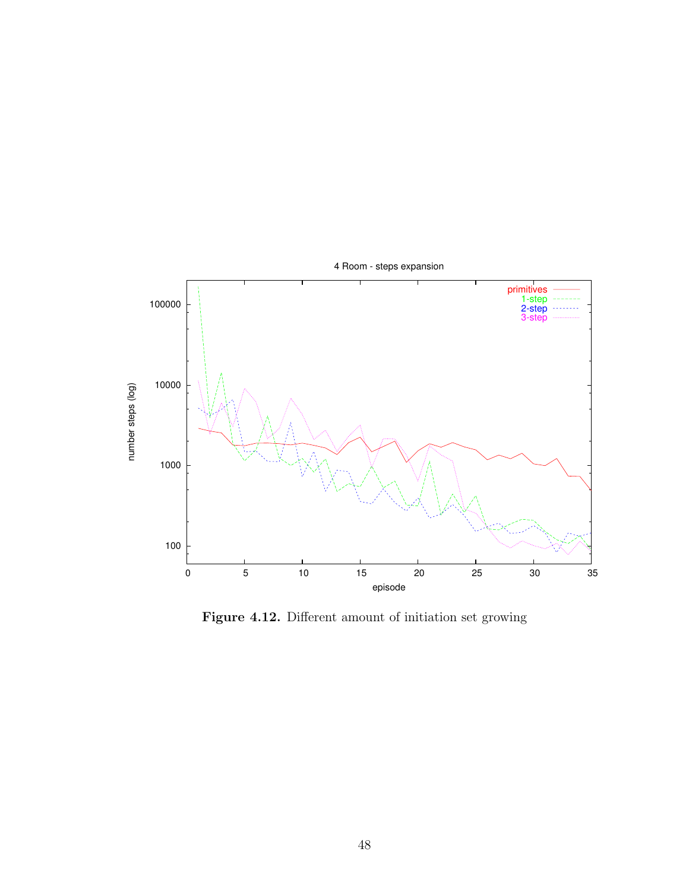

Figure 4.12. Different amount of initiation set growing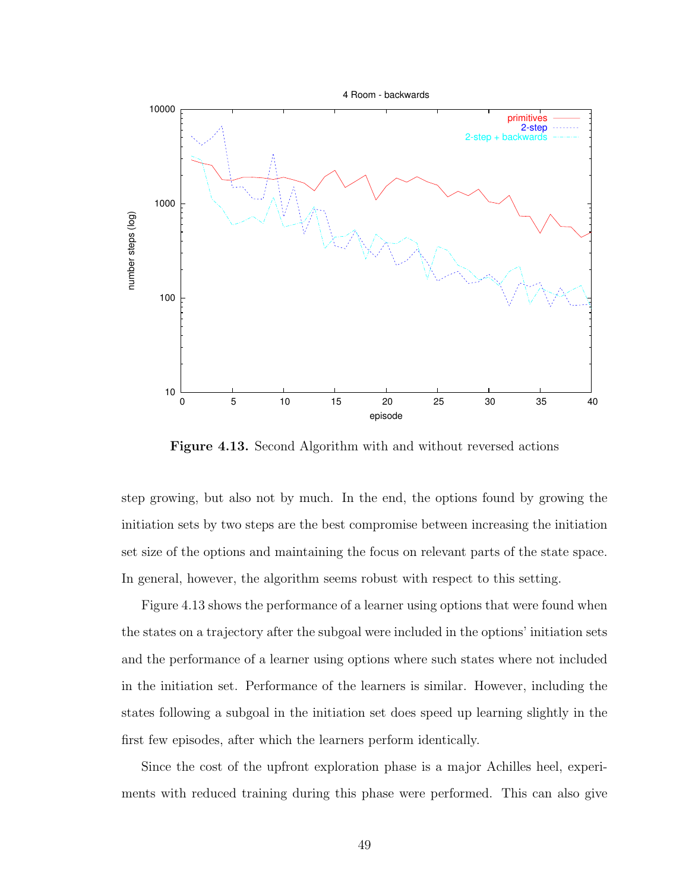

Figure 4.13. Second Algorithm with and without reversed actions

step growing, but also not by much. In the end, the options found by growing the initiation sets by two steps are the best compromise between increasing the initiation set size of the options and maintaining the focus on relevant parts of the state space. In general, however, the algorithm seems robust with respect to this setting.

Figure 4.13 shows the performance of a learner using options that were found when the states on a trajectory after the subgoal were included in the options' initiation sets and the performance of a learner using options where such states where not included in the initiation set. Performance of the learners is similar. However, including the states following a subgoal in the initiation set does speed up learning slightly in the first few episodes, after which the learners perform identically.

Since the cost of the upfront exploration phase is a major Achilles heel, experiments with reduced training during this phase were performed. This can also give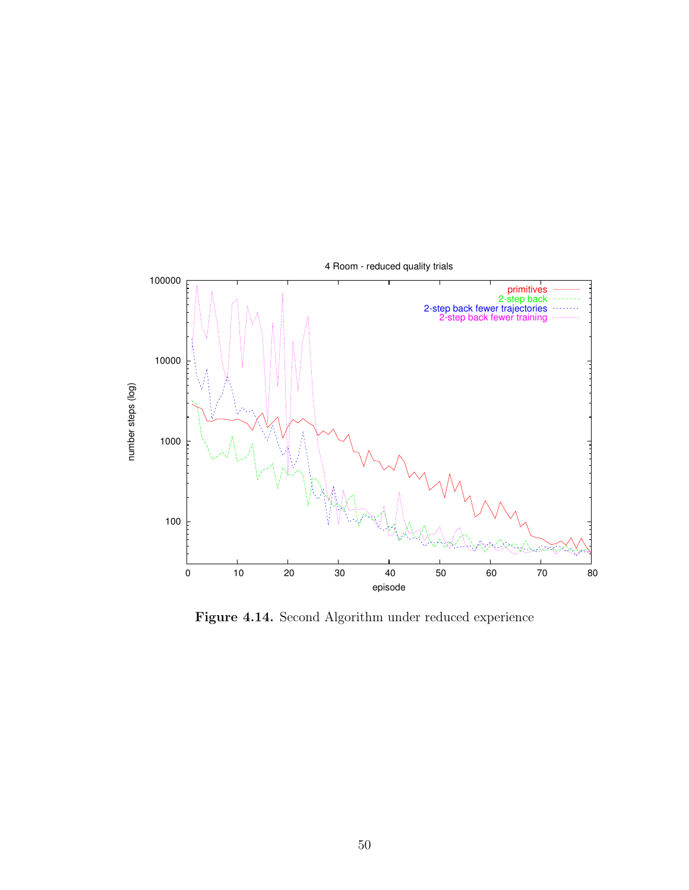

Figure 4.14. Second Algorithm under reduced experience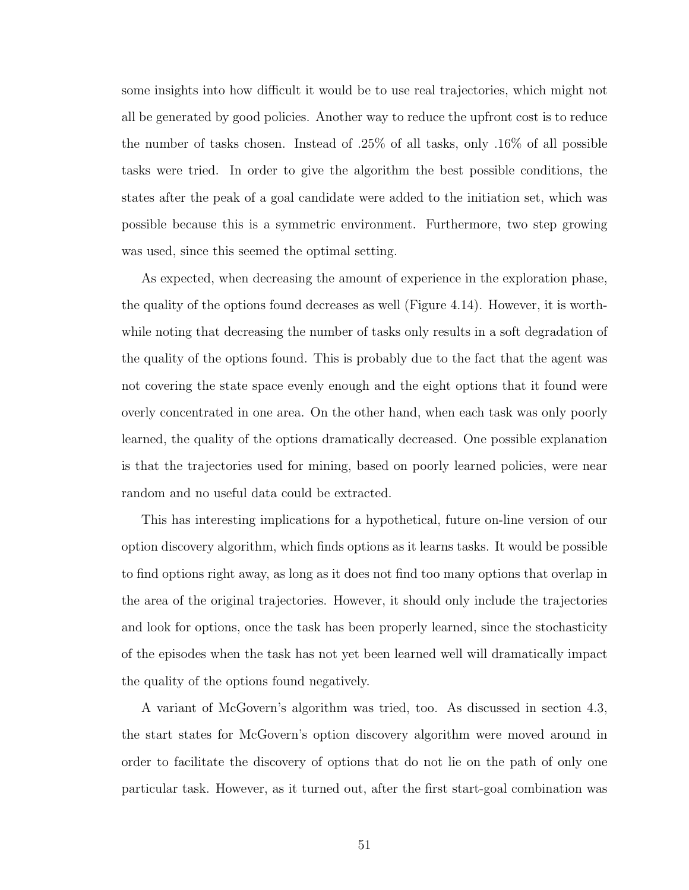some insights into how difficult it would be to use real trajectories, which might not all be generated by good policies. Another way to reduce the upfront cost is to reduce the number of tasks chosen. Instead of .25% of all tasks, only .16% of all possible tasks were tried. In order to give the algorithm the best possible conditions, the states after the peak of a goal candidate were added to the initiation set, which was possible because this is a symmetric environment. Furthermore, two step growing was used, since this seemed the optimal setting.

As expected, when decreasing the amount of experience in the exploration phase, the quality of the options found decreases as well (Figure 4.14). However, it is worthwhile noting that decreasing the number of tasks only results in a soft degradation of the quality of the options found. This is probably due to the fact that the agent was not covering the state space evenly enough and the eight options that it found were overly concentrated in one area. On the other hand, when each task was only poorly learned, the quality of the options dramatically decreased. One possible explanation is that the trajectories used for mining, based on poorly learned policies, were near random and no useful data could be extracted.

This has interesting implications for a hypothetical, future on-line version of our option discovery algorithm, which finds options as it learns tasks. It would be possible to find options right away, as long as it does not find too many options that overlap in the area of the original trajectories. However, it should only include the trajectories and look for options, once the task has been properly learned, since the stochasticity of the episodes when the task has not yet been learned well will dramatically impact the quality of the options found negatively.

A variant of McGovern's algorithm was tried, too. As discussed in section 4.3, the start states for McGovern's option discovery algorithm were moved around in order to facilitate the discovery of options that do not lie on the path of only one particular task. However, as it turned out, after the first start-goal combination was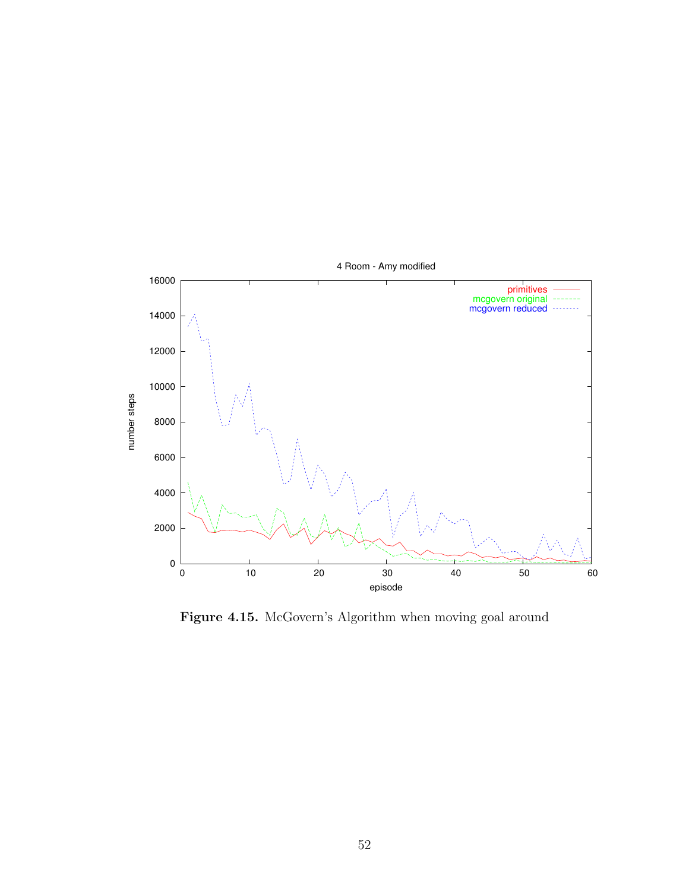

Figure 4.15. McGovern's Algorithm when moving goal around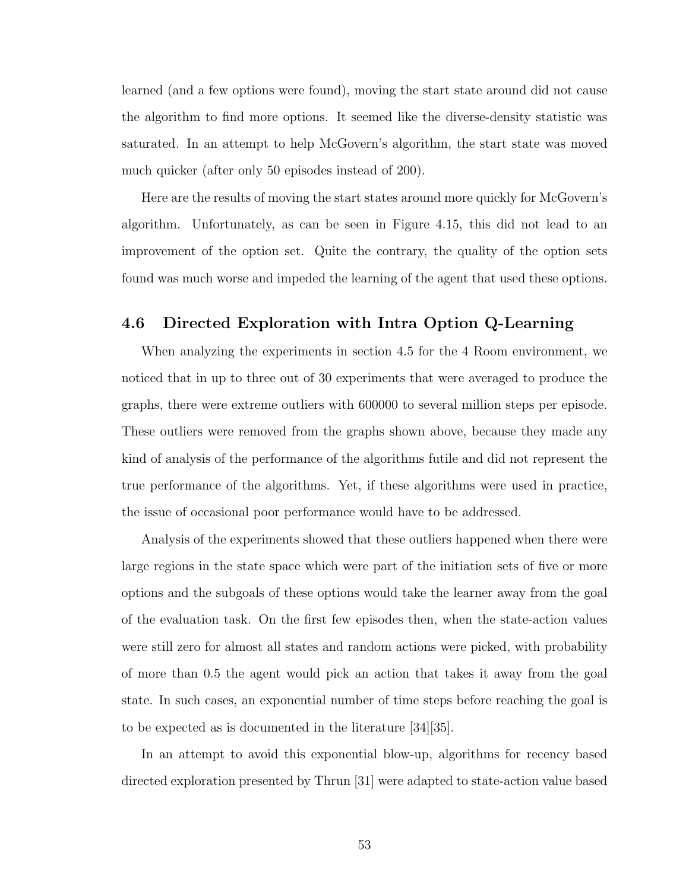learned (and a few options were found), moving the start state around did not cause the algorithm to find more options. It seemed like the diverse-density statistic was saturated. In an attempt to help McGovern's algorithm, the start state was moved much quicker (after only 50 episodes instead of 200).

Here are the results of moving the start states around more quickly for McGovern's algorithm. Unfortunately, as can be seen in Figure 4.15, this did not lead to an improvement of the option set. Quite the contrary, the quality of the option sets found was much worse and impeded the learning of the agent that used these options.

## 4.6 Directed Exploration with Intra Option Q-Learning

When analyzing the experiments in section 4.5 for the 4 Room environment, we noticed that in up to three out of 30 experiments that were averaged to produce the graphs, there were extreme outliers with 600000 to several million steps per episode. These outliers were removed from the graphs shown above, because they made any kind of analysis of the performance of the algorithms futile and did not represent the true performance of the algorithms. Yet, if these algorithms were used in practice, the issue of occasional poor performance would have to be addressed.

Analysis of the experiments showed that these outliers happened when there were large regions in the state space which were part of the initiation sets of five or more options and the subgoals of these options would take the learner away from the goal of the evaluation task. On the first few episodes then, when the state-action values were still zero for almost all states and random actions were picked, with probability of more than 0.5 the agent would pick an action that takes it away from the goal state. In such cases, an exponential number of time steps before reaching the goal is to be expected as is documented in the literature [34][35].

In an attempt to avoid this exponential blow-up, algorithms for recency based directed exploration presented by Thrun [31] were adapted to state-action value based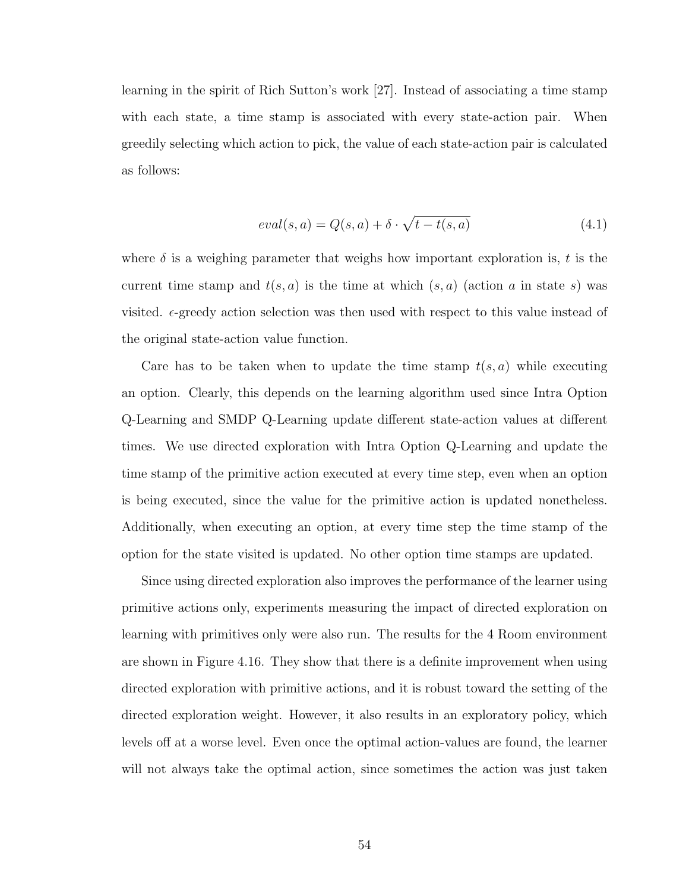learning in the spirit of Rich Sutton's work [27]. Instead of associating a time stamp with each state, a time stamp is associated with every state-action pair. When greedily selecting which action to pick, the value of each state-action pair is calculated as follows:

$$
eval(s, a) = Q(s, a) + \delta \cdot \sqrt{t - t(s, a)}
$$
\n
$$
(4.1)
$$

where  $\delta$  is a weighing parameter that weighs how important exploration is, t is the current time stamp and  $t(s, a)$  is the time at which  $(s, a)$  (action a in state s) was visited.  $\epsilon$ -greedy action selection was then used with respect to this value instead of the original state-action value function.

Care has to be taken when to update the time stamp  $t(s, a)$  while executing an option. Clearly, this depends on the learning algorithm used since Intra Option Q-Learning and SMDP Q-Learning update different state-action values at different times. We use directed exploration with Intra Option Q-Learning and update the time stamp of the primitive action executed at every time step, even when an option is being executed, since the value for the primitive action is updated nonetheless. Additionally, when executing an option, at every time step the time stamp of the option for the state visited is updated. No other option time stamps are updated.

Since using directed exploration also improves the performance of the learner using primitive actions only, experiments measuring the impact of directed exploration on learning with primitives only were also run. The results for the 4 Room environment are shown in Figure 4.16. They show that there is a definite improvement when using directed exploration with primitive actions, and it is robust toward the setting of the directed exploration weight. However, it also results in an exploratory policy, which levels off at a worse level. Even once the optimal action-values are found, the learner will not always take the optimal action, since sometimes the action was just taken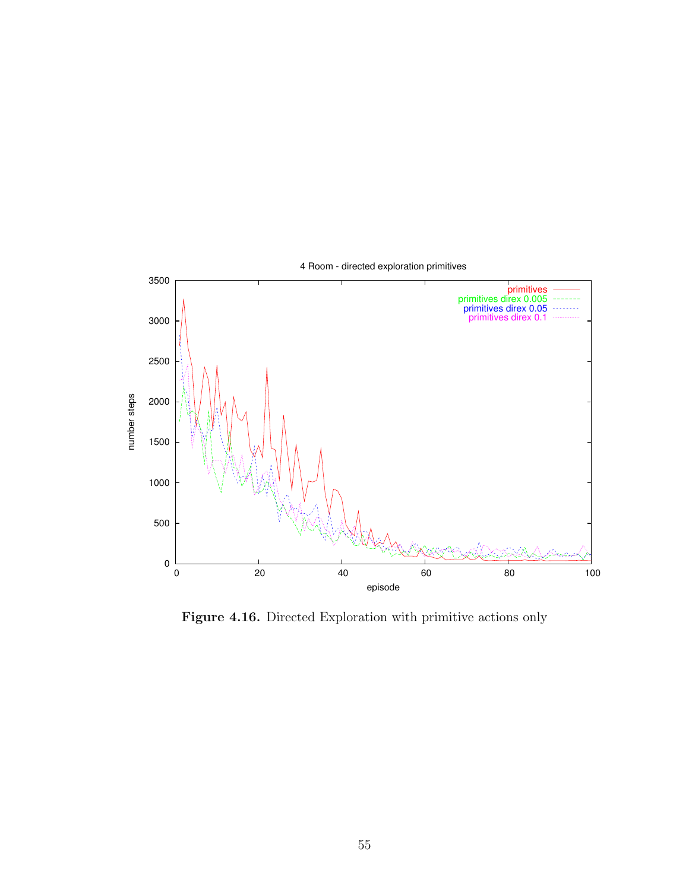

Figure 4.16. Directed Exploration with primitive actions only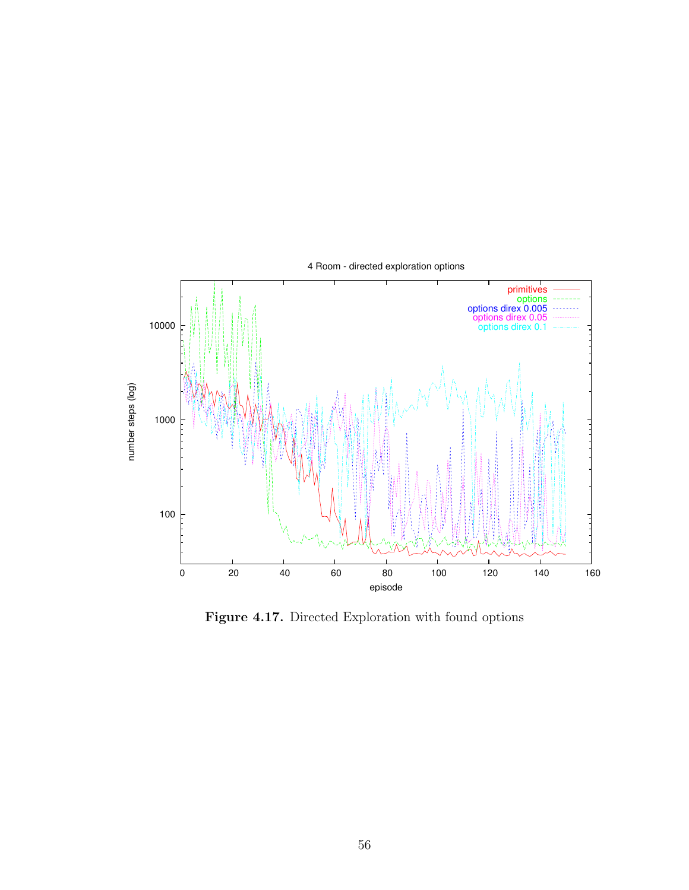

Figure 4.17. Directed Exploration with found options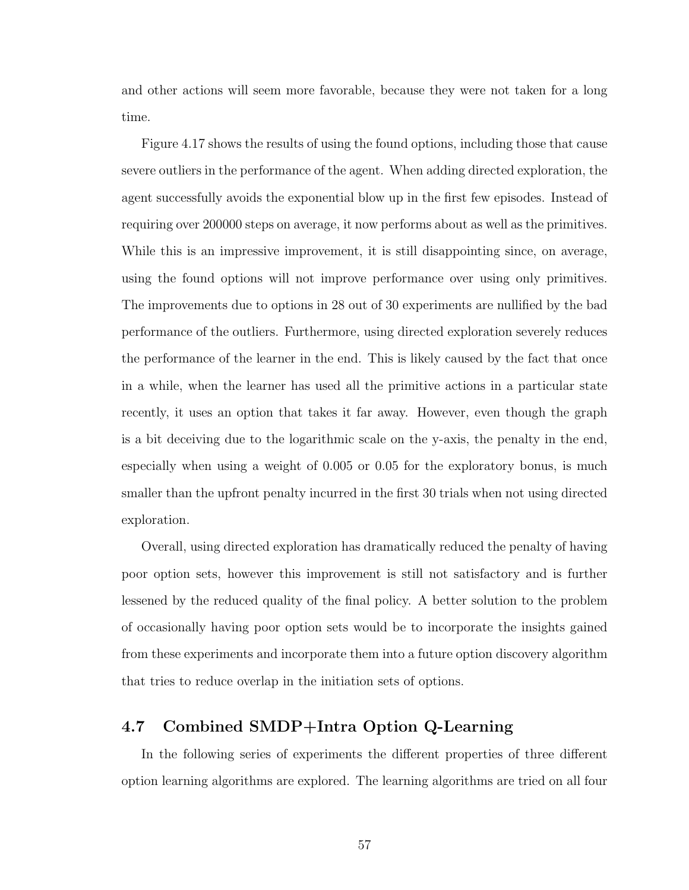and other actions will seem more favorable, because they were not taken for a long time.

Figure 4.17 shows the results of using the found options, including those that cause severe outliers in the performance of the agent. When adding directed exploration, the agent successfully avoids the exponential blow up in the first few episodes. Instead of requiring over 200000 steps on average, it now performs about as well as the primitives. While this is an impressive improvement, it is still disappointing since, on average, using the found options will not improve performance over using only primitives. The improvements due to options in 28 out of 30 experiments are nullified by the bad performance of the outliers. Furthermore, using directed exploration severely reduces the performance of the learner in the end. This is likely caused by the fact that once in a while, when the learner has used all the primitive actions in a particular state recently, it uses an option that takes it far away. However, even though the graph is a bit deceiving due to the logarithmic scale on the y-axis, the penalty in the end, especially when using a weight of 0.005 or 0.05 for the exploratory bonus, is much smaller than the upfront penalty incurred in the first 30 trials when not using directed exploration.

Overall, using directed exploration has dramatically reduced the penalty of having poor option sets, however this improvement is still not satisfactory and is further lessened by the reduced quality of the final policy. A better solution to the problem of occasionally having poor option sets would be to incorporate the insights gained from these experiments and incorporate them into a future option discovery algorithm that tries to reduce overlap in the initiation sets of options.

## 4.7 Combined SMDP+Intra Option Q-Learning

In the following series of experiments the different properties of three different option learning algorithms are explored. The learning algorithms are tried on all four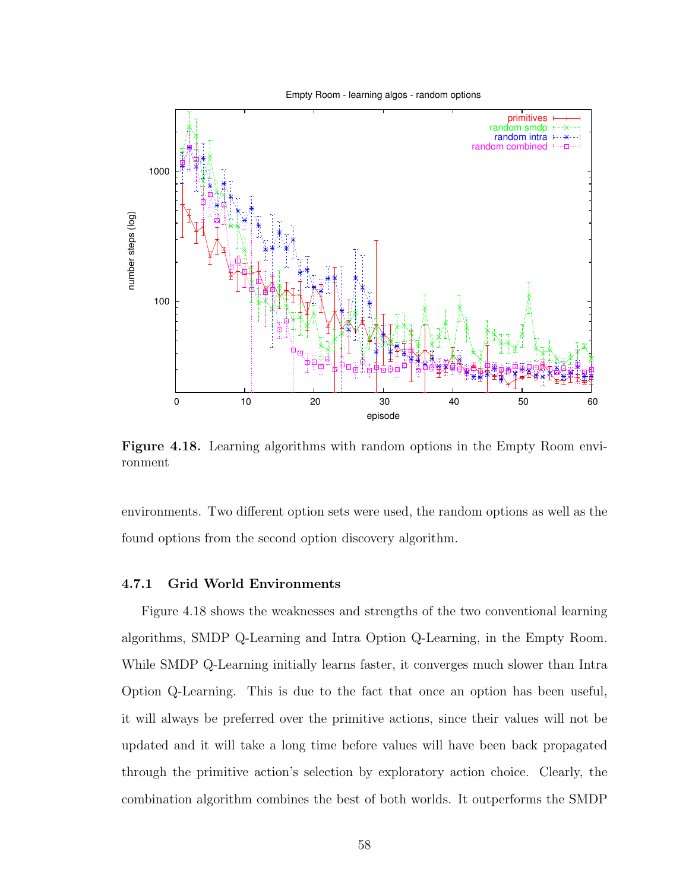Empty Room - learning algos - random options



Figure 4.18. Learning algorithms with random options in the Empty Room environment

environments. Two different option sets were used, the random options as well as the found options from the second option discovery algorithm.

#### 4.7.1 Grid World Environments

Figure 4.18 shows the weaknesses and strengths of the two conventional learning algorithms, SMDP Q-Learning and Intra Option Q-Learning, in the Empty Room. While SMDP Q-Learning initially learns faster, it converges much slower than Intra Option Q-Learning. This is due to the fact that once an option has been useful, it will always be preferred over the primitive actions, since their values will not be updated and it will take a long time before values will have been back propagated through the primitive action's selection by exploratory action choice. Clearly, the combination algorithm combines the best of both worlds. It outperforms the SMDP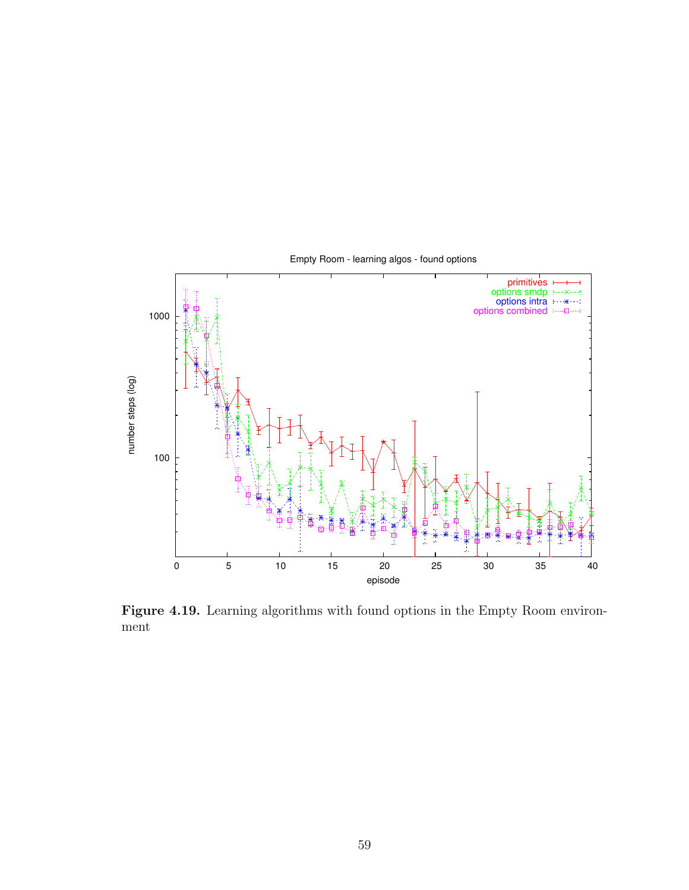

Figure 4.19. Learning algorithms with found options in the Empty Room environment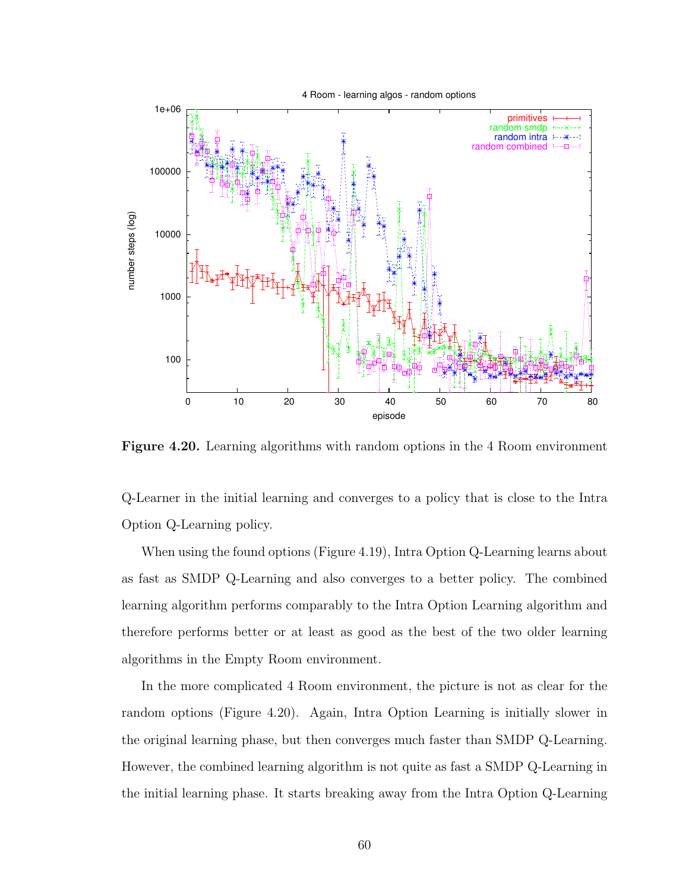

Figure 4.20. Learning algorithms with random options in the 4 Room environment

Q-Learner in the initial learning and converges to a policy that is close to the Intra Option Q-Learning policy.

When using the found options (Figure 4.19), Intra Option Q-Learning learns about as fast as SMDP Q-Learning and also converges to a better policy. The combined learning algorithm performs comparably to the Intra Option Learning algorithm and therefore performs better or at least as good as the best of the two older learning algorithms in the Empty Room environment.

In the more complicated 4 Room environment, the picture is not as clear for the random options (Figure 4.20). Again, Intra Option Learning is initially slower in the original learning phase, but then converges much faster than SMDP Q-Learning. However, the combined learning algorithm is not quite as fast a SMDP Q-Learning in the initial learning phase. It starts breaking away from the Intra Option Q-Learning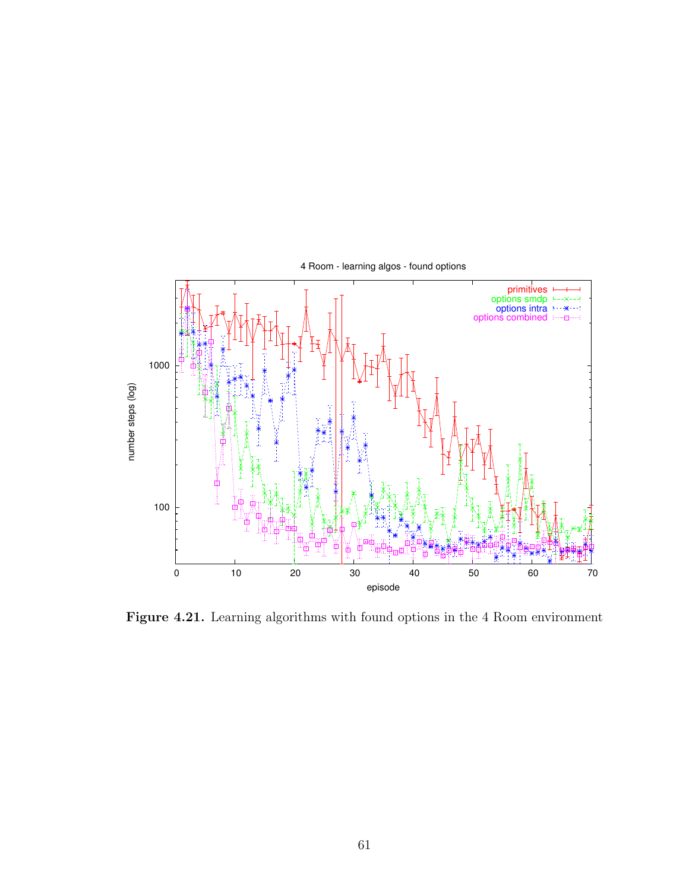

Figure 4.21. Learning algorithms with found options in the 4 Room environment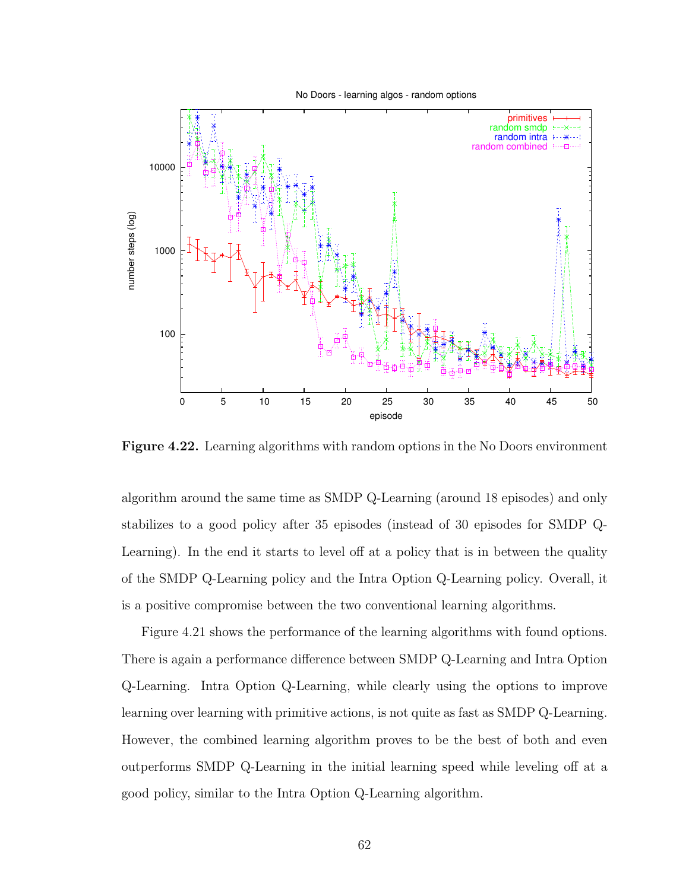No Doors - learning algos - random options



Figure 4.22. Learning algorithms with random options in the No Doors environment

algorithm around the same time as SMDP Q-Learning (around 18 episodes) and only stabilizes to a good policy after 35 episodes (instead of 30 episodes for SMDP Q-Learning). In the end it starts to level off at a policy that is in between the quality of the SMDP Q-Learning policy and the Intra Option Q-Learning policy. Overall, it is a positive compromise between the two conventional learning algorithms.

Figure 4.21 shows the performance of the learning algorithms with found options. There is again a performance difference between SMDP Q-Learning and Intra Option Q-Learning. Intra Option Q-Learning, while clearly using the options to improve learning over learning with primitive actions, is not quite as fast as SMDP Q-Learning. However, the combined learning algorithm proves to be the best of both and even outperforms SMDP Q-Learning in the initial learning speed while leveling off at a good policy, similar to the Intra Option Q-Learning algorithm.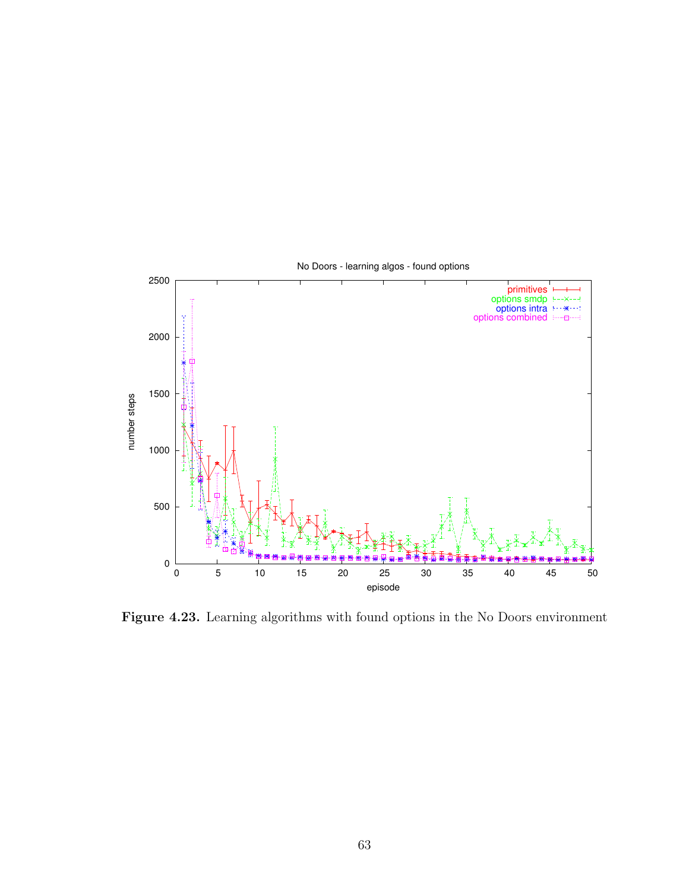

Figure 4.23. Learning algorithms with found options in the No Doors environment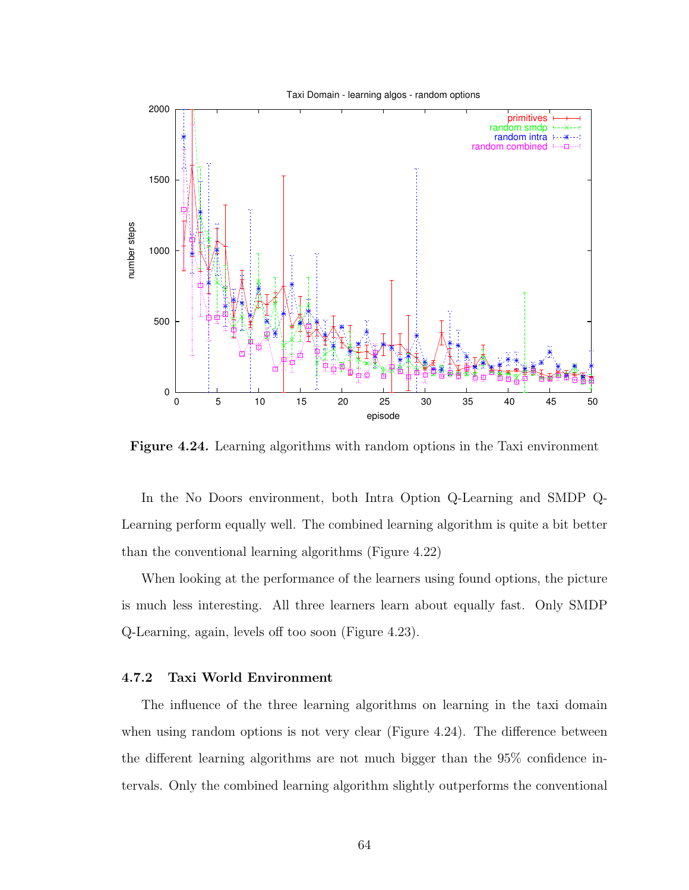

Figure 4.24. Learning algorithms with random options in the Taxi environment

In the No Doors environment, both Intra Option Q-Learning and SMDP Q-Learning perform equally well. The combined learning algorithm is quite a bit better than the conventional learning algorithms (Figure 4.22)

When looking at the performance of the learners using found options, the picture is much less interesting. All three learners learn about equally fast. Only SMDP Q-Learning, again, levels off too soon (Figure 4.23).

## 4.7.2 Taxi World Environment

The influence of the three learning algorithms on learning in the taxi domain when using random options is not very clear (Figure 4.24). The difference between the different learning algorithms are not much bigger than the 95% confidence intervals. Only the combined learning algorithm slightly outperforms the conventional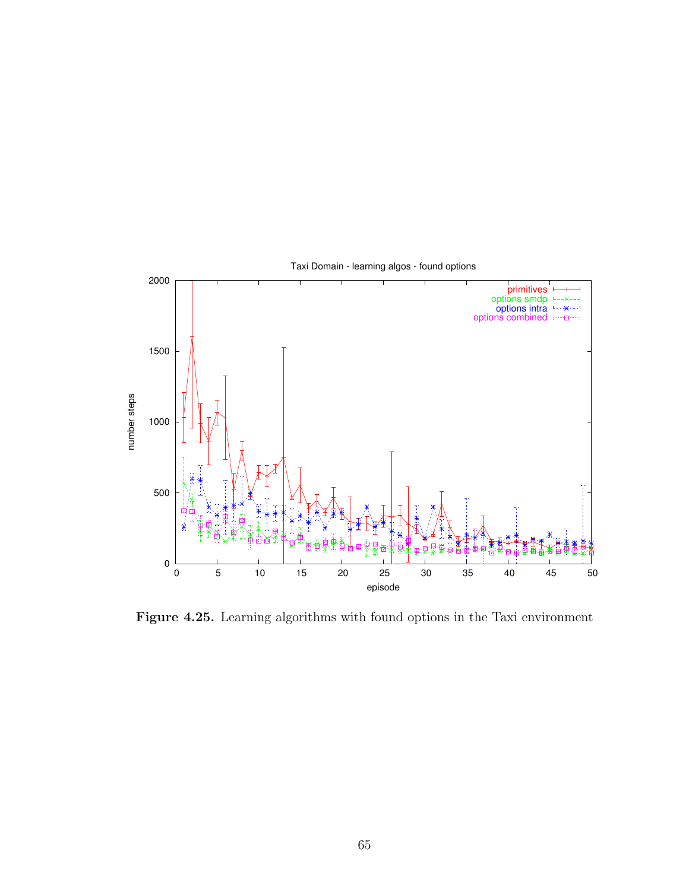

Figure 4.25. Learning algorithms with found options in the Taxi environment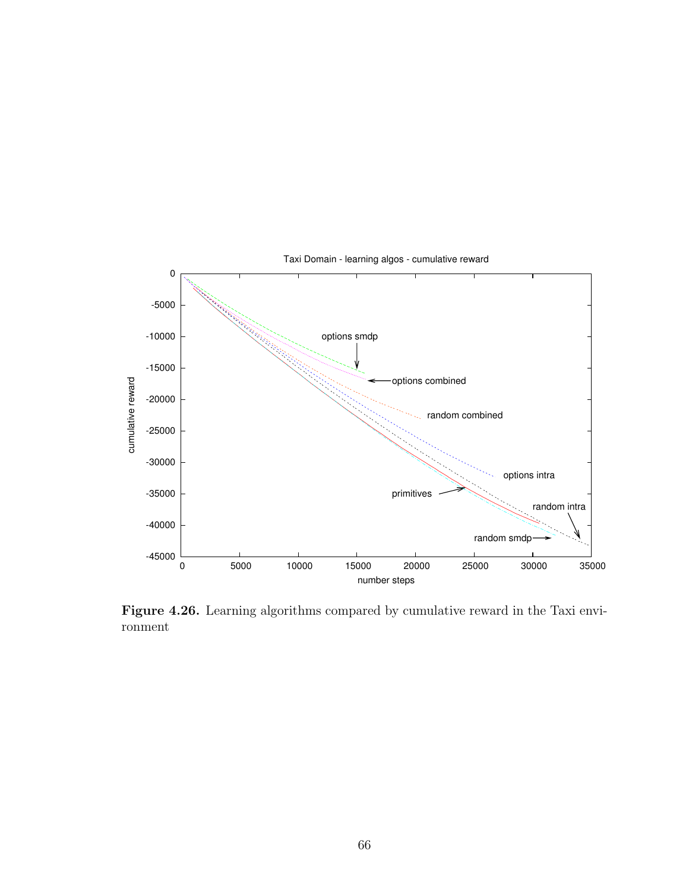

Figure 4.26. Learning algorithms compared by cumulative reward in the Taxi environment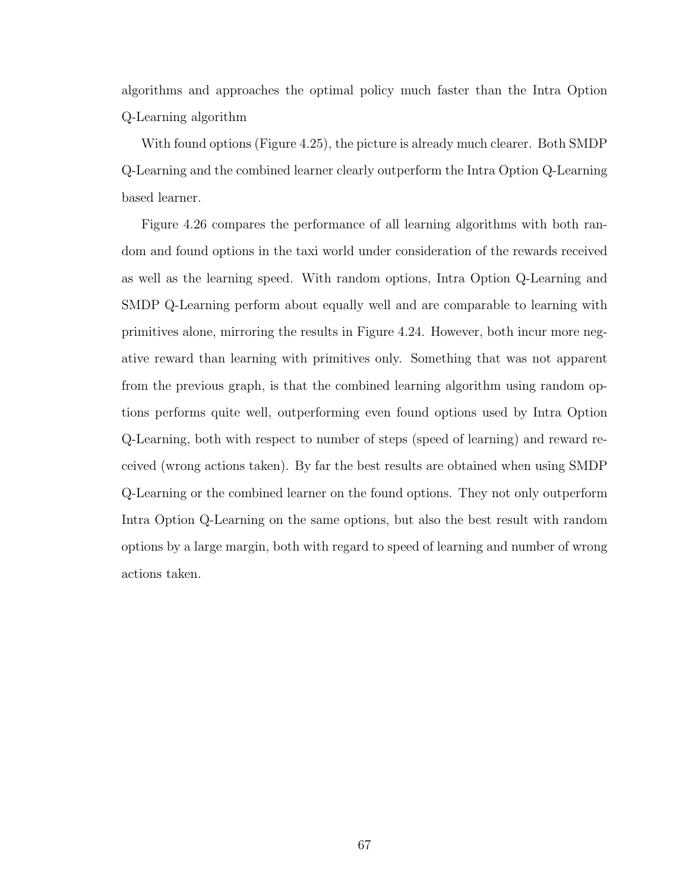algorithms and approaches the optimal policy much faster than the Intra Option Q-Learning algorithm

With found options (Figure 4.25), the picture is already much clearer. Both SMDP Q-Learning and the combined learner clearly outperform the Intra Option Q-Learning based learner.

Figure 4.26 compares the performance of all learning algorithms with both random and found options in the taxi world under consideration of the rewards received as well as the learning speed. With random options, Intra Option Q-Learning and SMDP Q-Learning perform about equally well and are comparable to learning with primitives alone, mirroring the results in Figure 4.24. However, both incur more negative reward than learning with primitives only. Something that was not apparent from the previous graph, is that the combined learning algorithm using random options performs quite well, outperforming even found options used by Intra Option Q-Learning, both with respect to number of steps (speed of learning) and reward received (wrong actions taken). By far the best results are obtained when using SMDP Q-Learning or the combined learner on the found options. They not only outperform Intra Option Q-Learning on the same options, but also the best result with random options by a large margin, both with regard to speed of learning and number of wrong actions taken.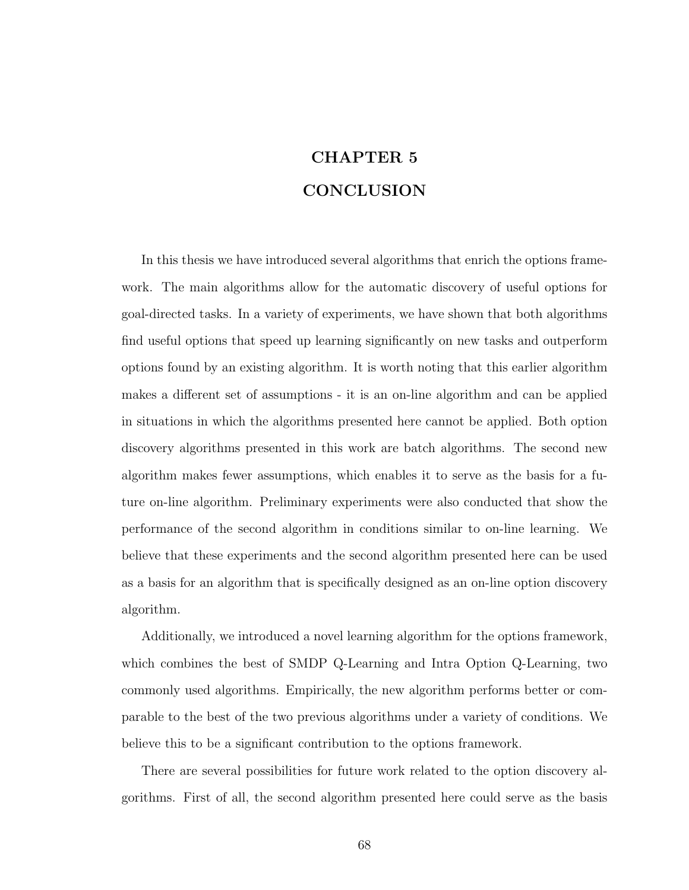## CHAPTER 5 **CONCLUSION**

In this thesis we have introduced several algorithms that enrich the options framework. The main algorithms allow for the automatic discovery of useful options for goal-directed tasks. In a variety of experiments, we have shown that both algorithms find useful options that speed up learning significantly on new tasks and outperform options found by an existing algorithm. It is worth noting that this earlier algorithm makes a different set of assumptions - it is an on-line algorithm and can be applied in situations in which the algorithms presented here cannot be applied. Both option discovery algorithms presented in this work are batch algorithms. The second new algorithm makes fewer assumptions, which enables it to serve as the basis for a future on-line algorithm. Preliminary experiments were also conducted that show the performance of the second algorithm in conditions similar to on-line learning. We believe that these experiments and the second algorithm presented here can be used as a basis for an algorithm that is specifically designed as an on-line option discovery algorithm.

Additionally, we introduced a novel learning algorithm for the options framework, which combines the best of SMDP Q-Learning and Intra Option Q-Learning, two commonly used algorithms. Empirically, the new algorithm performs better or comparable to the best of the two previous algorithms under a variety of conditions. We believe this to be a significant contribution to the options framework.

There are several possibilities for future work related to the option discovery algorithms. First of all, the second algorithm presented here could serve as the basis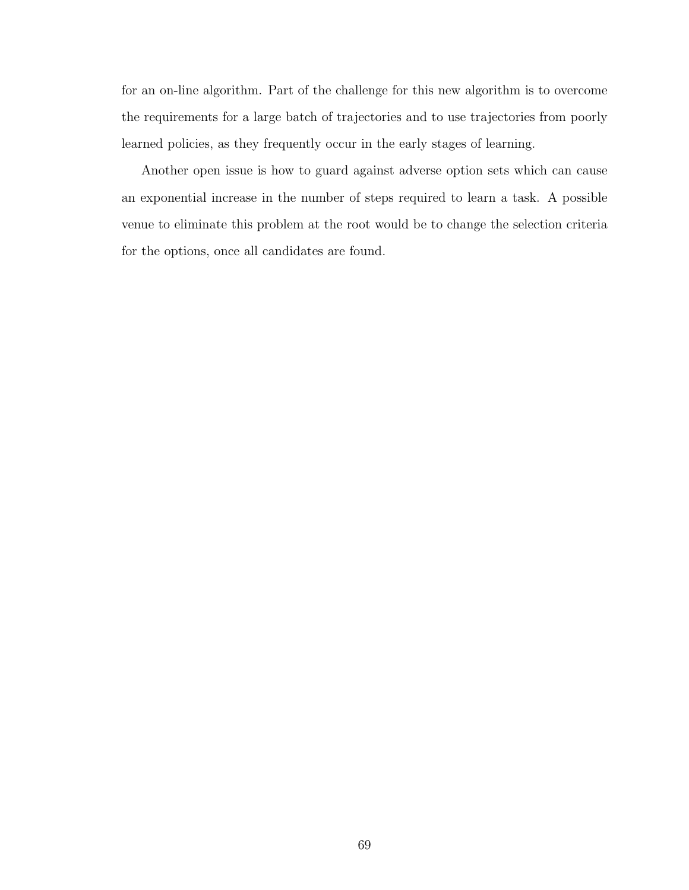for an on-line algorithm. Part of the challenge for this new algorithm is to overcome the requirements for a large batch of trajectories and to use trajectories from poorly learned policies, as they frequently occur in the early stages of learning.

Another open issue is how to guard against adverse option sets which can cause an exponential increase in the number of steps required to learn a task. A possible venue to eliminate this problem at the root would be to change the selection criteria for the options, once all candidates are found.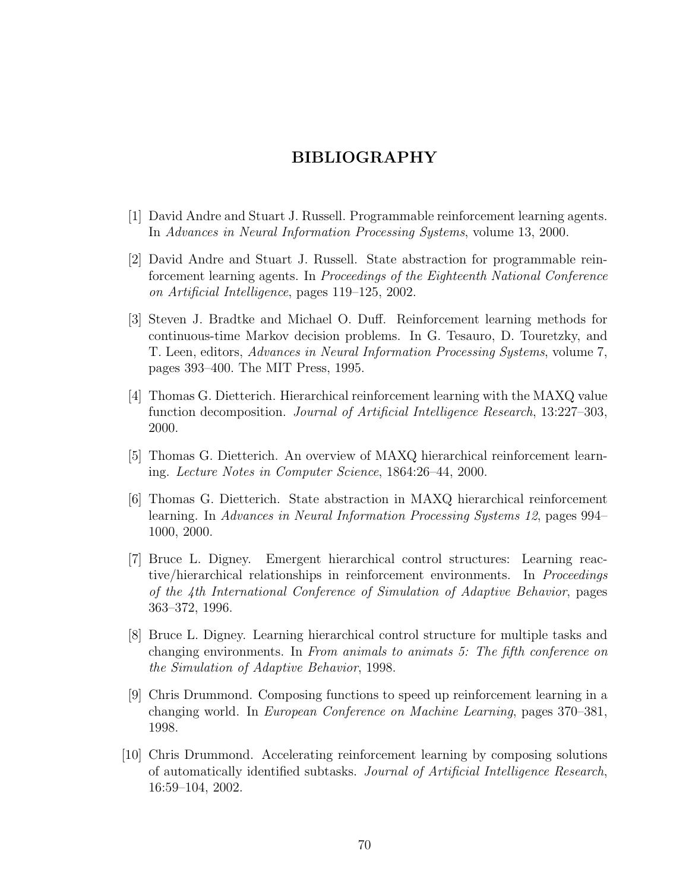## BIBLIOGRAPHY

- [1] David Andre and Stuart J. Russell. Programmable reinforcement learning agents. In Advances in Neural Information Processing Systems, volume 13, 2000.
- [2] David Andre and Stuart J. Russell. State abstraction for programmable reinforcement learning agents. In Proceedings of the Eighteenth National Conference on Artificial Intelligence, pages 119–125, 2002.
- [3] Steven J. Bradtke and Michael O. Duff. Reinforcement learning methods for continuous-time Markov decision problems. In G. Tesauro, D. Touretzky, and T. Leen, editors, Advances in Neural Information Processing Systems, volume 7, pages 393–400. The MIT Press, 1995.
- [4] Thomas G. Dietterich. Hierarchical reinforcement learning with the MAXQ value function decomposition. Journal of Artificial Intelligence Research, 13:227–303, 2000.
- [5] Thomas G. Dietterich. An overview of MAXQ hierarchical reinforcement learning. Lecture Notes in Computer Science, 1864:26–44, 2000.
- [6] Thomas G. Dietterich. State abstraction in MAXQ hierarchical reinforcement learning. In Advances in Neural Information Processing Systems 12, pages 994– 1000, 2000.
- [7] Bruce L. Digney. Emergent hierarchical control structures: Learning reactive/hierarchical relationships in reinforcement environments. In Proceedings of the 4th International Conference of Simulation of Adaptive Behavior, pages 363–372, 1996.
- [8] Bruce L. Digney. Learning hierarchical control structure for multiple tasks and changing environments. In From animals to animats 5: The fifth conference on the Simulation of Adaptive Behavior, 1998.
- [9] Chris Drummond. Composing functions to speed up reinforcement learning in a changing world. In European Conference on Machine Learning, pages 370–381, 1998.
- [10] Chris Drummond. Accelerating reinforcement learning by composing solutions of automatically identified subtasks. Journal of Artificial Intelligence Research, 16:59–104, 2002.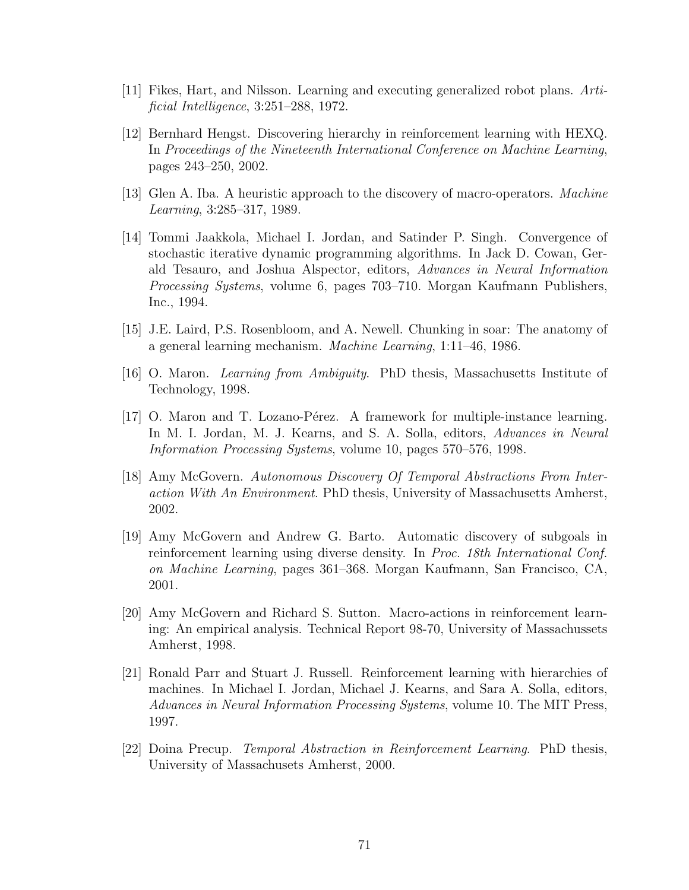- [11] Fikes, Hart, and Nilsson. Learning and executing generalized robot plans. Artificial Intelligence, 3:251–288, 1972.
- [12] Bernhard Hengst. Discovering hierarchy in reinforcement learning with HEXQ. In Proceedings of the Nineteenth International Conference on Machine Learning, pages 243–250, 2002.
- [13] Glen A. Iba. A heuristic approach to the discovery of macro-operators. Machine Learning, 3:285–317, 1989.
- [14] Tommi Jaakkola, Michael I. Jordan, and Satinder P. Singh. Convergence of stochastic iterative dynamic programming algorithms. In Jack D. Cowan, Gerald Tesauro, and Joshua Alspector, editors, Advances in Neural Information Processing Systems, volume 6, pages 703–710. Morgan Kaufmann Publishers, Inc., 1994.
- [15] J.E. Laird, P.S. Rosenbloom, and A. Newell. Chunking in soar: The anatomy of a general learning mechanism. Machine Learning, 1:11–46, 1986.
- [16] O. Maron. Learning from Ambiguity. PhD thesis, Massachusetts Institute of Technology, 1998.
- [17] O. Maron and T. Lozano-Pérez. A framework for multiple-instance learning. In M. I. Jordan, M. J. Kearns, and S. A. Solla, editors, Advances in Neural Information Processing Systems, volume 10, pages 570–576, 1998.
- [18] Amy McGovern. Autonomous Discovery Of Temporal Abstractions From Interaction With An Environment. PhD thesis, University of Massachusetts Amherst, 2002.
- [19] Amy McGovern and Andrew G. Barto. Automatic discovery of subgoals in reinforcement learning using diverse density. In Proc. 18th International Conf. on Machine Learning, pages 361–368. Morgan Kaufmann, San Francisco, CA, 2001.
- [20] Amy McGovern and Richard S. Sutton. Macro-actions in reinforcement learning: An empirical analysis. Technical Report 98-70, University of Massachussets Amherst, 1998.
- [21] Ronald Parr and Stuart J. Russell. Reinforcement learning with hierarchies of machines. In Michael I. Jordan, Michael J. Kearns, and Sara A. Solla, editors, Advances in Neural Information Processing Systems, volume 10. The MIT Press, 1997.
- [22] Doina Precup. Temporal Abstraction in Reinforcement Learning. PhD thesis, University of Massachusets Amherst, 2000.